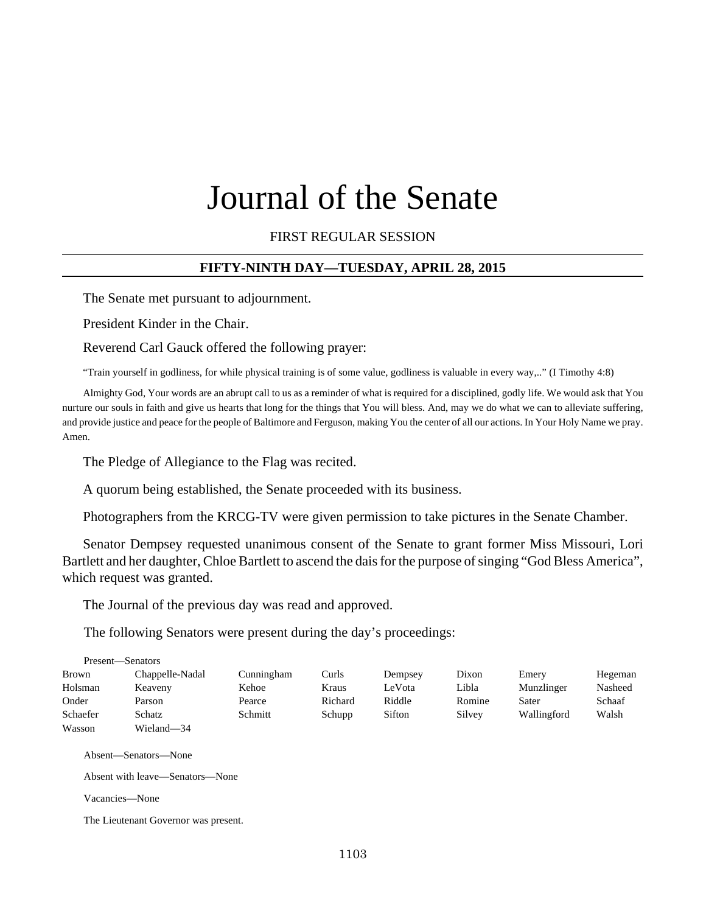# Journal of the Senate

FIRST REGULAR SESSION

## **FIFTY-NINTH DAY—TUESDAY, APRIL 28, 2015**

The Senate met pursuant to adjournment.

President Kinder in the Chair.

Reverend Carl Gauck offered the following prayer:

"Train yourself in godliness, for while physical training is of some value, godliness is valuable in every way,.." (I Timothy 4:8)

Almighty God, Your words are an abrupt call to us as a reminder of what is required for a disciplined, godly life. We would ask that You nurture our souls in faith and give us hearts that long for the things that You will bless. And, may we do what we can to alleviate suffering, and provide justice and peace for the people of Baltimore and Ferguson, making You the center of all our actions. In Your Holy Name we pray. Amen.

The Pledge of Allegiance to the Flag was recited.

A quorum being established, the Senate proceeded with its business.

Photographers from the KRCG-TV were given permission to take pictures in the Senate Chamber.

Senator Dempsey requested unanimous consent of the Senate to grant former Miss Missouri, Lori Bartlett and her daughter, Chloe Bartlett to ascend the dais for the purpose of singing "God Bless America", which request was granted.

The Journal of the previous day was read and approved.

The following Senators were present during the day's proceedings:

|              | Present—Senators |            |         |         |        |             |         |
|--------------|------------------|------------|---------|---------|--------|-------------|---------|
| <b>Brown</b> | Chappelle-Nadal  | Cunningham | Curls   | Dempsey | Dixon  | Emery       | Hegeman |
| Holsman      | Keaveny          | Kehoe      | Kraus   | LeVota  | Libla  | Munzlinger  | Nasheed |
| Onder        | Parson           | Pearce     | Richard | Riddle  | Romine | Sater       | Schaaf  |
| Schaefer     | Schatz           | Schmitt    | Schupp  | Sifton  | Silvey | Wallingford | Walsh   |
| Wasson       | Wieland-34       |            |         |         |        |             |         |

Absent—Senators—None

Absent with leave—Senators—None

Vacancies—None

The Lieutenant Governor was present.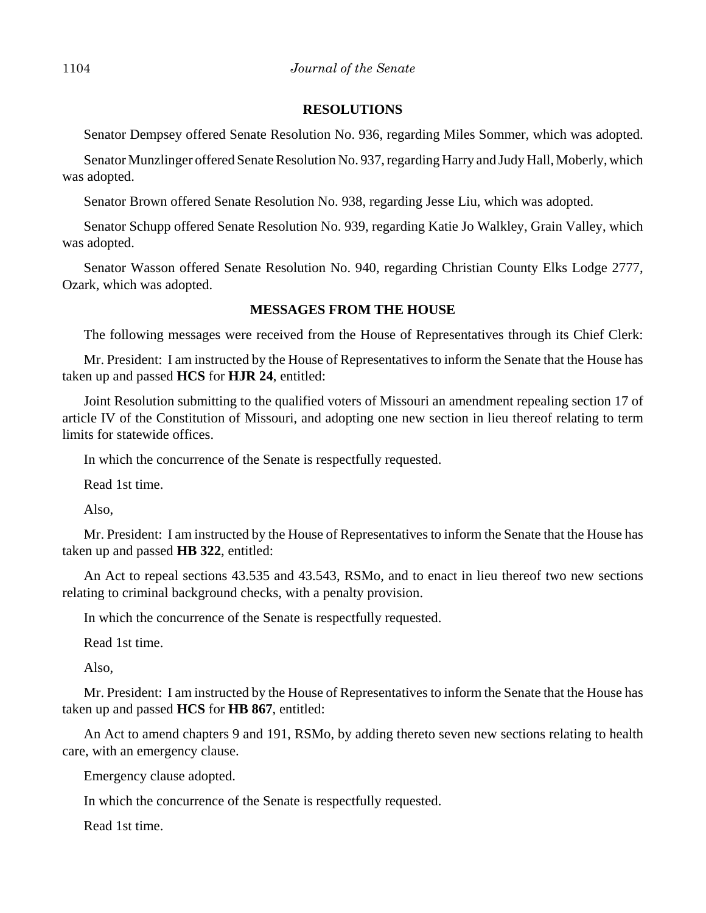#### **RESOLUTIONS**

Senator Dempsey offered Senate Resolution No. 936, regarding Miles Sommer, which was adopted.

Senator Munzlinger offered Senate Resolution No. 937, regarding Harry and Judy Hall, Moberly, which was adopted.

Senator Brown offered Senate Resolution No. 938, regarding Jesse Liu, which was adopted.

Senator Schupp offered Senate Resolution No. 939, regarding Katie Jo Walkley, Grain Valley, which was adopted.

Senator Wasson offered Senate Resolution No. 940, regarding Christian County Elks Lodge 2777, Ozark, which was adopted.

## **MESSAGES FROM THE HOUSE**

The following messages were received from the House of Representatives through its Chief Clerk:

Mr. President: I am instructed by the House of Representatives to inform the Senate that the House has taken up and passed **HCS** for **HJR 24**, entitled:

Joint Resolution submitting to the qualified voters of Missouri an amendment repealing section 17 of article IV of the Constitution of Missouri, and adopting one new section in lieu thereof relating to term limits for statewide offices.

In which the concurrence of the Senate is respectfully requested.

Read 1st time.

Also,

Mr. President: I am instructed by the House of Representatives to inform the Senate that the House has taken up and passed **HB 322**, entitled:

An Act to repeal sections 43.535 and 43.543, RSMo, and to enact in lieu thereof two new sections relating to criminal background checks, with a penalty provision.

In which the concurrence of the Senate is respectfully requested.

Read 1st time.

Also,

Mr. President: I am instructed by the House of Representatives to inform the Senate that the House has taken up and passed **HCS** for **HB 867**, entitled:

An Act to amend chapters 9 and 191, RSMo, by adding thereto seven new sections relating to health care, with an emergency clause.

Emergency clause adopted.

In which the concurrence of the Senate is respectfully requested.

Read 1st time.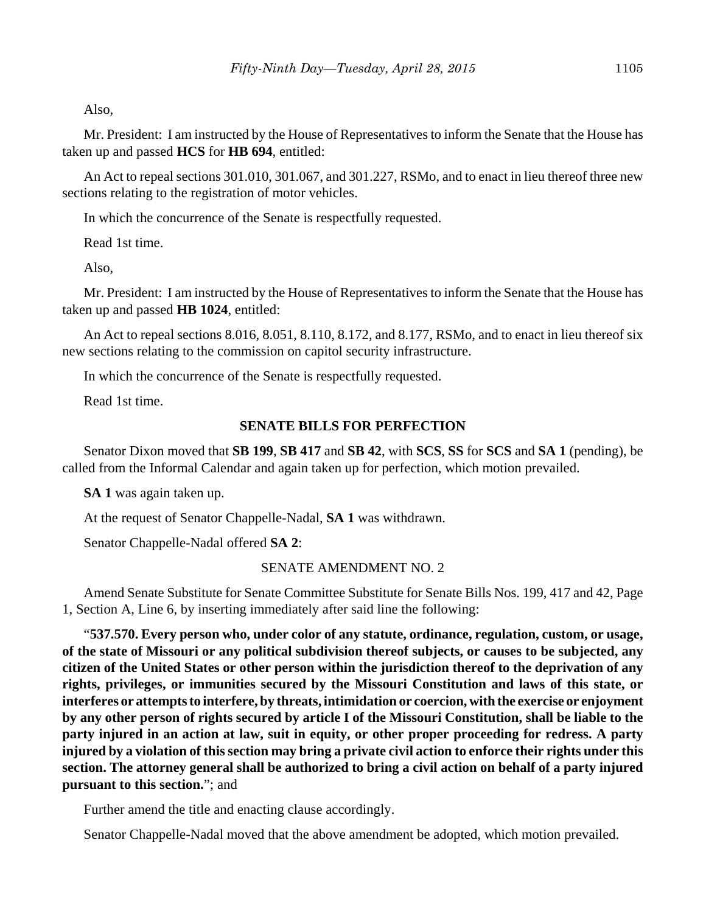Also,

Mr. President: I am instructed by the House of Representatives to inform the Senate that the House has taken up and passed **HCS** for **HB 694**, entitled:

An Act to repeal sections 301.010, 301.067, and 301.227, RSMo, and to enact in lieu thereof three new sections relating to the registration of motor vehicles.

In which the concurrence of the Senate is respectfully requested.

Read 1st time.

Also,

Mr. President: I am instructed by the House of Representatives to inform the Senate that the House has taken up and passed **HB 1024**, entitled:

An Act to repeal sections 8.016, 8.051, 8.110, 8.172, and 8.177, RSMo, and to enact in lieu thereof six new sections relating to the commission on capitol security infrastructure.

In which the concurrence of the Senate is respectfully requested.

Read 1st time.

#### **SENATE BILLS FOR PERFECTION**

Senator Dixon moved that **SB 199**, **SB 417** and **SB 42**, with **SCS**, **SS** for **SCS** and **SA 1** (pending), be called from the Informal Calendar and again taken up for perfection, which motion prevailed.

**SA 1** was again taken up.

At the request of Senator Chappelle-Nadal, **SA 1** was withdrawn.

Senator Chappelle-Nadal offered **SA 2**:

#### SENATE AMENDMENT NO. 2

Amend Senate Substitute for Senate Committee Substitute for Senate Bills Nos. 199, 417 and 42, Page 1, Section A, Line 6, by inserting immediately after said line the following:

"**537.570. Every person who, under color of any statute, ordinance, regulation, custom, or usage, of the state of Missouri or any political subdivision thereof subjects, or causes to be subjected, any citizen of the United States or other person within the jurisdiction thereof to the deprivation of any rights, privileges, or immunities secured by the Missouri Constitution and laws of this state, or interferes or attempts to interfere, by threats, intimidation or coercion, with the exercise or enjoyment by any other person of rights secured by article I of the Missouri Constitution, shall be liable to the party injured in an action at law, suit in equity, or other proper proceeding for redress. A party injured by a violation of this section may bring a private civil action to enforce their rights under this section. The attorney general shall be authorized to bring a civil action on behalf of a party injured pursuant to this section.**"; and

Further amend the title and enacting clause accordingly.

Senator Chappelle-Nadal moved that the above amendment be adopted, which motion prevailed.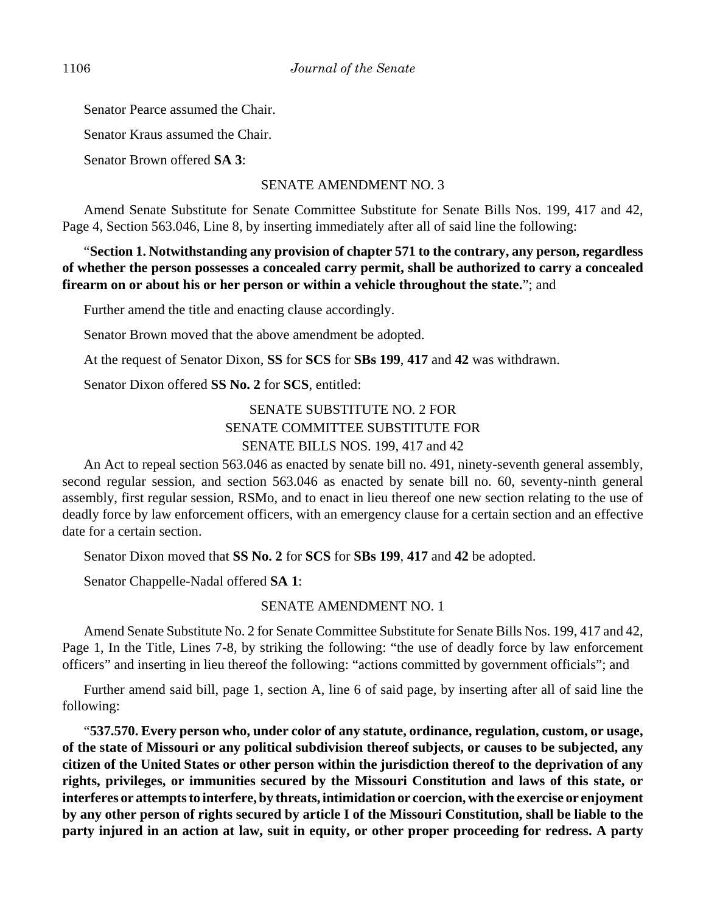Senator Pearce assumed the Chair.

Senator Kraus assumed the Chair.

Senator Brown offered **SA 3**:

SENATE AMENDMENT NO. 3

Amend Senate Substitute for Senate Committee Substitute for Senate Bills Nos. 199, 417 and 42, Page 4, Section 563.046, Line 8, by inserting immediately after all of said line the following:

# "**Section 1. Notwithstanding any provision of chapter 571 to the contrary, any person, regardless of whether the person possesses a concealed carry permit, shall be authorized to carry a concealed firearm on or about his or her person or within a vehicle throughout the state.**"; and

Further amend the title and enacting clause accordingly.

Senator Brown moved that the above amendment be adopted.

At the request of Senator Dixon, **SS** for **SCS** for **SBs 199**, **417** and **42** was withdrawn.

Senator Dixon offered **SS No. 2** for **SCS**, entitled:

SENATE SUBSTITUTE NO. 2 FOR SENATE COMMITTEE SUBSTITUTE FOR SENATE BILLS NOS. 199, 417 and 42

An Act to repeal section 563.046 as enacted by senate bill no. 491, ninety-seventh general assembly, second regular session, and section 563.046 as enacted by senate bill no. 60, seventy-ninth general assembly, first regular session, RSMo, and to enact in lieu thereof one new section relating to the use of deadly force by law enforcement officers, with an emergency clause for a certain section and an effective date for a certain section.

Senator Dixon moved that **SS No. 2** for **SCS** for **SBs 199**, **417** and **42** be adopted.

Senator Chappelle-Nadal offered **SA 1**:

SENATE AMENDMENT NO. 1

Amend Senate Substitute No. 2 for Senate Committee Substitute for Senate Bills Nos. 199, 417 and 42, Page 1, In the Title, Lines 7-8, by striking the following: "the use of deadly force by law enforcement officers" and inserting in lieu thereof the following: "actions committed by government officials"; and

Further amend said bill, page 1, section A, line 6 of said page, by inserting after all of said line the following:

"**537.570. Every person who, under color of any statute, ordinance, regulation, custom, or usage, of the state of Missouri or any political subdivision thereof subjects, or causes to be subjected, any citizen of the United States or other person within the jurisdiction thereof to the deprivation of any rights, privileges, or immunities secured by the Missouri Constitution and laws of this state, or interferes or attempts to interfere, by threats, intimidation or coercion, with the exercise or enjoyment by any other person of rights secured by article I of the Missouri Constitution, shall be liable to the party injured in an action at law, suit in equity, or other proper proceeding for redress. A party**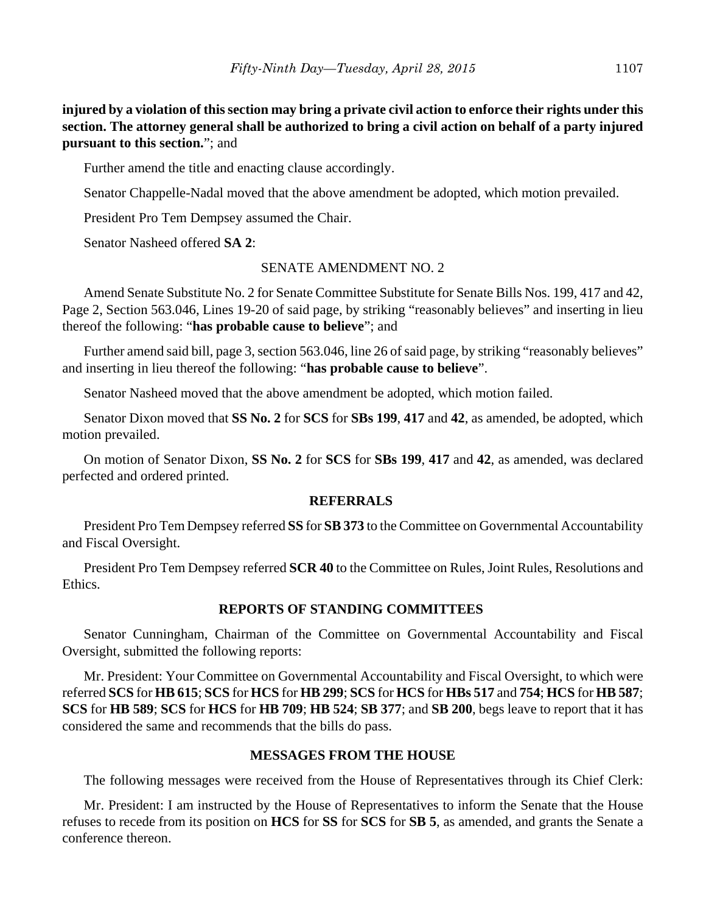**injured by a violation of this section may bring a private civil action to enforce their rights under this section. The attorney general shall be authorized to bring a civil action on behalf of a party injured pursuant to this section.**"; and

Further amend the title and enacting clause accordingly.

Senator Chappelle-Nadal moved that the above amendment be adopted, which motion prevailed.

President Pro Tem Dempsey assumed the Chair.

Senator Nasheed offered **SA 2**:

# SENATE AMENDMENT NO. 2

Amend Senate Substitute No. 2 for Senate Committee Substitute for Senate Bills Nos. 199, 417 and 42, Page 2, Section 563.046, Lines 19-20 of said page, by striking "reasonably believes" and inserting in lieu thereof the following: "**has probable cause to believe**"; and

Further amend said bill, page 3, section 563.046, line 26 of said page, by striking "reasonably believes" and inserting in lieu thereof the following: "**has probable cause to believe**".

Senator Nasheed moved that the above amendment be adopted, which motion failed.

Senator Dixon moved that **SS No. 2** for **SCS** for **SBs 199**, **417** and **42**, as amended, be adopted, which motion prevailed.

On motion of Senator Dixon, **SS No. 2** for **SCS** for **SBs 199**, **417** and **42**, as amended, was declared perfected and ordered printed.

## **REFERRALS**

President Pro Tem Dempsey referred **SS** for **SB 373** to the Committee on Governmental Accountability and Fiscal Oversight.

President Pro Tem Dempsey referred **SCR 40** to the Committee on Rules, Joint Rules, Resolutions and Ethics.

# **REPORTS OF STANDING COMMITTEES**

Senator Cunningham, Chairman of the Committee on Governmental Accountability and Fiscal Oversight, submitted the following reports:

Mr. President: Your Committee on Governmental Accountability and Fiscal Oversight, to which were referred **SCS** for **HB 615**; **SCS** for **HCS** for **HB 299**; **SCS** for **HCS** for **HBs 517** and **754**; **HCS** for **HB 587**; **SCS** for **HB 589**; **SCS** for **HCS** for **HB 709**; **HB 524**; **SB 377**; and **SB 200**, begs leave to report that it has considered the same and recommends that the bills do pass.

# **MESSAGES FROM THE HOUSE**

The following messages were received from the House of Representatives through its Chief Clerk:

Mr. President: I am instructed by the House of Representatives to inform the Senate that the House refuses to recede from its position on **HCS** for **SS** for **SCS** for **SB 5**, as amended, and grants the Senate a conference thereon.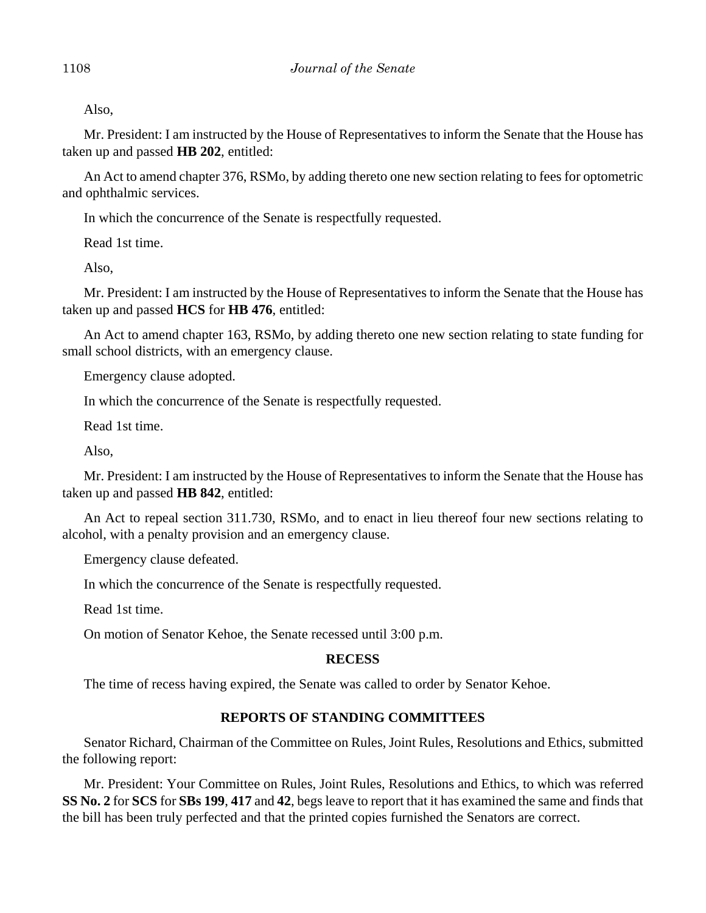Also,

Mr. President: I am instructed by the House of Representatives to inform the Senate that the House has taken up and passed **HB 202**, entitled:

An Act to amend chapter 376, RSMo, by adding thereto one new section relating to fees for optometric and ophthalmic services.

In which the concurrence of the Senate is respectfully requested.

Read 1st time.

Also,

Mr. President: I am instructed by the House of Representatives to inform the Senate that the House has taken up and passed **HCS** for **HB 476**, entitled:

An Act to amend chapter 163, RSMo, by adding thereto one new section relating to state funding for small school districts, with an emergency clause.

Emergency clause adopted.

In which the concurrence of the Senate is respectfully requested.

Read 1st time.

Also,

Mr. President: I am instructed by the House of Representatives to inform the Senate that the House has taken up and passed **HB 842**, entitled:

An Act to repeal section 311.730, RSMo, and to enact in lieu thereof four new sections relating to alcohol, with a penalty provision and an emergency clause.

Emergency clause defeated.

In which the concurrence of the Senate is respectfully requested.

Read 1st time.

On motion of Senator Kehoe, the Senate recessed until 3:00 p.m.

#### **RECESS**

The time of recess having expired, the Senate was called to order by Senator Kehoe.

# **REPORTS OF STANDING COMMITTEES**

Senator Richard, Chairman of the Committee on Rules, Joint Rules, Resolutions and Ethics, submitted the following report:

Mr. President: Your Committee on Rules, Joint Rules, Resolutions and Ethics, to which was referred **SS No. 2** for **SCS** for **SBs 199**, **417** and **42**, begs leave to report that it has examined the same and finds that the bill has been truly perfected and that the printed copies furnished the Senators are correct.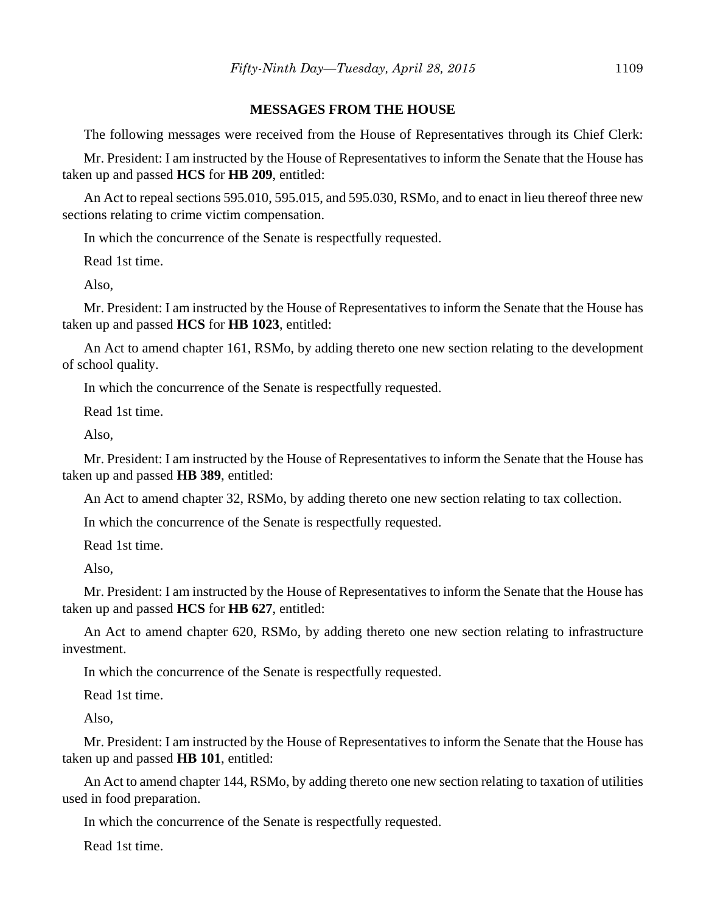## **MESSAGES FROM THE HOUSE**

The following messages were received from the House of Representatives through its Chief Clerk:

Mr. President: I am instructed by the House of Representatives to inform the Senate that the House has taken up and passed **HCS** for **HB 209**, entitled:

An Act to repeal sections 595.010, 595.015, and 595.030, RSMo, and to enact in lieu thereof three new sections relating to crime victim compensation.

In which the concurrence of the Senate is respectfully requested.

Read 1st time.

Also,

Mr. President: I am instructed by the House of Representatives to inform the Senate that the House has taken up and passed **HCS** for **HB 1023**, entitled:

An Act to amend chapter 161, RSMo, by adding thereto one new section relating to the development of school quality.

In which the concurrence of the Senate is respectfully requested.

Read 1st time.

Also,

Mr. President: I am instructed by the House of Representatives to inform the Senate that the House has taken up and passed **HB 389**, entitled:

An Act to amend chapter 32, RSMo, by adding thereto one new section relating to tax collection.

In which the concurrence of the Senate is respectfully requested.

Read 1st time.

Also,

Mr. President: I am instructed by the House of Representatives to inform the Senate that the House has taken up and passed **HCS** for **HB 627**, entitled:

An Act to amend chapter 620, RSMo, by adding thereto one new section relating to infrastructure investment.

In which the concurrence of the Senate is respectfully requested.

Read 1st time.

Also,

Mr. President: I am instructed by the House of Representatives to inform the Senate that the House has taken up and passed **HB 101**, entitled:

An Act to amend chapter 144, RSMo, by adding thereto one new section relating to taxation of utilities used in food preparation.

In which the concurrence of the Senate is respectfully requested.

Read 1st time.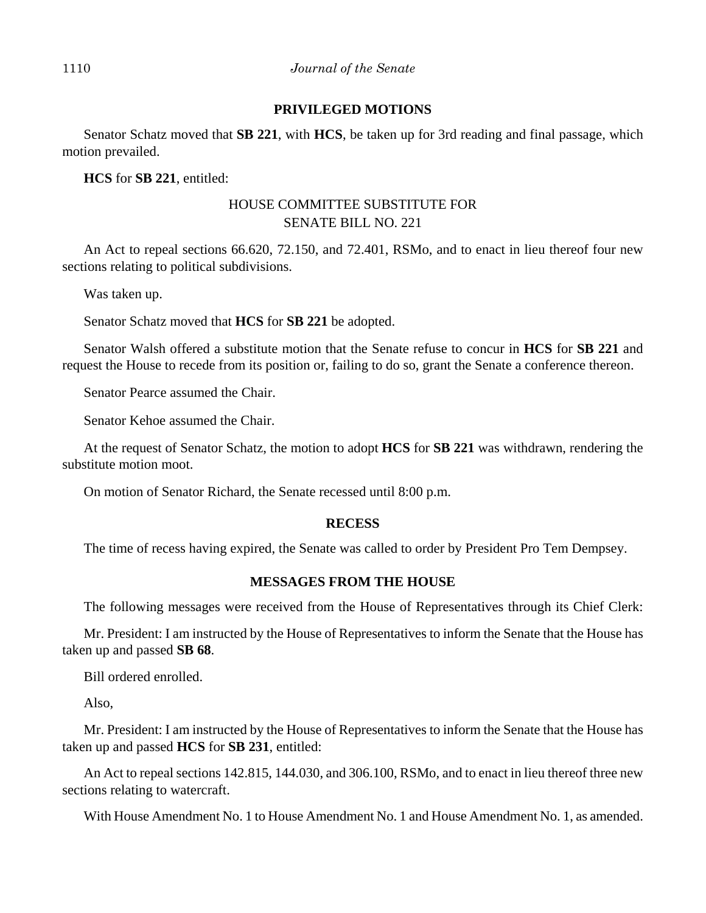## 1110 *Journal of the Senate*

## **PRIVILEGED MOTIONS**

Senator Schatz moved that **SB 221**, with **HCS**, be taken up for 3rd reading and final passage, which motion prevailed.

**HCS** for **SB 221**, entitled:

# HOUSE COMMITTEE SUBSTITUTE FOR SENATE BILL NO. 221

An Act to repeal sections 66.620, 72.150, and 72.401, RSMo, and to enact in lieu thereof four new sections relating to political subdivisions.

Was taken up.

Senator Schatz moved that **HCS** for **SB 221** be adopted.

Senator Walsh offered a substitute motion that the Senate refuse to concur in **HCS** for **SB 221** and request the House to recede from its position or, failing to do so, grant the Senate a conference thereon.

Senator Pearce assumed the Chair.

Senator Kehoe assumed the Chair.

At the request of Senator Schatz, the motion to adopt **HCS** for **SB 221** was withdrawn, rendering the substitute motion moot.

On motion of Senator Richard, the Senate recessed until 8:00 p.m.

#### **RECESS**

The time of recess having expired, the Senate was called to order by President Pro Tem Dempsey.

#### **MESSAGES FROM THE HOUSE**

The following messages were received from the House of Representatives through its Chief Clerk:

Mr. President: I am instructed by the House of Representatives to inform the Senate that the House has taken up and passed **SB 68**.

Bill ordered enrolled.

Also,

Mr. President: I am instructed by the House of Representatives to inform the Senate that the House has taken up and passed **HCS** for **SB 231**, entitled:

An Act to repeal sections 142.815, 144.030, and 306.100, RSMo, and to enact in lieu thereof three new sections relating to watercraft.

With House Amendment No. 1 to House Amendment No. 1 and House Amendment No. 1, as amended.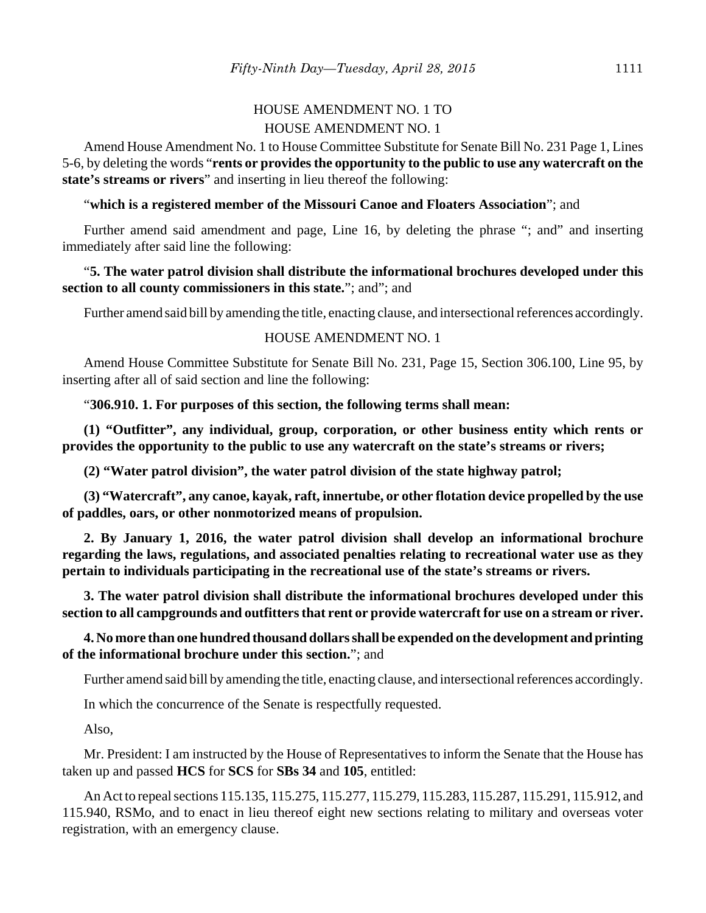# HOUSE AMENDMENT NO. 1 TO HOUSE AMENDMENT NO. 1

Amend House Amendment No. 1 to House Committee Substitute for Senate Bill No. 231 Page 1, Lines 5-6, by deleting the words "**rents or provides the opportunity to the public to use any watercraft on the state's streams or rivers**" and inserting in lieu thereof the following:

## "**which is a registered member of the Missouri Canoe and Floaters Association**"; and

Further amend said amendment and page, Line 16, by deleting the phrase "; and" and inserting immediately after said line the following:

# "**5. The water patrol division shall distribute the informational brochures developed under this section to all county commissioners in this state.**"; and"; and

Further amend said bill by amending the title, enacting clause, and intersectional references accordingly.

## HOUSE AMENDMENT NO. 1

Amend House Committee Substitute for Senate Bill No. 231, Page 15, Section 306.100, Line 95, by inserting after all of said section and line the following:

"**306.910. 1. For purposes of this section, the following terms shall mean:**

**(1) "Outfitter", any individual, group, corporation, or other business entity which rents or provides the opportunity to the public to use any watercraft on the state's streams or rivers;**

**(2) "Water patrol division", the water patrol division of the state highway patrol;**

**(3) "Watercraft", any canoe, kayak, raft, innertube, or other flotation device propelled by the use of paddles, oars, or other nonmotorized means of propulsion.**

**2. By January 1, 2016, the water patrol division shall develop an informational brochure regarding the laws, regulations, and associated penalties relating to recreational water use as they pertain to individuals participating in the recreational use of the state's streams or rivers.**

**3. The water patrol division shall distribute the informational brochures developed under this section to all campgrounds and outfitters that rent or provide watercraft for use on a stream or river.**

# **4. No more than one hundred thousand dollars shall be expended on the development and printing of the informational brochure under this section.**"; and

Further amend said bill by amending the title, enacting clause, and intersectional references accordingly.

In which the concurrence of the Senate is respectfully requested.

Also,

Mr. President: I am instructed by the House of Representatives to inform the Senate that the House has taken up and passed **HCS** for **SCS** for **SBs 34** and **105**, entitled:

An Act to repeal sections 115.135, 115.275, 115.277, 115.279, 115.283, 115.287, 115.291, 115.912, and 115.940, RSMo, and to enact in lieu thereof eight new sections relating to military and overseas voter registration, with an emergency clause.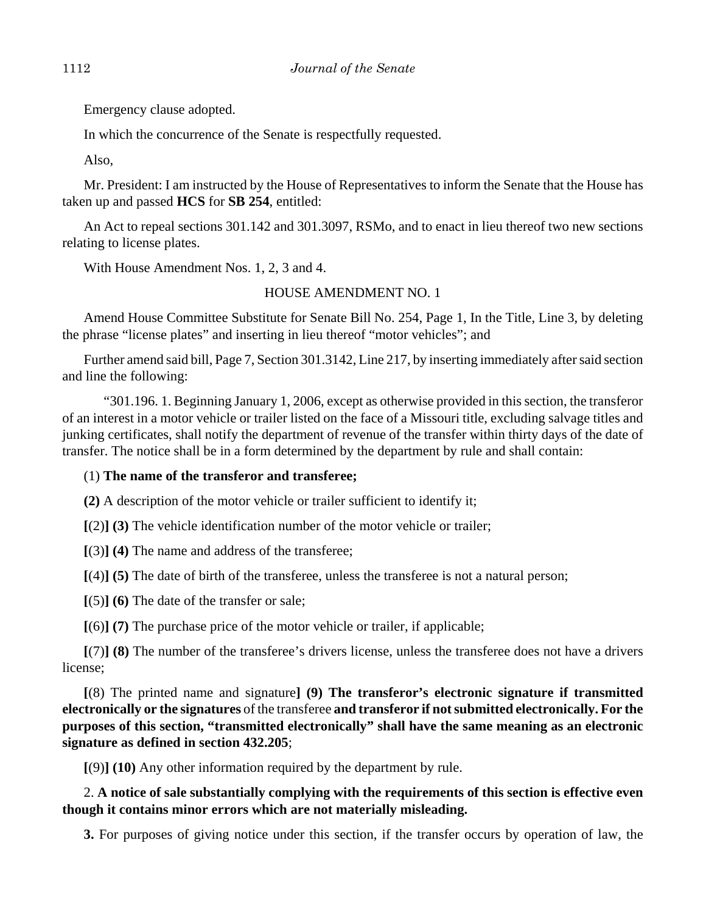Emergency clause adopted.

In which the concurrence of the Senate is respectfully requested.

Also,

Mr. President: I am instructed by the House of Representatives to inform the Senate that the House has taken up and passed **HCS** for **SB 254**, entitled:

An Act to repeal sections 301.142 and 301.3097, RSMo, and to enact in lieu thereof two new sections relating to license plates.

With House Amendment Nos. 1, 2, 3 and 4.

## HOUSE AMENDMENT NO. 1

Amend House Committee Substitute for Senate Bill No. 254, Page 1, In the Title, Line 3, by deleting the phrase "license plates" and inserting in lieu thereof "motor vehicles"; and

Further amend said bill, Page 7, Section 301.3142, Line 217, by inserting immediately after said section and line the following:

"301.196. 1. Beginning January 1, 2006, except as otherwise provided in this section, the transferor of an interest in a motor vehicle or trailer listed on the face of a Missouri title, excluding salvage titles and junking certificates, shall notify the department of revenue of the transfer within thirty days of the date of transfer. The notice shall be in a form determined by the department by rule and shall contain:

## (1) **The name of the transferor and transferee;**

**(2)** A description of the motor vehicle or trailer sufficient to identify it;

**[**(2)**] (3)** The vehicle identification number of the motor vehicle or trailer;

**[**(3)**] (4)** The name and address of the transferee;

**[**(4)**] (5)** The date of birth of the transferee, unless the transferee is not a natural person;

**[**(5)**] (6)** The date of the transfer or sale;

**[**(6)**] (7)** The purchase price of the motor vehicle or trailer, if applicable;

**[**(7)**] (8)** The number of the transferee's drivers license, unless the transferee does not have a drivers license;

**[**(8) The printed name and signature**] (9) The transferor's electronic signature if transmitted electronically or the signatures** of the transferee **and transferor if not submitted electronically. For the purposes of this section, "transmitted electronically" shall have the same meaning as an electronic signature as defined in section 432.205**;

**[**(9)**] (10)** Any other information required by the department by rule.

2. **A notice of sale substantially complying with the requirements of this section is effective even though it contains minor errors which are not materially misleading.**

**3.** For purposes of giving notice under this section, if the transfer occurs by operation of law, the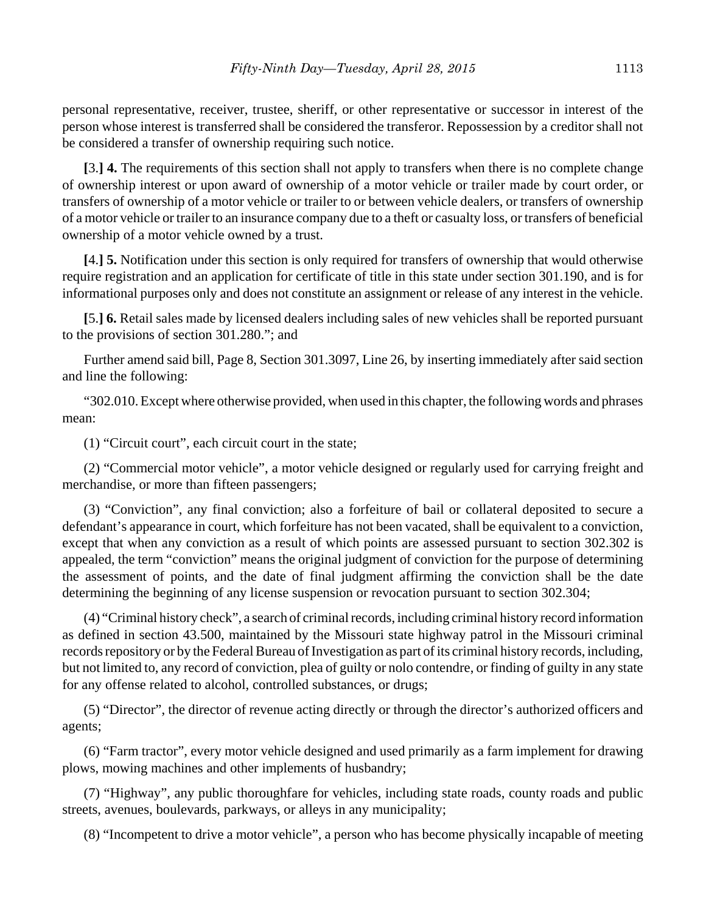personal representative, receiver, trustee, sheriff, or other representative or successor in interest of the person whose interest is transferred shall be considered the transferor. Repossession by a creditor shall not be considered a transfer of ownership requiring such notice.

**[**3.**] 4.** The requirements of this section shall not apply to transfers when there is no complete change of ownership interest or upon award of ownership of a motor vehicle or trailer made by court order, or transfers of ownership of a motor vehicle or trailer to or between vehicle dealers, or transfers of ownership of a motor vehicle or trailer to an insurance company due to a theft or casualty loss, or transfers of beneficial ownership of a motor vehicle owned by a trust.

**[**4.**] 5.** Notification under this section is only required for transfers of ownership that would otherwise require registration and an application for certificate of title in this state under section 301.190, and is for informational purposes only and does not constitute an assignment or release of any interest in the vehicle.

**[**5.**] 6.** Retail sales made by licensed dealers including sales of new vehicles shall be reported pursuant to the provisions of section 301.280."; and

Further amend said bill, Page 8, Section 301.3097, Line 26, by inserting immediately after said section and line the following:

"302.010. Except where otherwise provided, when used in this chapter, the following words and phrases mean:

(1) "Circuit court", each circuit court in the state;

(2) "Commercial motor vehicle", a motor vehicle designed or regularly used for carrying freight and merchandise, or more than fifteen passengers;

(3) "Conviction", any final conviction; also a forfeiture of bail or collateral deposited to secure a defendant's appearance in court, which forfeiture has not been vacated, shall be equivalent to a conviction, except that when any conviction as a result of which points are assessed pursuant to section 302.302 is appealed, the term "conviction" means the original judgment of conviction for the purpose of determining the assessment of points, and the date of final judgment affirming the conviction shall be the date determining the beginning of any license suspension or revocation pursuant to section 302.304;

(4) "Criminal history check", a search of criminal records, including criminal history record information as defined in section 43.500, maintained by the Missouri state highway patrol in the Missouri criminal records repository or by the Federal Bureau of Investigation as part of its criminal history records, including, but not limited to, any record of conviction, plea of guilty or nolo contendre, or finding of guilty in any state for any offense related to alcohol, controlled substances, or drugs;

(5) "Director", the director of revenue acting directly or through the director's authorized officers and agents;

(6) "Farm tractor", every motor vehicle designed and used primarily as a farm implement for drawing plows, mowing machines and other implements of husbandry;

(7) "Highway", any public thoroughfare for vehicles, including state roads, county roads and public streets, avenues, boulevards, parkways, or alleys in any municipality;

(8) "Incompetent to drive a motor vehicle", a person who has become physically incapable of meeting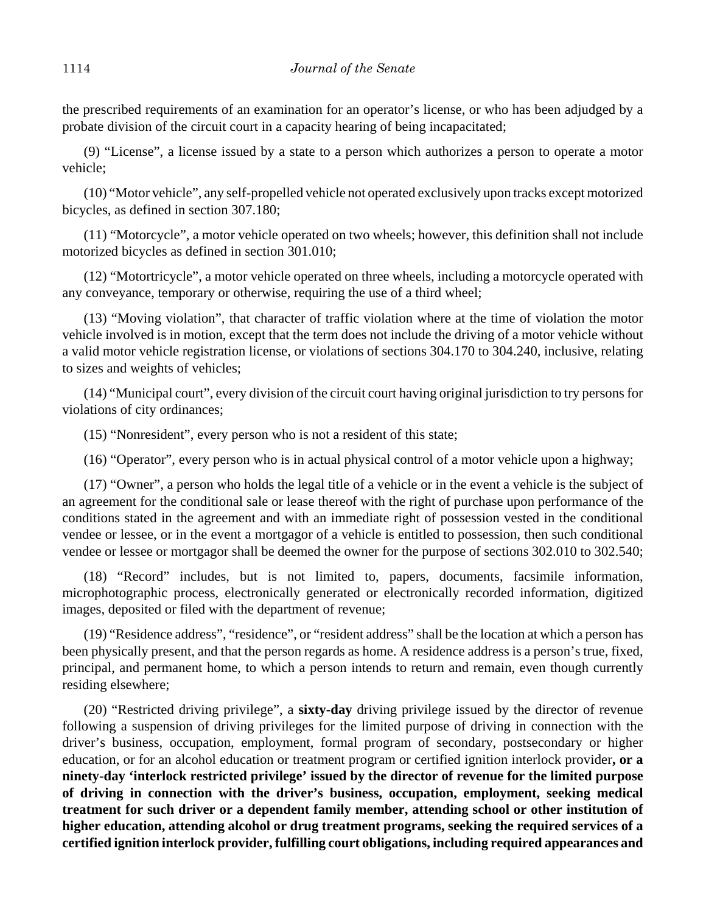the prescribed requirements of an examination for an operator's license, or who has been adjudged by a probate division of the circuit court in a capacity hearing of being incapacitated;

(9) "License", a license issued by a state to a person which authorizes a person to operate a motor vehicle;

(10) "Motor vehicle", any self-propelled vehicle not operated exclusively upon tracks except motorized bicycles, as defined in section 307.180;

(11) "Motorcycle", a motor vehicle operated on two wheels; however, this definition shall not include motorized bicycles as defined in section 301.010;

(12) "Motortricycle", a motor vehicle operated on three wheels, including a motorcycle operated with any conveyance, temporary or otherwise, requiring the use of a third wheel;

(13) "Moving violation", that character of traffic violation where at the time of violation the motor vehicle involved is in motion, except that the term does not include the driving of a motor vehicle without a valid motor vehicle registration license, or violations of sections 304.170 to 304.240, inclusive, relating to sizes and weights of vehicles;

(14) "Municipal court", every division of the circuit court having original jurisdiction to try persons for violations of city ordinances;

(15) "Nonresident", every person who is not a resident of this state;

(16) "Operator", every person who is in actual physical control of a motor vehicle upon a highway;

(17) "Owner", a person who holds the legal title of a vehicle or in the event a vehicle is the subject of an agreement for the conditional sale or lease thereof with the right of purchase upon performance of the conditions stated in the agreement and with an immediate right of possession vested in the conditional vendee or lessee, or in the event a mortgagor of a vehicle is entitled to possession, then such conditional vendee or lessee or mortgagor shall be deemed the owner for the purpose of sections 302.010 to 302.540;

(18) "Record" includes, but is not limited to, papers, documents, facsimile information, microphotographic process, electronically generated or electronically recorded information, digitized images, deposited or filed with the department of revenue;

(19) "Residence address", "residence", or "resident address" shall be the location at which a person has been physically present, and that the person regards as home. A residence address is a person's true, fixed, principal, and permanent home, to which a person intends to return and remain, even though currently residing elsewhere;

(20) "Restricted driving privilege", a **sixty-day** driving privilege issued by the director of revenue following a suspension of driving privileges for the limited purpose of driving in connection with the driver's business, occupation, employment, formal program of secondary, postsecondary or higher education, or for an alcohol education or treatment program or certified ignition interlock provider**, or a ninety-day 'interlock restricted privilege' issued by the director of revenue for the limited purpose of driving in connection with the driver's business, occupation, employment, seeking medical treatment for such driver or a dependent family member, attending school or other institution of higher education, attending alcohol or drug treatment programs, seeking the required services of a certified ignition interlock provider, fulfilling court obligations, including required appearances and**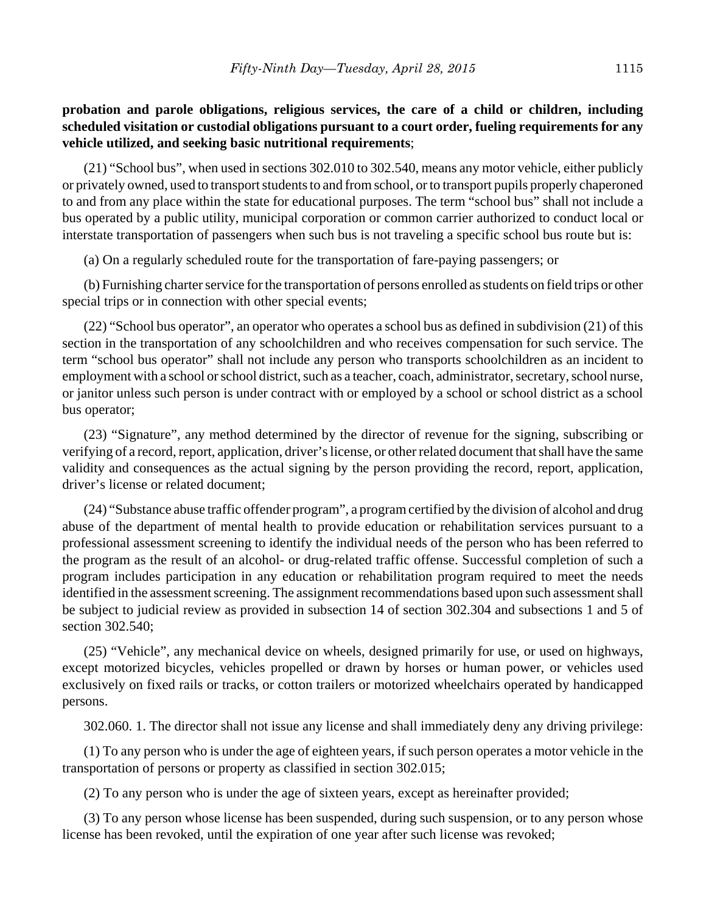# **probation and parole obligations, religious services, the care of a child or children, including scheduled visitation or custodial obligations pursuant to a court order, fueling requirements for any vehicle utilized, and seeking basic nutritional requirements**;

(21) "School bus", when used in sections 302.010 to 302.540, means any motor vehicle, either publicly or privately owned, used to transport students to and from school, or to transport pupils properly chaperoned to and from any place within the state for educational purposes. The term "school bus" shall not include a bus operated by a public utility, municipal corporation or common carrier authorized to conduct local or interstate transportation of passengers when such bus is not traveling a specific school bus route but is:

(a) On a regularly scheduled route for the transportation of fare-paying passengers; or

(b) Furnishing charter service for the transportation of persons enrolled as students on field trips or other special trips or in connection with other special events;

(22) "School bus operator", an operator who operates a school bus as defined in subdivision (21) of this section in the transportation of any schoolchildren and who receives compensation for such service. The term "school bus operator" shall not include any person who transports schoolchildren as an incident to employment with a school or school district, such as a teacher, coach, administrator, secretary, school nurse, or janitor unless such person is under contract with or employed by a school or school district as a school bus operator;

(23) "Signature", any method determined by the director of revenue for the signing, subscribing or verifying of a record, report, application, driver's license, or other related document that shall have the same validity and consequences as the actual signing by the person providing the record, report, application, driver's license or related document;

(24) "Substance abuse traffic offender program", a program certified by the division of alcohol and drug abuse of the department of mental health to provide education or rehabilitation services pursuant to a professional assessment screening to identify the individual needs of the person who has been referred to the program as the result of an alcohol- or drug-related traffic offense. Successful completion of such a program includes participation in any education or rehabilitation program required to meet the needs identified in the assessment screening. The assignment recommendations based upon such assessment shall be subject to judicial review as provided in subsection 14 of section 302.304 and subsections 1 and 5 of section 302.540;

(25) "Vehicle", any mechanical device on wheels, designed primarily for use, or used on highways, except motorized bicycles, vehicles propelled or drawn by horses or human power, or vehicles used exclusively on fixed rails or tracks, or cotton trailers or motorized wheelchairs operated by handicapped persons.

302.060. 1. The director shall not issue any license and shall immediately deny any driving privilege:

(1) To any person who is under the age of eighteen years, if such person operates a motor vehicle in the transportation of persons or property as classified in section 302.015;

(2) To any person who is under the age of sixteen years, except as hereinafter provided;

(3) To any person whose license has been suspended, during such suspension, or to any person whose license has been revoked, until the expiration of one year after such license was revoked;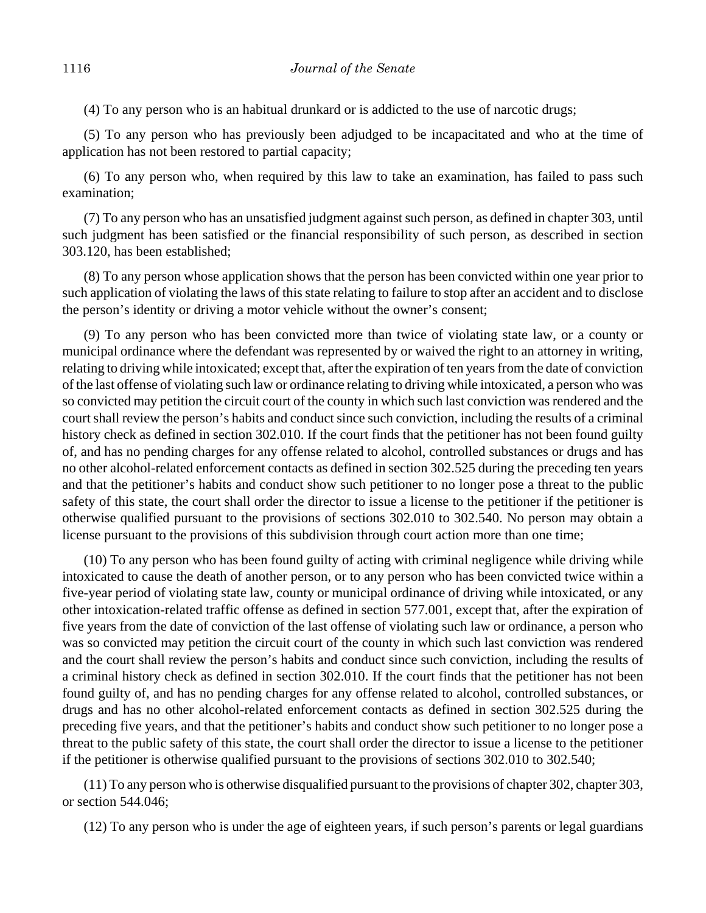(4) To any person who is an habitual drunkard or is addicted to the use of narcotic drugs;

(5) To any person who has previously been adjudged to be incapacitated and who at the time of application has not been restored to partial capacity;

(6) To any person who, when required by this law to take an examination, has failed to pass such examination;

(7) To any person who has an unsatisfied judgment against such person, as defined in chapter 303, until such judgment has been satisfied or the financial responsibility of such person, as described in section 303.120, has been established;

(8) To any person whose application shows that the person has been convicted within one year prior to such application of violating the laws of this state relating to failure to stop after an accident and to disclose the person's identity or driving a motor vehicle without the owner's consent;

(9) To any person who has been convicted more than twice of violating state law, or a county or municipal ordinance where the defendant was represented by or waived the right to an attorney in writing, relating to driving while intoxicated; except that, after the expiration of ten years from the date of conviction of the last offense of violating such law or ordinance relating to driving while intoxicated, a person who was so convicted may petition the circuit court of the county in which such last conviction was rendered and the court shall review the person's habits and conduct since such conviction, including the results of a criminal history check as defined in section 302.010. If the court finds that the petitioner has not been found guilty of, and has no pending charges for any offense related to alcohol, controlled substances or drugs and has no other alcohol-related enforcement contacts as defined in section 302.525 during the preceding ten years and that the petitioner's habits and conduct show such petitioner to no longer pose a threat to the public safety of this state, the court shall order the director to issue a license to the petitioner if the petitioner is otherwise qualified pursuant to the provisions of sections 302.010 to 302.540. No person may obtain a license pursuant to the provisions of this subdivision through court action more than one time;

(10) To any person who has been found guilty of acting with criminal negligence while driving while intoxicated to cause the death of another person, or to any person who has been convicted twice within a five-year period of violating state law, county or municipal ordinance of driving while intoxicated, or any other intoxication-related traffic offense as defined in section 577.001, except that, after the expiration of five years from the date of conviction of the last offense of violating such law or ordinance, a person who was so convicted may petition the circuit court of the county in which such last conviction was rendered and the court shall review the person's habits and conduct since such conviction, including the results of a criminal history check as defined in section 302.010. If the court finds that the petitioner has not been found guilty of, and has no pending charges for any offense related to alcohol, controlled substances, or drugs and has no other alcohol-related enforcement contacts as defined in section 302.525 during the preceding five years, and that the petitioner's habits and conduct show such petitioner to no longer pose a threat to the public safety of this state, the court shall order the director to issue a license to the petitioner if the petitioner is otherwise qualified pursuant to the provisions of sections 302.010 to 302.540;

(11) To any person who is otherwise disqualified pursuant to the provisions of chapter 302, chapter 303, or section 544.046;

(12) To any person who is under the age of eighteen years, if such person's parents or legal guardians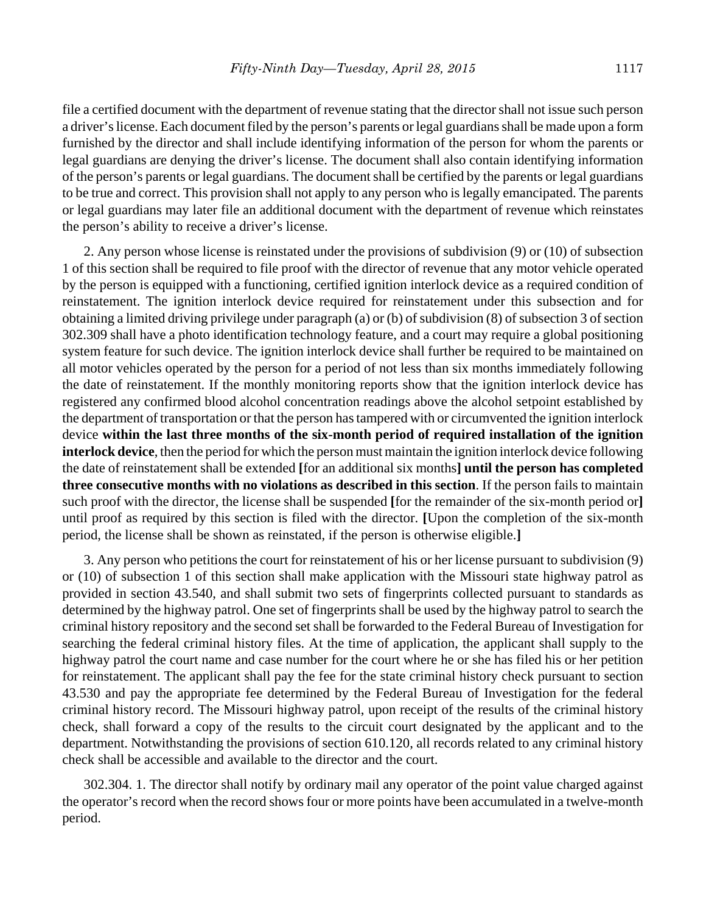file a certified document with the department of revenue stating that the director shall not issue such person a driver's license. Each document filed by the person's parents or legal guardians shall be made upon a form furnished by the director and shall include identifying information of the person for whom the parents or legal guardians are denying the driver's license. The document shall also contain identifying information of the person's parents or legal guardians. The document shall be certified by the parents or legal guardians to be true and correct. This provision shall not apply to any person who is legally emancipated. The parents or legal guardians may later file an additional document with the department of revenue which reinstates the person's ability to receive a driver's license.

2. Any person whose license is reinstated under the provisions of subdivision (9) or (10) of subsection 1 of this section shall be required to file proof with the director of revenue that any motor vehicle operated by the person is equipped with a functioning, certified ignition interlock device as a required condition of reinstatement. The ignition interlock device required for reinstatement under this subsection and for obtaining a limited driving privilege under paragraph (a) or (b) of subdivision (8) of subsection 3 of section 302.309 shall have a photo identification technology feature, and a court may require a global positioning system feature for such device. The ignition interlock device shall further be required to be maintained on all motor vehicles operated by the person for a period of not less than six months immediately following the date of reinstatement. If the monthly monitoring reports show that the ignition interlock device has registered any confirmed blood alcohol concentration readings above the alcohol setpoint established by the department of transportation or that the person has tampered with or circumvented the ignition interlock device **within the last three months of the six-month period of required installation of the ignition interlock device**, then the period for which the person must maintain the ignition interlock device following the date of reinstatement shall be extended **[**for an additional six months**] until the person has completed three consecutive months with no violations as described in this section**. If the person fails to maintain such proof with the director, the license shall be suspended **[**for the remainder of the six-month period or**]** until proof as required by this section is filed with the director. **[**Upon the completion of the six-month period, the license shall be shown as reinstated, if the person is otherwise eligible.**]**

3. Any person who petitions the court for reinstatement of his or her license pursuant to subdivision (9) or (10) of subsection 1 of this section shall make application with the Missouri state highway patrol as provided in section 43.540, and shall submit two sets of fingerprints collected pursuant to standards as determined by the highway patrol. One set of fingerprints shall be used by the highway patrol to search the criminal history repository and the second set shall be forwarded to the Federal Bureau of Investigation for searching the federal criminal history files. At the time of application, the applicant shall supply to the highway patrol the court name and case number for the court where he or she has filed his or her petition for reinstatement. The applicant shall pay the fee for the state criminal history check pursuant to section 43.530 and pay the appropriate fee determined by the Federal Bureau of Investigation for the federal criminal history record. The Missouri highway patrol, upon receipt of the results of the criminal history check, shall forward a copy of the results to the circuit court designated by the applicant and to the department. Notwithstanding the provisions of section 610.120, all records related to any criminal history check shall be accessible and available to the director and the court.

302.304. 1. The director shall notify by ordinary mail any operator of the point value charged against the operator's record when the record shows four or more points have been accumulated in a twelve-month period.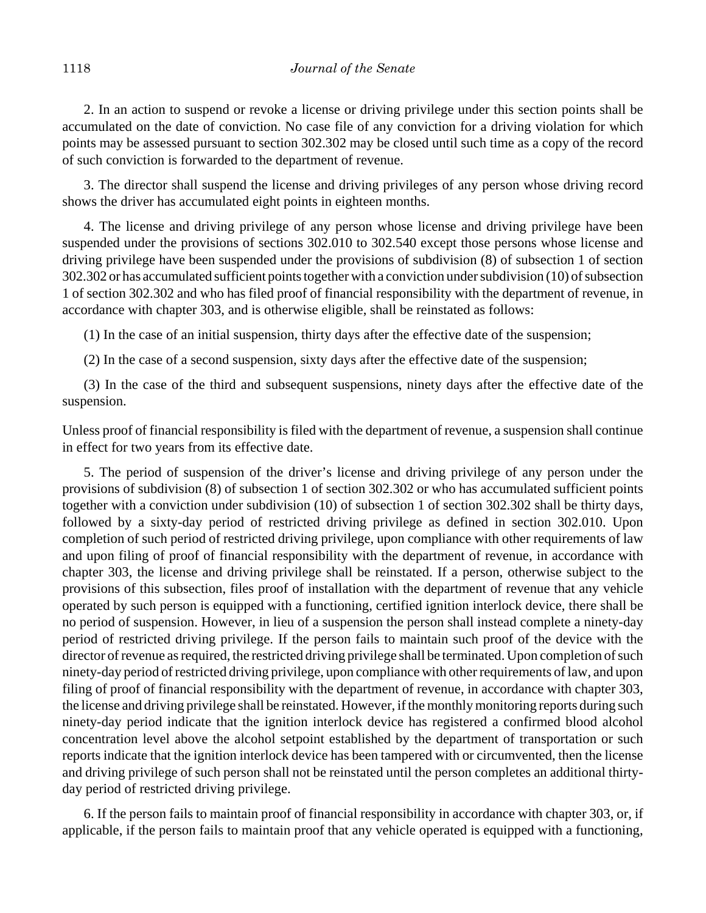2. In an action to suspend or revoke a license or driving privilege under this section points shall be accumulated on the date of conviction. No case file of any conviction for a driving violation for which points may be assessed pursuant to section 302.302 may be closed until such time as a copy of the record of such conviction is forwarded to the department of revenue.

3. The director shall suspend the license and driving privileges of any person whose driving record shows the driver has accumulated eight points in eighteen months.

4. The license and driving privilege of any person whose license and driving privilege have been suspended under the provisions of sections 302.010 to 302.540 except those persons whose license and driving privilege have been suspended under the provisions of subdivision (8) of subsection 1 of section 302.302 or has accumulated sufficient points together with a conviction under subdivision (10) of subsection 1 of section 302.302 and who has filed proof of financial responsibility with the department of revenue, in accordance with chapter 303, and is otherwise eligible, shall be reinstated as follows:

(1) In the case of an initial suspension, thirty days after the effective date of the suspension;

(2) In the case of a second suspension, sixty days after the effective date of the suspension;

(3) In the case of the third and subsequent suspensions, ninety days after the effective date of the suspension.

Unless proof of financial responsibility is filed with the department of revenue, a suspension shall continue in effect for two years from its effective date.

5. The period of suspension of the driver's license and driving privilege of any person under the provisions of subdivision (8) of subsection 1 of section 302.302 or who has accumulated sufficient points together with a conviction under subdivision (10) of subsection 1 of section 302.302 shall be thirty days, followed by a sixty-day period of restricted driving privilege as defined in section 302.010. Upon completion of such period of restricted driving privilege, upon compliance with other requirements of law and upon filing of proof of financial responsibility with the department of revenue, in accordance with chapter 303, the license and driving privilege shall be reinstated. If a person, otherwise subject to the provisions of this subsection, files proof of installation with the department of revenue that any vehicle operated by such person is equipped with a functioning, certified ignition interlock device, there shall be no period of suspension. However, in lieu of a suspension the person shall instead complete a ninety-day period of restricted driving privilege. If the person fails to maintain such proof of the device with the director of revenue as required, the restricted driving privilege shall be terminated. Upon completion of such ninety-day period of restricted driving privilege, upon compliance with other requirements of law, and upon filing of proof of financial responsibility with the department of revenue, in accordance with chapter 303, the license and driving privilege shall be reinstated. However, if the monthly monitoring reports during such ninety-day period indicate that the ignition interlock device has registered a confirmed blood alcohol concentration level above the alcohol setpoint established by the department of transportation or such reports indicate that the ignition interlock device has been tampered with or circumvented, then the license and driving privilege of such person shall not be reinstated until the person completes an additional thirtyday period of restricted driving privilege.

6. If the person fails to maintain proof of financial responsibility in accordance with chapter 303, or, if applicable, if the person fails to maintain proof that any vehicle operated is equipped with a functioning,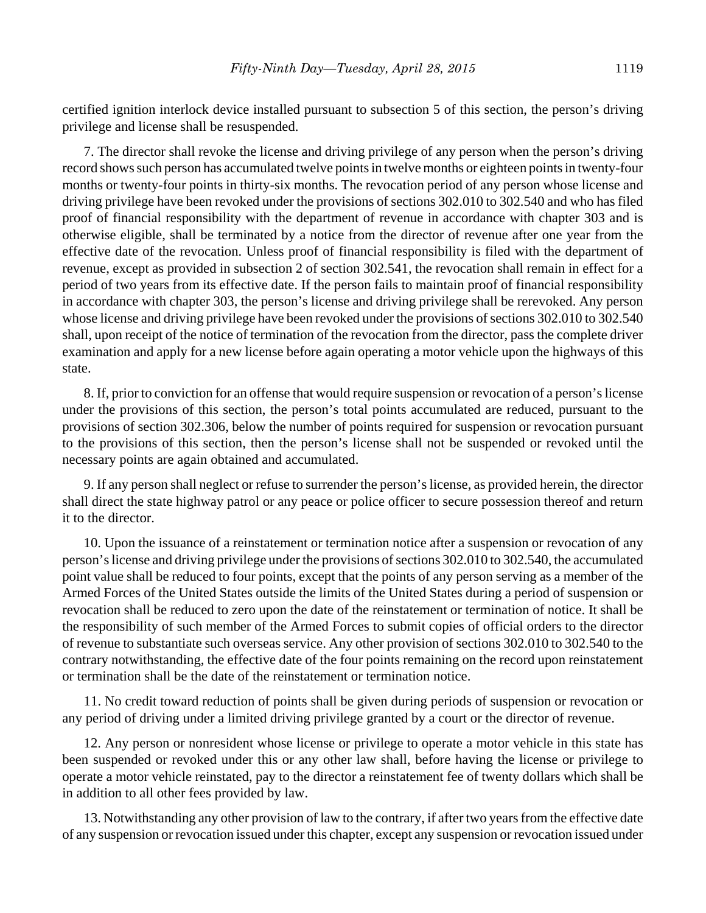certified ignition interlock device installed pursuant to subsection 5 of this section, the person's driving privilege and license shall be resuspended.

7. The director shall revoke the license and driving privilege of any person when the person's driving record shows such person has accumulated twelve points in twelve months or eighteen points in twenty-four months or twenty-four points in thirty-six months. The revocation period of any person whose license and driving privilege have been revoked under the provisions of sections 302.010 to 302.540 and who has filed proof of financial responsibility with the department of revenue in accordance with chapter 303 and is otherwise eligible, shall be terminated by a notice from the director of revenue after one year from the effective date of the revocation. Unless proof of financial responsibility is filed with the department of revenue, except as provided in subsection 2 of section 302.541, the revocation shall remain in effect for a period of two years from its effective date. If the person fails to maintain proof of financial responsibility in accordance with chapter 303, the person's license and driving privilege shall be rerevoked. Any person whose license and driving privilege have been revoked under the provisions of sections 302.010 to 302.540 shall, upon receipt of the notice of termination of the revocation from the director, pass the complete driver examination and apply for a new license before again operating a motor vehicle upon the highways of this state.

8. If, prior to conviction for an offense that would require suspension or revocation of a person's license under the provisions of this section, the person's total points accumulated are reduced, pursuant to the provisions of section 302.306, below the number of points required for suspension or revocation pursuant to the provisions of this section, then the person's license shall not be suspended or revoked until the necessary points are again obtained and accumulated.

9. If any person shall neglect or refuse to surrender the person's license, as provided herein, the director shall direct the state highway patrol or any peace or police officer to secure possession thereof and return it to the director.

10. Upon the issuance of a reinstatement or termination notice after a suspension or revocation of any person's license and driving privilege under the provisions of sections 302.010 to 302.540, the accumulated point value shall be reduced to four points, except that the points of any person serving as a member of the Armed Forces of the United States outside the limits of the United States during a period of suspension or revocation shall be reduced to zero upon the date of the reinstatement or termination of notice. It shall be the responsibility of such member of the Armed Forces to submit copies of official orders to the director of revenue to substantiate such overseas service. Any other provision of sections 302.010 to 302.540 to the contrary notwithstanding, the effective date of the four points remaining on the record upon reinstatement or termination shall be the date of the reinstatement or termination notice.

11. No credit toward reduction of points shall be given during periods of suspension or revocation or any period of driving under a limited driving privilege granted by a court or the director of revenue.

12. Any person or nonresident whose license or privilege to operate a motor vehicle in this state has been suspended or revoked under this or any other law shall, before having the license or privilege to operate a motor vehicle reinstated, pay to the director a reinstatement fee of twenty dollars which shall be in addition to all other fees provided by law.

13. Notwithstanding any other provision of law to the contrary, if after two years from the effective date of any suspension or revocation issued under this chapter, except any suspension or revocation issued under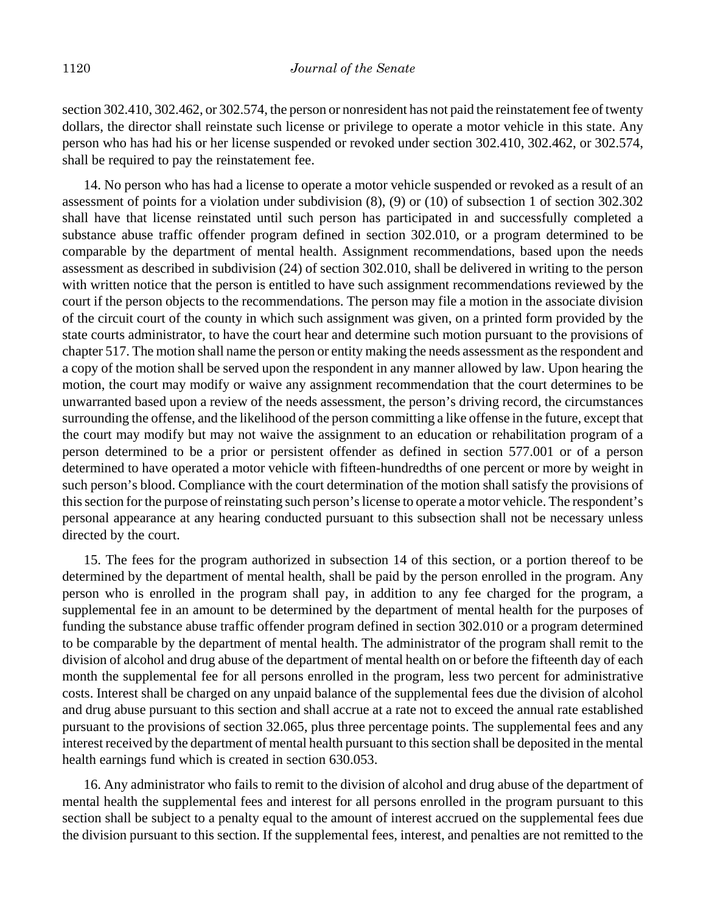section 302.410, 302.462, or 302.574, the person or nonresident has not paid the reinstatement fee of twenty dollars, the director shall reinstate such license or privilege to operate a motor vehicle in this state. Any person who has had his or her license suspended or revoked under section 302.410, 302.462, or 302.574, shall be required to pay the reinstatement fee.

14. No person who has had a license to operate a motor vehicle suspended or revoked as a result of an assessment of points for a violation under subdivision (8), (9) or (10) of subsection 1 of section 302.302 shall have that license reinstated until such person has participated in and successfully completed a substance abuse traffic offender program defined in section 302.010, or a program determined to be comparable by the department of mental health. Assignment recommendations, based upon the needs assessment as described in subdivision (24) of section 302.010, shall be delivered in writing to the person with written notice that the person is entitled to have such assignment recommendations reviewed by the court if the person objects to the recommendations. The person may file a motion in the associate division of the circuit court of the county in which such assignment was given, on a printed form provided by the state courts administrator, to have the court hear and determine such motion pursuant to the provisions of chapter 517. The motion shall name the person or entity making the needs assessment as the respondent and a copy of the motion shall be served upon the respondent in any manner allowed by law. Upon hearing the motion, the court may modify or waive any assignment recommendation that the court determines to be unwarranted based upon a review of the needs assessment, the person's driving record, the circumstances surrounding the offense, and the likelihood of the person committing a like offense in the future, except that the court may modify but may not waive the assignment to an education or rehabilitation program of a person determined to be a prior or persistent offender as defined in section 577.001 or of a person determined to have operated a motor vehicle with fifteen-hundredths of one percent or more by weight in such person's blood. Compliance with the court determination of the motion shall satisfy the provisions of this section for the purpose of reinstating such person's license to operate a motor vehicle. The respondent's personal appearance at any hearing conducted pursuant to this subsection shall not be necessary unless directed by the court.

15. The fees for the program authorized in subsection 14 of this section, or a portion thereof to be determined by the department of mental health, shall be paid by the person enrolled in the program. Any person who is enrolled in the program shall pay, in addition to any fee charged for the program, a supplemental fee in an amount to be determined by the department of mental health for the purposes of funding the substance abuse traffic offender program defined in section 302.010 or a program determined to be comparable by the department of mental health. The administrator of the program shall remit to the division of alcohol and drug abuse of the department of mental health on or before the fifteenth day of each month the supplemental fee for all persons enrolled in the program, less two percent for administrative costs. Interest shall be charged on any unpaid balance of the supplemental fees due the division of alcohol and drug abuse pursuant to this section and shall accrue at a rate not to exceed the annual rate established pursuant to the provisions of section 32.065, plus three percentage points. The supplemental fees and any interest received by the department of mental health pursuant to this section shall be deposited in the mental health earnings fund which is created in section 630.053.

16. Any administrator who fails to remit to the division of alcohol and drug abuse of the department of mental health the supplemental fees and interest for all persons enrolled in the program pursuant to this section shall be subject to a penalty equal to the amount of interest accrued on the supplemental fees due the division pursuant to this section. If the supplemental fees, interest, and penalties are not remitted to the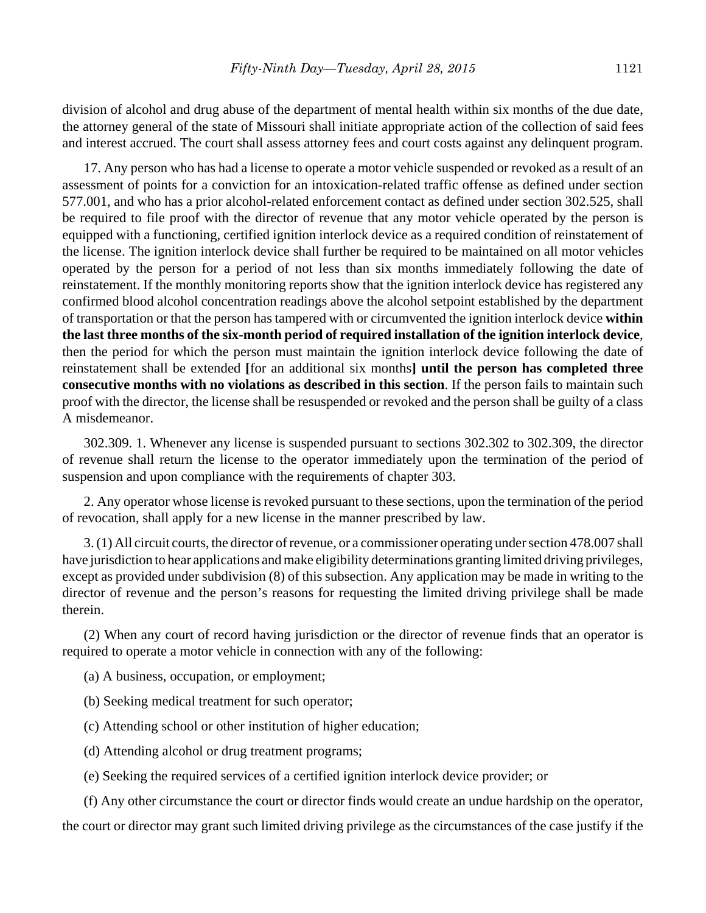division of alcohol and drug abuse of the department of mental health within six months of the due date, the attorney general of the state of Missouri shall initiate appropriate action of the collection of said fees and interest accrued. The court shall assess attorney fees and court costs against any delinquent program.

17. Any person who has had a license to operate a motor vehicle suspended or revoked as a result of an assessment of points for a conviction for an intoxication-related traffic offense as defined under section 577.001, and who has a prior alcohol-related enforcement contact as defined under section 302.525, shall be required to file proof with the director of revenue that any motor vehicle operated by the person is equipped with a functioning, certified ignition interlock device as a required condition of reinstatement of the license. The ignition interlock device shall further be required to be maintained on all motor vehicles operated by the person for a period of not less than six months immediately following the date of reinstatement. If the monthly monitoring reports show that the ignition interlock device has registered any confirmed blood alcohol concentration readings above the alcohol setpoint established by the department of transportation or that the person has tampered with or circumvented the ignition interlock device **within the last three months of the six-month period of required installation of the ignition interlock device**, then the period for which the person must maintain the ignition interlock device following the date of reinstatement shall be extended **[**for an additional six months**] until the person has completed three consecutive months with no violations as described in this section**. If the person fails to maintain such proof with the director, the license shall be resuspended or revoked and the person shall be guilty of a class A misdemeanor.

302.309. 1. Whenever any license is suspended pursuant to sections 302.302 to 302.309, the director of revenue shall return the license to the operator immediately upon the termination of the period of suspension and upon compliance with the requirements of chapter 303.

2. Any operator whose license is revoked pursuant to these sections, upon the termination of the period of revocation, shall apply for a new license in the manner prescribed by law.

3. (1) All circuit courts, the director of revenue, or a commissioner operating under section 478.007 shall have jurisdiction to hear applications and make eligibility determinations granting limited driving privileges, except as provided under subdivision (8) of this subsection. Any application may be made in writing to the director of revenue and the person's reasons for requesting the limited driving privilege shall be made therein.

(2) When any court of record having jurisdiction or the director of revenue finds that an operator is required to operate a motor vehicle in connection with any of the following:

- (a) A business, occupation, or employment;
- (b) Seeking medical treatment for such operator;
- (c) Attending school or other institution of higher education;
- (d) Attending alcohol or drug treatment programs;
- (e) Seeking the required services of a certified ignition interlock device provider; or

(f) Any other circumstance the court or director finds would create an undue hardship on the operator, the court or director may grant such limited driving privilege as the circumstances of the case justify if the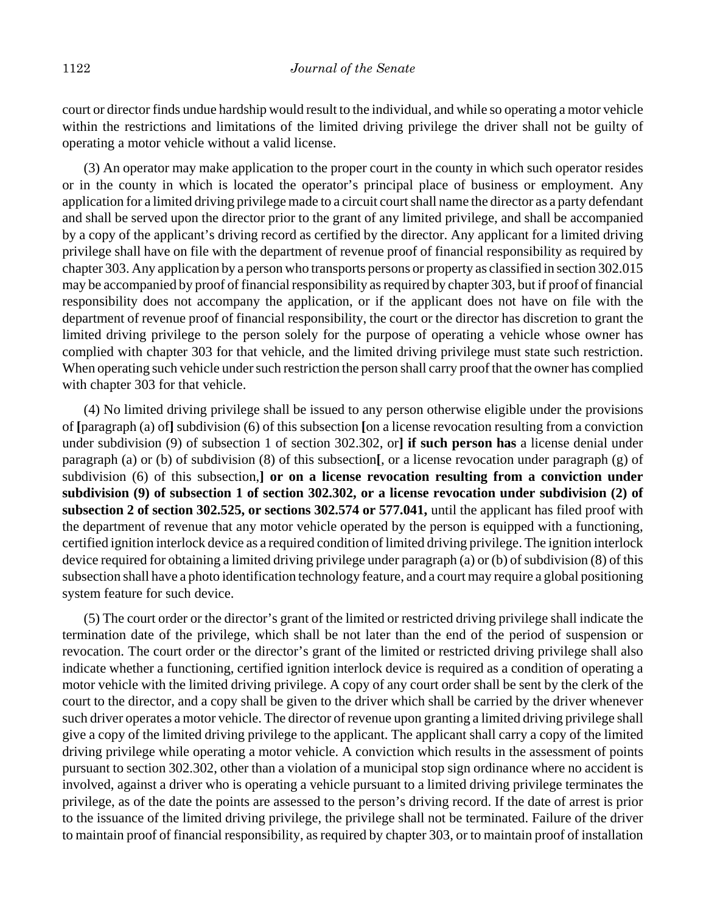court or director finds undue hardship would result to the individual, and while so operating a motor vehicle within the restrictions and limitations of the limited driving privilege the driver shall not be guilty of operating a motor vehicle without a valid license.

(3) An operator may make application to the proper court in the county in which such operator resides or in the county in which is located the operator's principal place of business or employment. Any application for a limited driving privilege made to a circuit court shall name the director as a party defendant and shall be served upon the director prior to the grant of any limited privilege, and shall be accompanied by a copy of the applicant's driving record as certified by the director. Any applicant for a limited driving privilege shall have on file with the department of revenue proof of financial responsibility as required by chapter 303. Any application by a person who transports persons or property as classified in section 302.015 may be accompanied by proof of financial responsibility as required by chapter 303, but if proof of financial responsibility does not accompany the application, or if the applicant does not have on file with the department of revenue proof of financial responsibility, the court or the director has discretion to grant the limited driving privilege to the person solely for the purpose of operating a vehicle whose owner has complied with chapter 303 for that vehicle, and the limited driving privilege must state such restriction. When operating such vehicle under such restriction the person shall carry proof that the owner has complied with chapter 303 for that vehicle.

(4) No limited driving privilege shall be issued to any person otherwise eligible under the provisions of **[**paragraph (a) of**]** subdivision (6) of this subsection **[**on a license revocation resulting from a conviction under subdivision (9) of subsection 1 of section 302.302, or**] if such person has** a license denial under paragraph (a) or (b) of subdivision (8) of this subsection**[**, or a license revocation under paragraph (g) of subdivision (6) of this subsection,**] or on a license revocation resulting from a conviction under subdivision (9) of subsection 1 of section 302.302, or a license revocation under subdivision (2) of subsection 2 of section 302.525, or sections 302.574 or 577.041,** until the applicant has filed proof with the department of revenue that any motor vehicle operated by the person is equipped with a functioning, certified ignition interlock device as a required condition of limited driving privilege. The ignition interlock device required for obtaining a limited driving privilege under paragraph (a) or (b) of subdivision (8) of this subsection shall have a photo identification technology feature, and a court may require a global positioning system feature for such device.

(5) The court order or the director's grant of the limited or restricted driving privilege shall indicate the termination date of the privilege, which shall be not later than the end of the period of suspension or revocation. The court order or the director's grant of the limited or restricted driving privilege shall also indicate whether a functioning, certified ignition interlock device is required as a condition of operating a motor vehicle with the limited driving privilege. A copy of any court order shall be sent by the clerk of the court to the director, and a copy shall be given to the driver which shall be carried by the driver whenever such driver operates a motor vehicle. The director of revenue upon granting a limited driving privilege shall give a copy of the limited driving privilege to the applicant. The applicant shall carry a copy of the limited driving privilege while operating a motor vehicle. A conviction which results in the assessment of points pursuant to section 302.302, other than a violation of a municipal stop sign ordinance where no accident is involved, against a driver who is operating a vehicle pursuant to a limited driving privilege terminates the privilege, as of the date the points are assessed to the person's driving record. If the date of arrest is prior to the issuance of the limited driving privilege, the privilege shall not be terminated. Failure of the driver to maintain proof of financial responsibility, as required by chapter 303, or to maintain proof of installation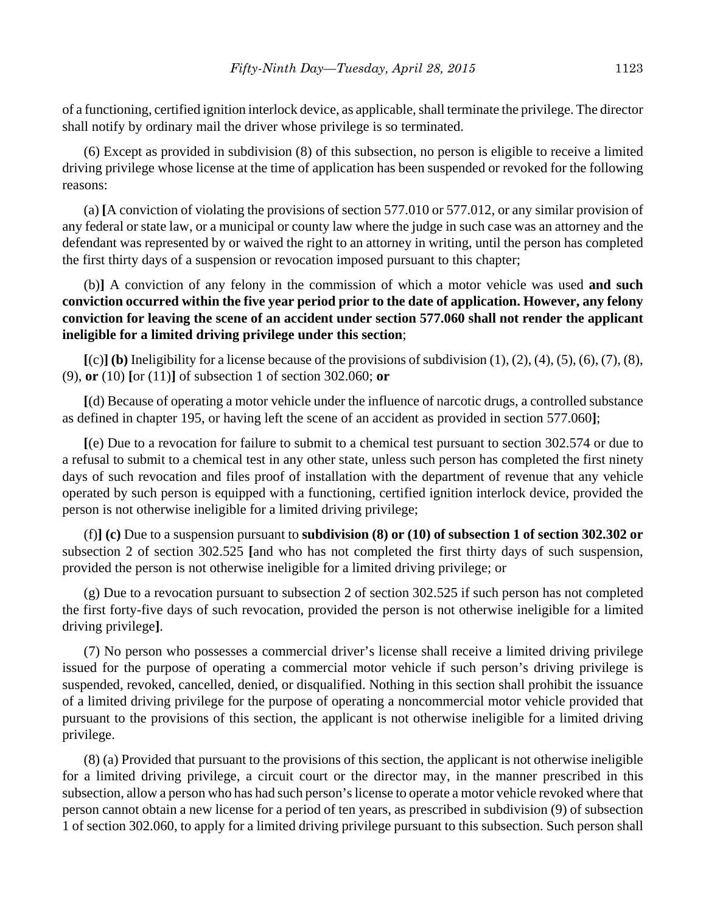of a functioning, certified ignition interlock device, as applicable, shall terminate the privilege. The director shall notify by ordinary mail the driver whose privilege is so terminated.

(6) Except as provided in subdivision (8) of this subsection, no person is eligible to receive a limited driving privilege whose license at the time of application has been suspended or revoked for the following reasons:

(a) **[**A conviction of violating the provisions of section 577.010 or 577.012, or any similar provision of any federal or state law, or a municipal or county law where the judge in such case was an attorney and the defendant was represented by or waived the right to an attorney in writing, until the person has completed the first thirty days of a suspension or revocation imposed pursuant to this chapter;

(b)**]** A conviction of any felony in the commission of which a motor vehicle was used **and such conviction occurred within the five year period prior to the date of application. However, any felony conviction for leaving the scene of an accident under section 577.060 shall not render the applicant ineligible for a limited driving privilege under this section**;

 $[(c)]$  (b) Ineligibility for a license because of the provisions of subdivision  $(1)$ ,  $(2)$ ,  $(4)$ ,  $(5)$ ,  $(6)$ ,  $(7)$ ,  $(8)$ , (9), **or** (10) **[**or (11)**]** of subsection 1 of section 302.060; **or**

**[**(d) Because of operating a motor vehicle under the influence of narcotic drugs, a controlled substance as defined in chapter 195, or having left the scene of an accident as provided in section 577.060**]**;

**[**(e) Due to a revocation for failure to submit to a chemical test pursuant to section 302.574 or due to a refusal to submit to a chemical test in any other state, unless such person has completed the first ninety days of such revocation and files proof of installation with the department of revenue that any vehicle operated by such person is equipped with a functioning, certified ignition interlock device, provided the person is not otherwise ineligible for a limited driving privilege;

(f)**] (c)** Due to a suspension pursuant to **subdivision (8) or (10) of subsection 1 of section 302.302 or** subsection 2 of section 302.525 **[**and who has not completed the first thirty days of such suspension, provided the person is not otherwise ineligible for a limited driving privilege; or

(g) Due to a revocation pursuant to subsection 2 of section 302.525 if such person has not completed the first forty-five days of such revocation, provided the person is not otherwise ineligible for a limited driving privilege**]**.

(7) No person who possesses a commercial driver's license shall receive a limited driving privilege issued for the purpose of operating a commercial motor vehicle if such person's driving privilege is suspended, revoked, cancelled, denied, or disqualified. Nothing in this section shall prohibit the issuance of a limited driving privilege for the purpose of operating a noncommercial motor vehicle provided that pursuant to the provisions of this section, the applicant is not otherwise ineligible for a limited driving privilege.

(8) (a) Provided that pursuant to the provisions of this section, the applicant is not otherwise ineligible for a limited driving privilege, a circuit court or the director may, in the manner prescribed in this subsection, allow a person who has had such person's license to operate a motor vehicle revoked where that person cannot obtain a new license for a period of ten years, as prescribed in subdivision (9) of subsection 1 of section 302.060, to apply for a limited driving privilege pursuant to this subsection. Such person shall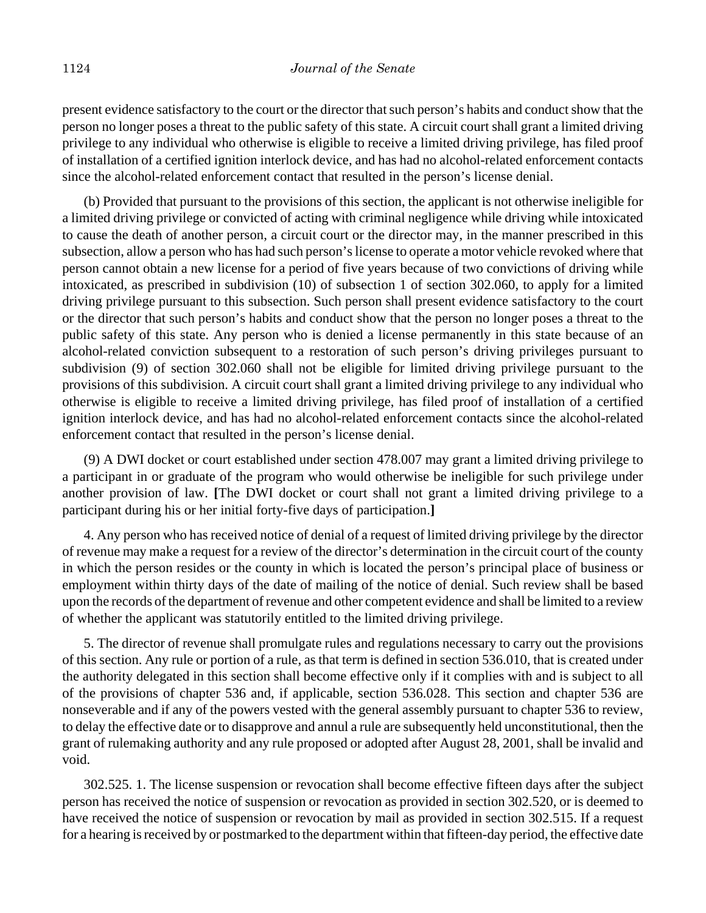present evidence satisfactory to the court or the director that such person's habits and conduct show that the person no longer poses a threat to the public safety of this state. A circuit court shall grant a limited driving privilege to any individual who otherwise is eligible to receive a limited driving privilege, has filed proof of installation of a certified ignition interlock device, and has had no alcohol-related enforcement contacts since the alcohol-related enforcement contact that resulted in the person's license denial.

(b) Provided that pursuant to the provisions of this section, the applicant is not otherwise ineligible for a limited driving privilege or convicted of acting with criminal negligence while driving while intoxicated to cause the death of another person, a circuit court or the director may, in the manner prescribed in this subsection, allow a person who has had such person's license to operate a motor vehicle revoked where that person cannot obtain a new license for a period of five years because of two convictions of driving while intoxicated, as prescribed in subdivision (10) of subsection 1 of section 302.060, to apply for a limited driving privilege pursuant to this subsection. Such person shall present evidence satisfactory to the court or the director that such person's habits and conduct show that the person no longer poses a threat to the public safety of this state. Any person who is denied a license permanently in this state because of an alcohol-related conviction subsequent to a restoration of such person's driving privileges pursuant to subdivision (9) of section 302.060 shall not be eligible for limited driving privilege pursuant to the provisions of this subdivision. A circuit court shall grant a limited driving privilege to any individual who otherwise is eligible to receive a limited driving privilege, has filed proof of installation of a certified ignition interlock device, and has had no alcohol-related enforcement contacts since the alcohol-related enforcement contact that resulted in the person's license denial.

(9) A DWI docket or court established under section 478.007 may grant a limited driving privilege to a participant in or graduate of the program who would otherwise be ineligible for such privilege under another provision of law. **[**The DWI docket or court shall not grant a limited driving privilege to a participant during his or her initial forty-five days of participation.**]**

4. Any person who has received notice of denial of a request of limited driving privilege by the director of revenue may make a request for a review of the director's determination in the circuit court of the county in which the person resides or the county in which is located the person's principal place of business or employment within thirty days of the date of mailing of the notice of denial. Such review shall be based upon the records of the department of revenue and other competent evidence and shall be limited to a review of whether the applicant was statutorily entitled to the limited driving privilege.

5. The director of revenue shall promulgate rules and regulations necessary to carry out the provisions of this section. Any rule or portion of a rule, as that term is defined in section 536.010, that is created under the authority delegated in this section shall become effective only if it complies with and is subject to all of the provisions of chapter 536 and, if applicable, section 536.028. This section and chapter 536 are nonseverable and if any of the powers vested with the general assembly pursuant to chapter 536 to review, to delay the effective date or to disapprove and annul a rule are subsequently held unconstitutional, then the grant of rulemaking authority and any rule proposed or adopted after August 28, 2001, shall be invalid and void.

302.525. 1. The license suspension or revocation shall become effective fifteen days after the subject person has received the notice of suspension or revocation as provided in section 302.520, or is deemed to have received the notice of suspension or revocation by mail as provided in section 302.515. If a request for a hearing is received by or postmarked to the department within that fifteen-day period, the effective date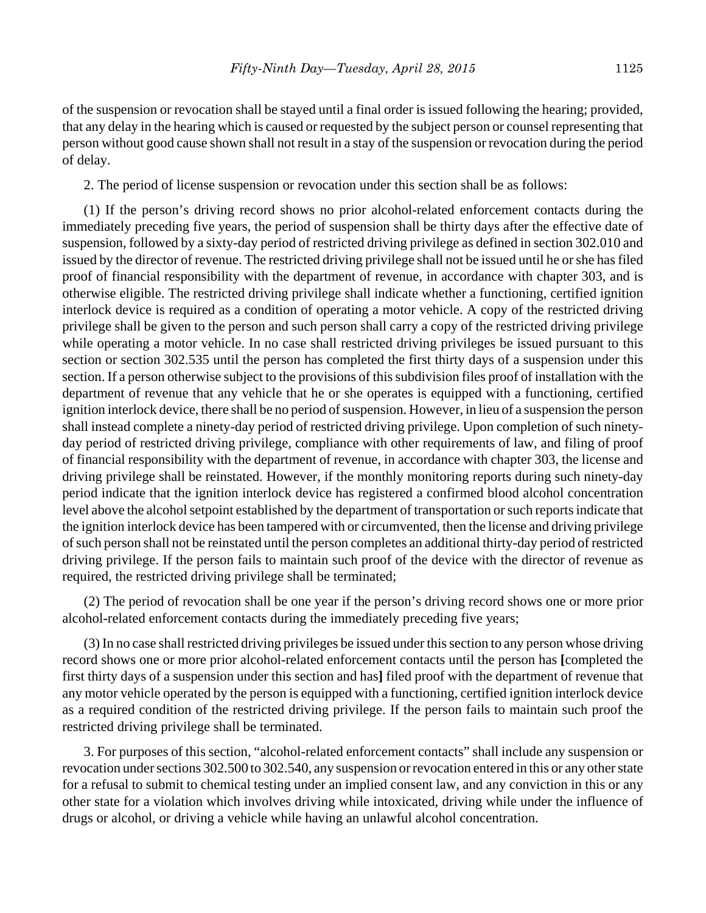of the suspension or revocation shall be stayed until a final order is issued following the hearing; provided, that any delay in the hearing which is caused or requested by the subject person or counsel representing that person without good cause shown shall not result in a stay of the suspension or revocation during the period of delay.

2. The period of license suspension or revocation under this section shall be as follows:

(1) If the person's driving record shows no prior alcohol-related enforcement contacts during the immediately preceding five years, the period of suspension shall be thirty days after the effective date of suspension, followed by a sixty-day period of restricted driving privilege as defined in section 302.010 and issued by the director of revenue. The restricted driving privilege shall not be issued until he or she has filed proof of financial responsibility with the department of revenue, in accordance with chapter 303, and is otherwise eligible. The restricted driving privilege shall indicate whether a functioning, certified ignition interlock device is required as a condition of operating a motor vehicle. A copy of the restricted driving privilege shall be given to the person and such person shall carry a copy of the restricted driving privilege while operating a motor vehicle. In no case shall restricted driving privileges be issued pursuant to this section or section 302.535 until the person has completed the first thirty days of a suspension under this section. If a person otherwise subject to the provisions of this subdivision files proof of installation with the department of revenue that any vehicle that he or she operates is equipped with a functioning, certified ignition interlock device, there shall be no period of suspension. However, in lieu of a suspension the person shall instead complete a ninety-day period of restricted driving privilege. Upon completion of such ninetyday period of restricted driving privilege, compliance with other requirements of law, and filing of proof of financial responsibility with the department of revenue, in accordance with chapter 303, the license and driving privilege shall be reinstated. However, if the monthly monitoring reports during such ninety-day period indicate that the ignition interlock device has registered a confirmed blood alcohol concentration level above the alcohol setpoint established by the department of transportation or such reports indicate that the ignition interlock device has been tampered with or circumvented, then the license and driving privilege of such person shall not be reinstated until the person completes an additional thirty-day period of restricted driving privilege. If the person fails to maintain such proof of the device with the director of revenue as required, the restricted driving privilege shall be terminated;

(2) The period of revocation shall be one year if the person's driving record shows one or more prior alcohol-related enforcement contacts during the immediately preceding five years;

(3) In no case shall restricted driving privileges be issued under this section to any person whose driving record shows one or more prior alcohol-related enforcement contacts until the person has **[**completed the first thirty days of a suspension under this section and has**]** filed proof with the department of revenue that any motor vehicle operated by the person is equipped with a functioning, certified ignition interlock device as a required condition of the restricted driving privilege. If the person fails to maintain such proof the restricted driving privilege shall be terminated.

3. For purposes of this section, "alcohol-related enforcement contacts" shall include any suspension or revocation under sections 302.500 to 302.540, any suspension or revocation entered in this or any other state for a refusal to submit to chemical testing under an implied consent law, and any conviction in this or any other state for a violation which involves driving while intoxicated, driving while under the influence of drugs or alcohol, or driving a vehicle while having an unlawful alcohol concentration.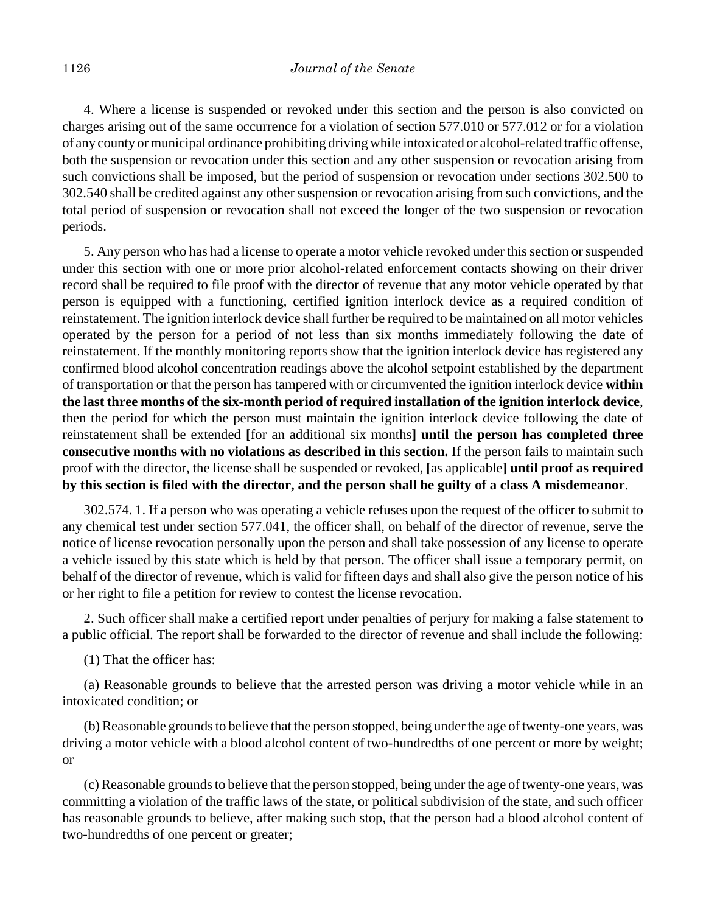4. Where a license is suspended or revoked under this section and the person is also convicted on charges arising out of the same occurrence for a violation of section 577.010 or 577.012 or for a violation of any county or municipal ordinance prohibiting driving while intoxicated or alcohol-related traffic offense, both the suspension or revocation under this section and any other suspension or revocation arising from such convictions shall be imposed, but the period of suspension or revocation under sections 302.500 to 302.540 shall be credited against any other suspension or revocation arising from such convictions, and the total period of suspension or revocation shall not exceed the longer of the two suspension or revocation periods.

5. Any person who has had a license to operate a motor vehicle revoked under this section or suspended under this section with one or more prior alcohol-related enforcement contacts showing on their driver record shall be required to file proof with the director of revenue that any motor vehicle operated by that person is equipped with a functioning, certified ignition interlock device as a required condition of reinstatement. The ignition interlock device shall further be required to be maintained on all motor vehicles operated by the person for a period of not less than six months immediately following the date of reinstatement. If the monthly monitoring reports show that the ignition interlock device has registered any confirmed blood alcohol concentration readings above the alcohol setpoint established by the department of transportation or that the person has tampered with or circumvented the ignition interlock device **within the last three months of the six-month period of required installation of the ignition interlock device**, then the period for which the person must maintain the ignition interlock device following the date of reinstatement shall be extended **[**for an additional six months**] until the person has completed three consecutive months with no violations as described in this section.** If the person fails to maintain such proof with the director, the license shall be suspended or revoked, **[**as applicable**] until proof as required by this section is filed with the director, and the person shall be guilty of a class A misdemeanor**.

302.574. 1. If a person who was operating a vehicle refuses upon the request of the officer to submit to any chemical test under section 577.041, the officer shall, on behalf of the director of revenue, serve the notice of license revocation personally upon the person and shall take possession of any license to operate a vehicle issued by this state which is held by that person. The officer shall issue a temporary permit, on behalf of the director of revenue, which is valid for fifteen days and shall also give the person notice of his or her right to file a petition for review to contest the license revocation.

2. Such officer shall make a certified report under penalties of perjury for making a false statement to a public official. The report shall be forwarded to the director of revenue and shall include the following:

(1) That the officer has:

(a) Reasonable grounds to believe that the arrested person was driving a motor vehicle while in an intoxicated condition; or

(b) Reasonable grounds to believe that the person stopped, being under the age of twenty-one years, was driving a motor vehicle with a blood alcohol content of two-hundredths of one percent or more by weight; or

(c) Reasonable grounds to believe that the person stopped, being under the age of twenty-one years, was committing a violation of the traffic laws of the state, or political subdivision of the state, and such officer has reasonable grounds to believe, after making such stop, that the person had a blood alcohol content of two-hundredths of one percent or greater;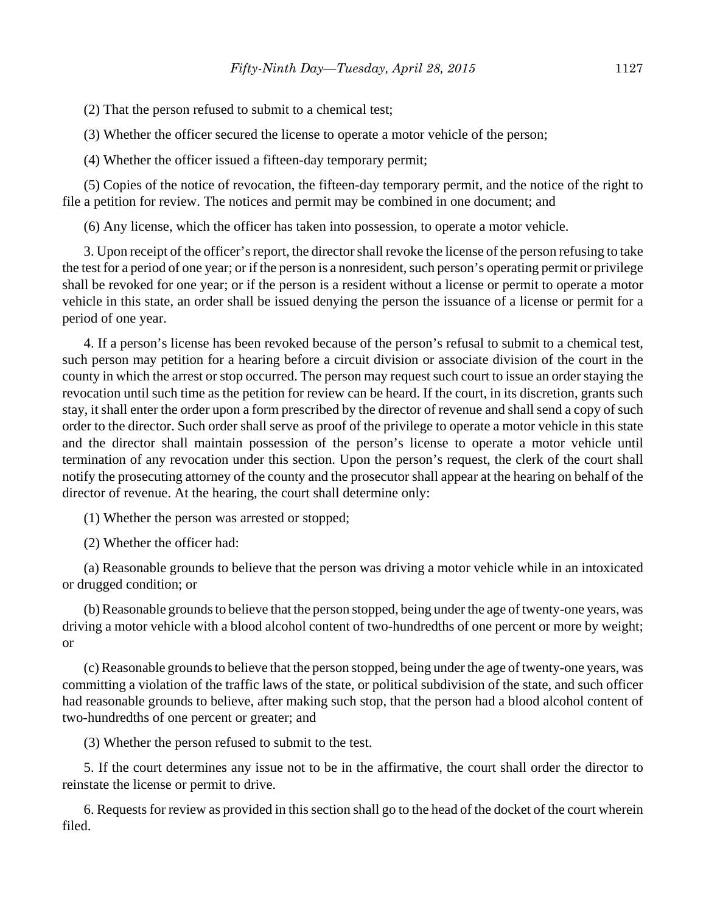(2) That the person refused to submit to a chemical test;

(3) Whether the officer secured the license to operate a motor vehicle of the person;

(4) Whether the officer issued a fifteen-day temporary permit;

(5) Copies of the notice of revocation, the fifteen-day temporary permit, and the notice of the right to file a petition for review. The notices and permit may be combined in one document; and

(6) Any license, which the officer has taken into possession, to operate a motor vehicle.

3. Upon receipt of the officer's report, the director shall revoke the license of the person refusing to take the test for a period of one year; or if the person is a nonresident, such person's operating permit or privilege shall be revoked for one year; or if the person is a resident without a license or permit to operate a motor vehicle in this state, an order shall be issued denying the person the issuance of a license or permit for a period of one year.

4. If a person's license has been revoked because of the person's refusal to submit to a chemical test, such person may petition for a hearing before a circuit division or associate division of the court in the county in which the arrest or stop occurred. The person may request such court to issue an order staying the revocation until such time as the petition for review can be heard. If the court, in its discretion, grants such stay, it shall enter the order upon a form prescribed by the director of revenue and shall send a copy of such order to the director. Such order shall serve as proof of the privilege to operate a motor vehicle in this state and the director shall maintain possession of the person's license to operate a motor vehicle until termination of any revocation under this section. Upon the person's request, the clerk of the court shall notify the prosecuting attorney of the county and the prosecutor shall appear at the hearing on behalf of the director of revenue. At the hearing, the court shall determine only:

(1) Whether the person was arrested or stopped;

(2) Whether the officer had:

(a) Reasonable grounds to believe that the person was driving a motor vehicle while in an intoxicated or drugged condition; or

(b) Reasonable grounds to believe that the person stopped, being under the age of twenty-one years, was driving a motor vehicle with a blood alcohol content of two-hundredths of one percent or more by weight; or

(c) Reasonable grounds to believe that the person stopped, being under the age of twenty-one years, was committing a violation of the traffic laws of the state, or political subdivision of the state, and such officer had reasonable grounds to believe, after making such stop, that the person had a blood alcohol content of two-hundredths of one percent or greater; and

(3) Whether the person refused to submit to the test.

5. If the court determines any issue not to be in the affirmative, the court shall order the director to reinstate the license or permit to drive.

6. Requests for review as provided in this section shall go to the head of the docket of the court wherein filed.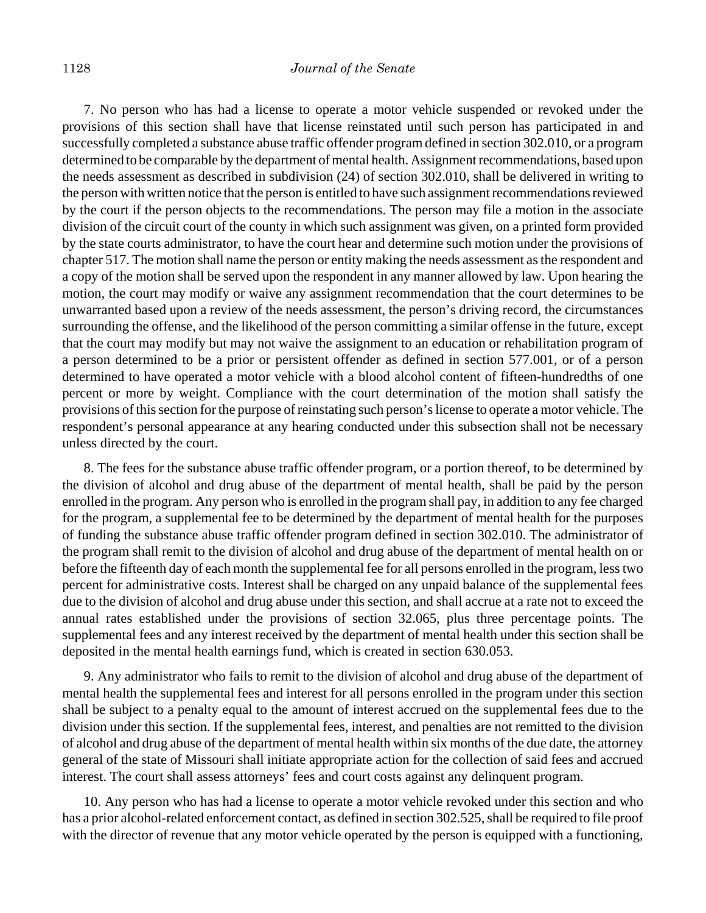#### 1128 *Journal of the Senate*

7. No person who has had a license to operate a motor vehicle suspended or revoked under the provisions of this section shall have that license reinstated until such person has participated in and successfully completed a substance abuse traffic offender program defined in section 302.010, or a program determined to be comparable by the department of mental health. Assignment recommendations, based upon the needs assessment as described in subdivision (24) of section 302.010, shall be delivered in writing to the person with written notice that the person is entitled to have such assignment recommendations reviewed by the court if the person objects to the recommendations. The person may file a motion in the associate division of the circuit court of the county in which such assignment was given, on a printed form provided by the state courts administrator, to have the court hear and determine such motion under the provisions of chapter 517. The motion shall name the person or entity making the needs assessment as the respondent and a copy of the motion shall be served upon the respondent in any manner allowed by law. Upon hearing the motion, the court may modify or waive any assignment recommendation that the court determines to be unwarranted based upon a review of the needs assessment, the person's driving record, the circumstances surrounding the offense, and the likelihood of the person committing a similar offense in the future, except that the court may modify but may not waive the assignment to an education or rehabilitation program of a person determined to be a prior or persistent offender as defined in section 577.001, or of a person determined to have operated a motor vehicle with a blood alcohol content of fifteen-hundredths of one percent or more by weight. Compliance with the court determination of the motion shall satisfy the provisions of this section for the purpose of reinstating such person's license to operate a motor vehicle. The respondent's personal appearance at any hearing conducted under this subsection shall not be necessary unless directed by the court.

8. The fees for the substance abuse traffic offender program, or a portion thereof, to be determined by the division of alcohol and drug abuse of the department of mental health, shall be paid by the person enrolled in the program. Any person who is enrolled in the program shall pay, in addition to any fee charged for the program, a supplemental fee to be determined by the department of mental health for the purposes of funding the substance abuse traffic offender program defined in section 302.010. The administrator of the program shall remit to the division of alcohol and drug abuse of the department of mental health on or before the fifteenth day of each month the supplemental fee for all persons enrolled in the program, less two percent for administrative costs. Interest shall be charged on any unpaid balance of the supplemental fees due to the division of alcohol and drug abuse under this section, and shall accrue at a rate not to exceed the annual rates established under the provisions of section 32.065, plus three percentage points. The supplemental fees and any interest received by the department of mental health under this section shall be deposited in the mental health earnings fund, which is created in section 630.053.

9. Any administrator who fails to remit to the division of alcohol and drug abuse of the department of mental health the supplemental fees and interest for all persons enrolled in the program under this section shall be subject to a penalty equal to the amount of interest accrued on the supplemental fees due to the division under this section. If the supplemental fees, interest, and penalties are not remitted to the division of alcohol and drug abuse of the department of mental health within six months of the due date, the attorney general of the state of Missouri shall initiate appropriate action for the collection of said fees and accrued interest. The court shall assess attorneys' fees and court costs against any delinquent program.

10. Any person who has had a license to operate a motor vehicle revoked under this section and who has a prior alcohol-related enforcement contact, as defined in section 302.525, shall be required to file proof with the director of revenue that any motor vehicle operated by the person is equipped with a functioning,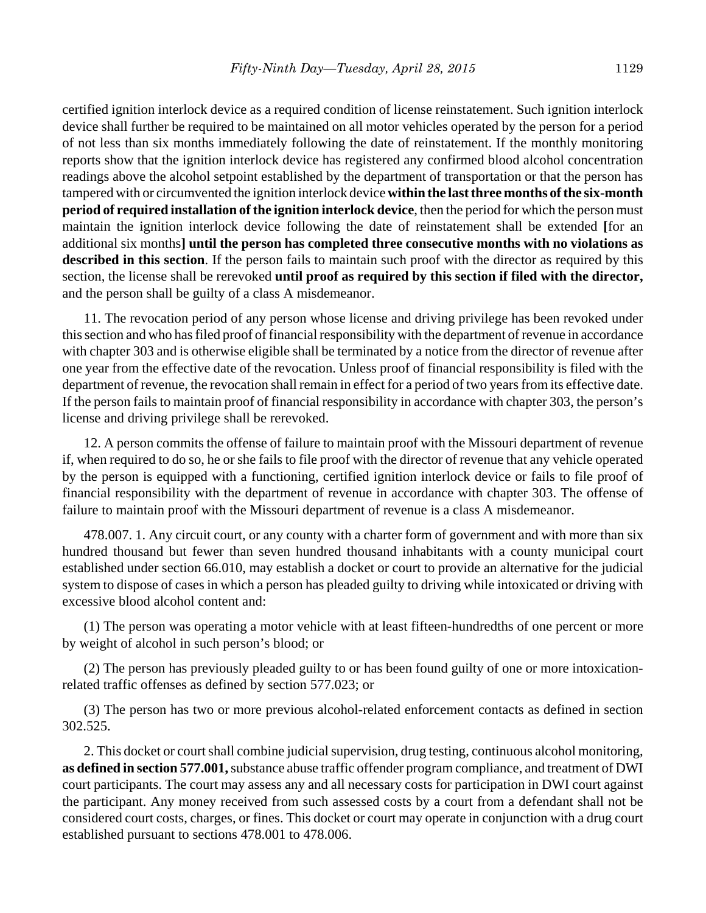certified ignition interlock device as a required condition of license reinstatement. Such ignition interlock device shall further be required to be maintained on all motor vehicles operated by the person for a period of not less than six months immediately following the date of reinstatement. If the monthly monitoring reports show that the ignition interlock device has registered any confirmed blood alcohol concentration readings above the alcohol setpoint established by the department of transportation or that the person has tampered with or circumvented the ignition interlock device **within the last three months of the six-month period of required installation of the ignition interlock device**, then the period for which the person must maintain the ignition interlock device following the date of reinstatement shall be extended **[**for an additional six months**] until the person has completed three consecutive months with no violations as described in this section**. If the person fails to maintain such proof with the director as required by this section, the license shall be rerevoked **until proof as required by this section if filed with the director,** and the person shall be guilty of a class A misdemeanor.

11. The revocation period of any person whose license and driving privilege has been revoked under this section and who has filed proof of financial responsibility with the department of revenue in accordance with chapter 303 and is otherwise eligible shall be terminated by a notice from the director of revenue after one year from the effective date of the revocation. Unless proof of financial responsibility is filed with the department of revenue, the revocation shall remain in effect for a period of two years from its effective date. If the person fails to maintain proof of financial responsibility in accordance with chapter 303, the person's license and driving privilege shall be rerevoked.

12. A person commits the offense of failure to maintain proof with the Missouri department of revenue if, when required to do so, he or she fails to file proof with the director of revenue that any vehicle operated by the person is equipped with a functioning, certified ignition interlock device or fails to file proof of financial responsibility with the department of revenue in accordance with chapter 303. The offense of failure to maintain proof with the Missouri department of revenue is a class A misdemeanor.

478.007. 1. Any circuit court, or any county with a charter form of government and with more than six hundred thousand but fewer than seven hundred thousand inhabitants with a county municipal court established under section 66.010, may establish a docket or court to provide an alternative for the judicial system to dispose of cases in which a person has pleaded guilty to driving while intoxicated or driving with excessive blood alcohol content and:

(1) The person was operating a motor vehicle with at least fifteen-hundredths of one percent or more by weight of alcohol in such person's blood; or

(2) The person has previously pleaded guilty to or has been found guilty of one or more intoxicationrelated traffic offenses as defined by section 577.023; or

(3) The person has two or more previous alcohol-related enforcement contacts as defined in section 302.525.

2. This docket or court shall combine judicial supervision, drug testing, continuous alcohol monitoring, **as defined in section 577.001,** substance abuse traffic offender program compliance, and treatment of DWI court participants. The court may assess any and all necessary costs for participation in DWI court against the participant. Any money received from such assessed costs by a court from a defendant shall not be considered court costs, charges, or fines. This docket or court may operate in conjunction with a drug court established pursuant to sections 478.001 to 478.006.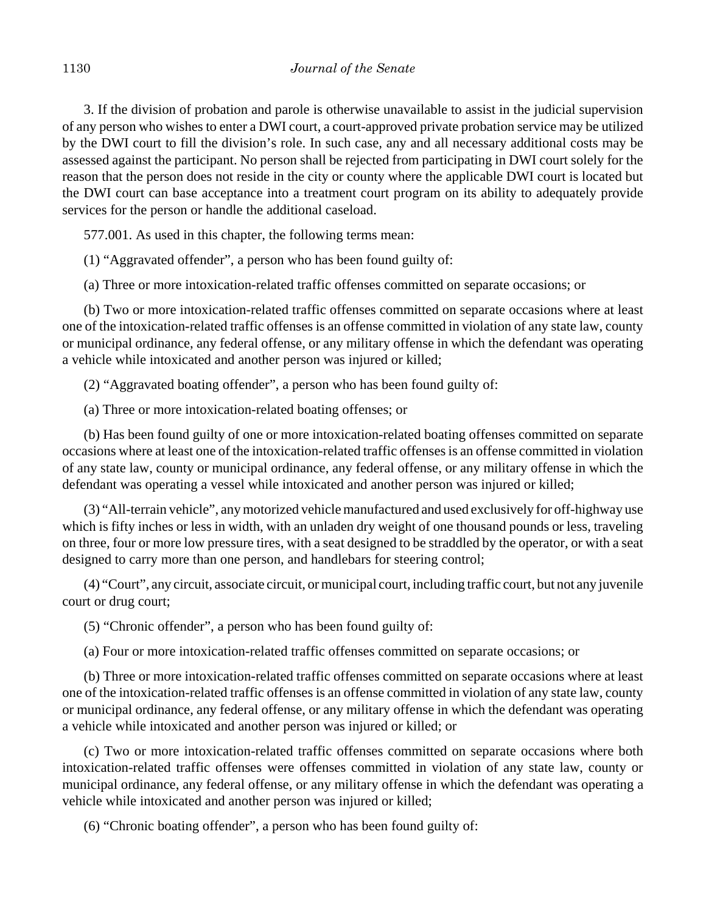3. If the division of probation and parole is otherwise unavailable to assist in the judicial supervision of any person who wishes to enter a DWI court, a court-approved private probation service may be utilized by the DWI court to fill the division's role. In such case, any and all necessary additional costs may be assessed against the participant. No person shall be rejected from participating in DWI court solely for the reason that the person does not reside in the city or county where the applicable DWI court is located but the DWI court can base acceptance into a treatment court program on its ability to adequately provide services for the person or handle the additional caseload.

577.001. As used in this chapter, the following terms mean:

(1) "Aggravated offender", a person who has been found guilty of:

(a) Three or more intoxication-related traffic offenses committed on separate occasions; or

(b) Two or more intoxication-related traffic offenses committed on separate occasions where at least one of the intoxication-related traffic offenses is an offense committed in violation of any state law, county or municipal ordinance, any federal offense, or any military offense in which the defendant was operating a vehicle while intoxicated and another person was injured or killed;

(2) "Aggravated boating offender", a person who has been found guilty of:

(a) Three or more intoxication-related boating offenses; or

(b) Has been found guilty of one or more intoxication-related boating offenses committed on separate occasions where at least one of the intoxication-related traffic offenses is an offense committed in violation of any state law, county or municipal ordinance, any federal offense, or any military offense in which the defendant was operating a vessel while intoxicated and another person was injured or killed;

(3) "All-terrain vehicle", any motorized vehicle manufactured and used exclusively for off-highway use which is fifty inches or less in width, with an unladen dry weight of one thousand pounds or less, traveling on three, four or more low pressure tires, with a seat designed to be straddled by the operator, or with a seat designed to carry more than one person, and handlebars for steering control;

(4) "Court", any circuit, associate circuit, or municipal court, including traffic court, but not any juvenile court or drug court;

(5) "Chronic offender", a person who has been found guilty of:

(a) Four or more intoxication-related traffic offenses committed on separate occasions; or

(b) Three or more intoxication-related traffic offenses committed on separate occasions where at least one of the intoxication-related traffic offenses is an offense committed in violation of any state law, county or municipal ordinance, any federal offense, or any military offense in which the defendant was operating a vehicle while intoxicated and another person was injured or killed; or

(c) Two or more intoxication-related traffic offenses committed on separate occasions where both intoxication-related traffic offenses were offenses committed in violation of any state law, county or municipal ordinance, any federal offense, or any military offense in which the defendant was operating a vehicle while intoxicated and another person was injured or killed;

(6) "Chronic boating offender", a person who has been found guilty of: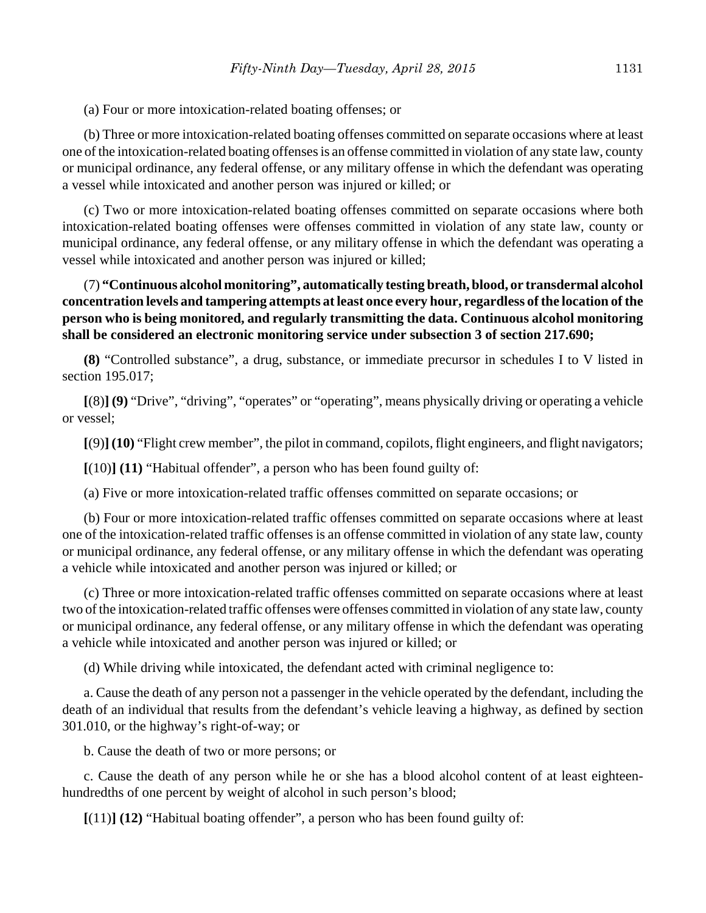(a) Four or more intoxication-related boating offenses; or

(b) Three or more intoxication-related boating offenses committed on separate occasions where at least one of the intoxication-related boating offenses is an offense committed in violation of any state law, county or municipal ordinance, any federal offense, or any military offense in which the defendant was operating a vessel while intoxicated and another person was injured or killed; or

(c) Two or more intoxication-related boating offenses committed on separate occasions where both intoxication-related boating offenses were offenses committed in violation of any state law, county or municipal ordinance, any federal offense, or any military offense in which the defendant was operating a vessel while intoxicated and another person was injured or killed;

# (7) **"Continuous alcohol monitoring", automatically testing breath, blood, or transdermal alcohol concentration levels and tampering attempts at least once every hour, regardless of the location of the person who is being monitored, and regularly transmitting the data. Continuous alcohol monitoring shall be considered an electronic monitoring service under subsection 3 of section 217.690;**

**(8)** "Controlled substance", a drug, substance, or immediate precursor in schedules I to V listed in section 195.017;

**[**(8)**] (9)** "Drive", "driving", "operates" or "operating", means physically driving or operating a vehicle or vessel;

**[**(9)**] (10)** "Flight crew member", the pilot in command, copilots, flight engineers, and flight navigators;

**[**(10)**] (11)** "Habitual offender", a person who has been found guilty of:

(a) Five or more intoxication-related traffic offenses committed on separate occasions; or

(b) Four or more intoxication-related traffic offenses committed on separate occasions where at least one of the intoxication-related traffic offenses is an offense committed in violation of any state law, county or municipal ordinance, any federal offense, or any military offense in which the defendant was operating a vehicle while intoxicated and another person was injured or killed; or

(c) Three or more intoxication-related traffic offenses committed on separate occasions where at least two of the intoxication-related traffic offenses were offenses committed in violation of any state law, county or municipal ordinance, any federal offense, or any military offense in which the defendant was operating a vehicle while intoxicated and another person was injured or killed; or

(d) While driving while intoxicated, the defendant acted with criminal negligence to:

a. Cause the death of any person not a passenger in the vehicle operated by the defendant, including the death of an individual that results from the defendant's vehicle leaving a highway, as defined by section 301.010, or the highway's right-of-way; or

b. Cause the death of two or more persons; or

c. Cause the death of any person while he or she has a blood alcohol content of at least eighteenhundredths of one percent by weight of alcohol in such person's blood;

**[**(11)**] (12)** "Habitual boating offender", a person who has been found guilty of: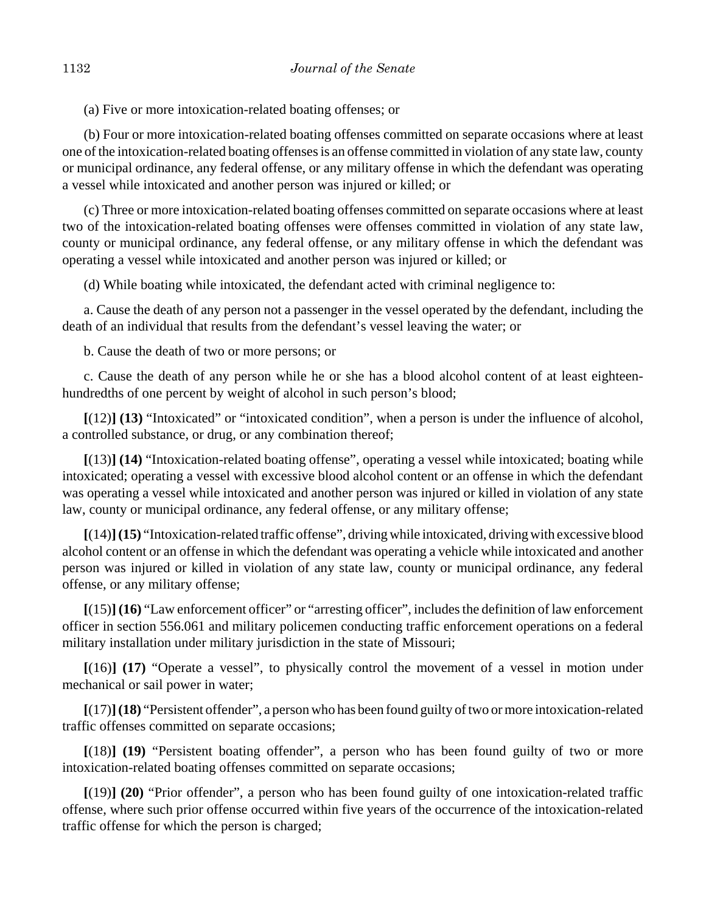(a) Five or more intoxication-related boating offenses; or

(b) Four or more intoxication-related boating offenses committed on separate occasions where at least one of the intoxication-related boating offenses is an offense committed in violation of any state law, county or municipal ordinance, any federal offense, or any military offense in which the defendant was operating a vessel while intoxicated and another person was injured or killed; or

(c) Three or more intoxication-related boating offenses committed on separate occasions where at least two of the intoxication-related boating offenses were offenses committed in violation of any state law, county or municipal ordinance, any federal offense, or any military offense in which the defendant was operating a vessel while intoxicated and another person was injured or killed; or

(d) While boating while intoxicated, the defendant acted with criminal negligence to:

a. Cause the death of any person not a passenger in the vessel operated by the defendant, including the death of an individual that results from the defendant's vessel leaving the water; or

b. Cause the death of two or more persons; or

c. Cause the death of any person while he or she has a blood alcohol content of at least eighteenhundredths of one percent by weight of alcohol in such person's blood;

**[**(12)**] (13)** "Intoxicated" or "intoxicated condition", when a person is under the influence of alcohol, a controlled substance, or drug, or any combination thereof;

**[**(13)**] (14)** "Intoxication-related boating offense", operating a vessel while intoxicated; boating while intoxicated; operating a vessel with excessive blood alcohol content or an offense in which the defendant was operating a vessel while intoxicated and another person was injured or killed in violation of any state law, county or municipal ordinance, any federal offense, or any military offense;

**[**(14)**](15)** "Intoxication-related traffic offense", driving while intoxicated, driving with excessive blood alcohol content or an offense in which the defendant was operating a vehicle while intoxicated and another person was injured or killed in violation of any state law, county or municipal ordinance, any federal offense, or any military offense;

**[**(15)**] (16)** "Law enforcement officer" or "arresting officer", includes the definition of law enforcement officer in section 556.061 and military policemen conducting traffic enforcement operations on a federal military installation under military jurisdiction in the state of Missouri;

**[**(16)**] (17)** "Operate a vessel", to physically control the movement of a vessel in motion under mechanical or sail power in water;

**[**(17)**](18)** "Persistent offender", a person who has been found guilty of two or more intoxication-related traffic offenses committed on separate occasions;

**[**(18)**] (19)** "Persistent boating offender", a person who has been found guilty of two or more intoxication-related boating offenses committed on separate occasions;

**[**(19)**] (20)** "Prior offender", a person who has been found guilty of one intoxication-related traffic offense, where such prior offense occurred within five years of the occurrence of the intoxication-related traffic offense for which the person is charged;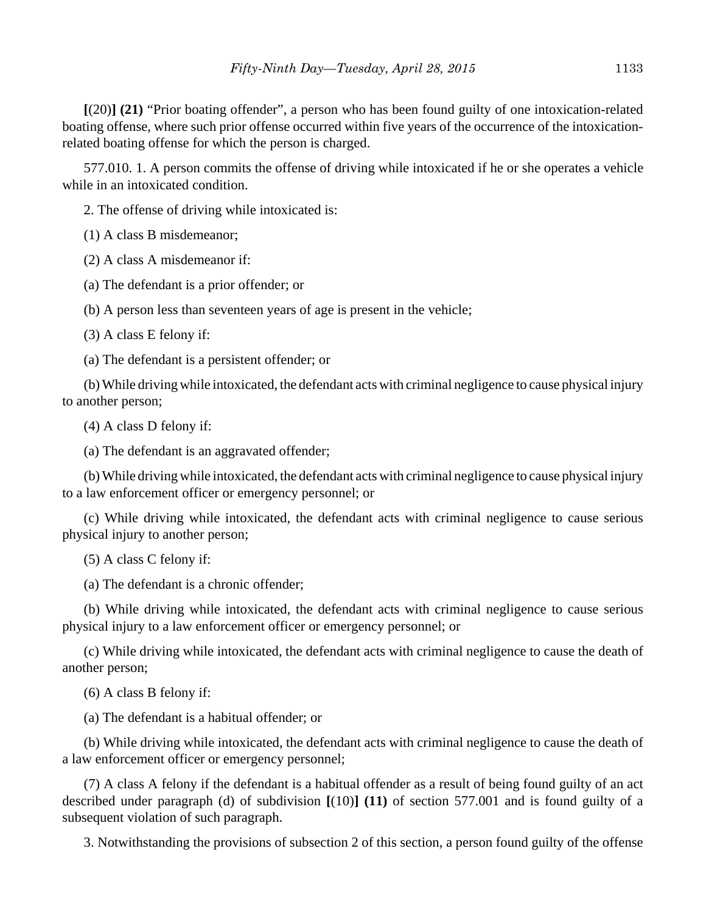**[**(20)**] (21)** "Prior boating offender", a person who has been found guilty of one intoxication-related boating offense, where such prior offense occurred within five years of the occurrence of the intoxicationrelated boating offense for which the person is charged.

577.010. 1. A person commits the offense of driving while intoxicated if he or she operates a vehicle while in an intoxicated condition.

2. The offense of driving while intoxicated is:

(1) A class B misdemeanor;

(2) A class A misdemeanor if:

(a) The defendant is a prior offender; or

(b) A person less than seventeen years of age is present in the vehicle;

(3) A class E felony if:

(a) The defendant is a persistent offender; or

(b) While driving while intoxicated, the defendant acts with criminal negligence to cause physical injury to another person;

(4) A class D felony if:

(a) The defendant is an aggravated offender;

(b) While driving while intoxicated, the defendant acts with criminal negligence to cause physical injury to a law enforcement officer or emergency personnel; or

(c) While driving while intoxicated, the defendant acts with criminal negligence to cause serious physical injury to another person;

(5) A class C felony if:

(a) The defendant is a chronic offender;

(b) While driving while intoxicated, the defendant acts with criminal negligence to cause serious physical injury to a law enforcement officer or emergency personnel; or

(c) While driving while intoxicated, the defendant acts with criminal negligence to cause the death of another person;

(6) A class B felony if:

(a) The defendant is a habitual offender; or

(b) While driving while intoxicated, the defendant acts with criminal negligence to cause the death of a law enforcement officer or emergency personnel;

(7) A class A felony if the defendant is a habitual offender as a result of being found guilty of an act described under paragraph (d) of subdivision **[**(10)**] (11)** of section 577.001 and is found guilty of a subsequent violation of such paragraph.

3. Notwithstanding the provisions of subsection 2 of this section, a person found guilty of the offense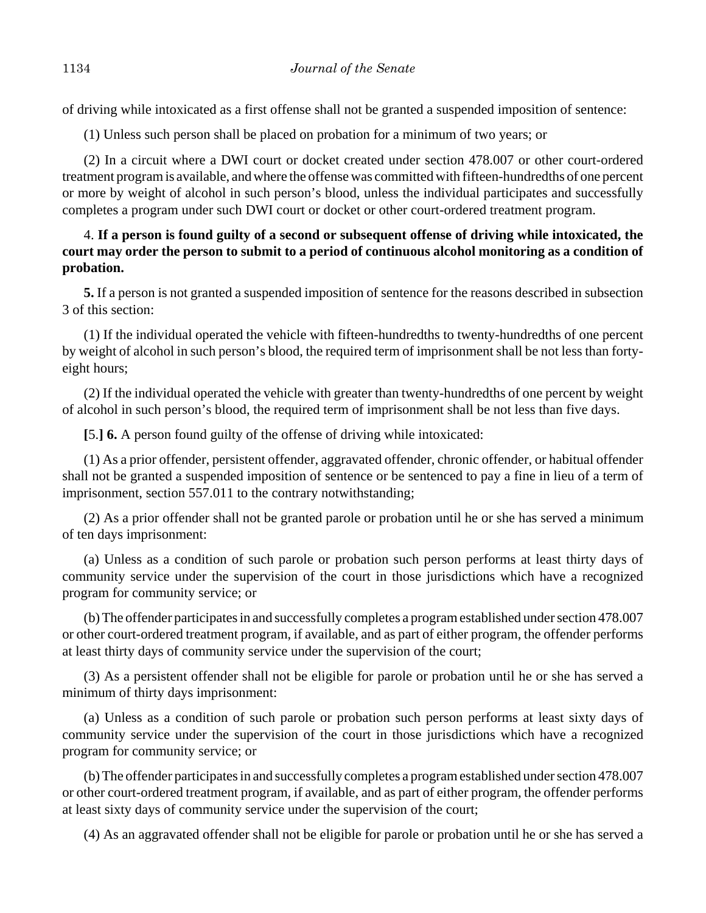of driving while intoxicated as a first offense shall not be granted a suspended imposition of sentence:

(1) Unless such person shall be placed on probation for a minimum of two years; or

(2) In a circuit where a DWI court or docket created under section 478.007 or other court-ordered treatment program is available, and where the offense was committed with fifteen-hundredths of one percent or more by weight of alcohol in such person's blood, unless the individual participates and successfully completes a program under such DWI court or docket or other court-ordered treatment program.

# 4. **If a person is found guilty of a second or subsequent offense of driving while intoxicated, the court may order the person to submit to a period of continuous alcohol monitoring as a condition of probation.**

**5.** If a person is not granted a suspended imposition of sentence for the reasons described in subsection 3 of this section:

(1) If the individual operated the vehicle with fifteen-hundredths to twenty-hundredths of one percent by weight of alcohol in such person's blood, the required term of imprisonment shall be not less than fortyeight hours;

(2) If the individual operated the vehicle with greater than twenty-hundredths of one percent by weight of alcohol in such person's blood, the required term of imprisonment shall be not less than five days.

**[**5.**] 6.** A person found guilty of the offense of driving while intoxicated:

(1) As a prior offender, persistent offender, aggravated offender, chronic offender, or habitual offender shall not be granted a suspended imposition of sentence or be sentenced to pay a fine in lieu of a term of imprisonment, section 557.011 to the contrary notwithstanding;

(2) As a prior offender shall not be granted parole or probation until he or she has served a minimum of ten days imprisonment:

(a) Unless as a condition of such parole or probation such person performs at least thirty days of community service under the supervision of the court in those jurisdictions which have a recognized program for community service; or

(b) The offender participates in and successfully completes a program established under section 478.007 or other court-ordered treatment program, if available, and as part of either program, the offender performs at least thirty days of community service under the supervision of the court;

(3) As a persistent offender shall not be eligible for parole or probation until he or she has served a minimum of thirty days imprisonment:

(a) Unless as a condition of such parole or probation such person performs at least sixty days of community service under the supervision of the court in those jurisdictions which have a recognized program for community service; or

(b) The offender participates in and successfully completes a program established under section 478.007 or other court-ordered treatment program, if available, and as part of either program, the offender performs at least sixty days of community service under the supervision of the court;

(4) As an aggravated offender shall not be eligible for parole or probation until he or she has served a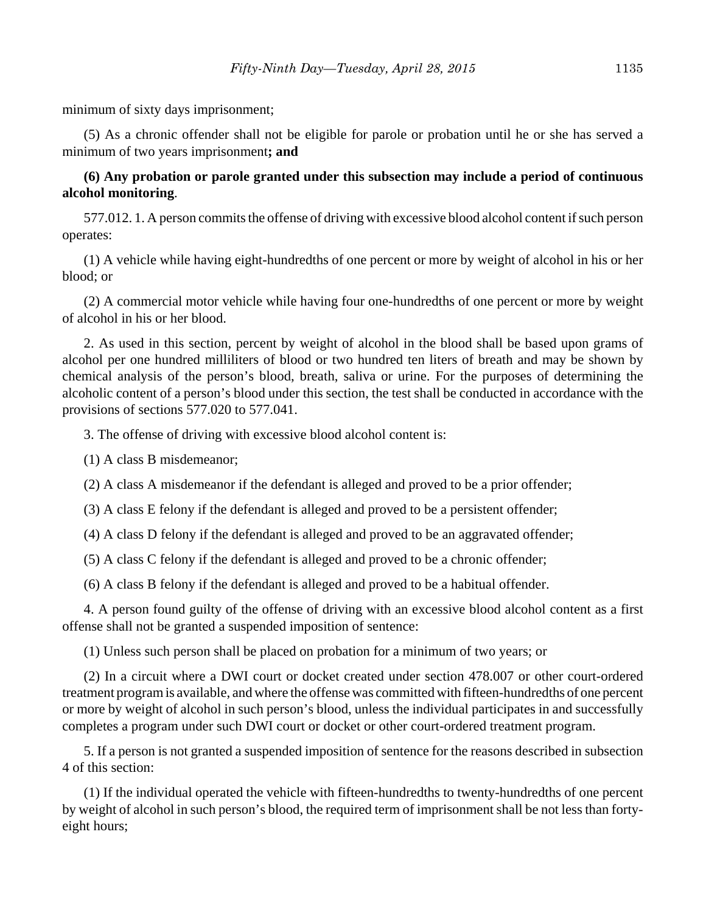minimum of sixty days imprisonment;

(5) As a chronic offender shall not be eligible for parole or probation until he or she has served a minimum of two years imprisonment**; and**

# **(6) Any probation or parole granted under this subsection may include a period of continuous alcohol monitoring**.

577.012. 1. A person commits the offense of driving with excessive blood alcohol content if such person operates:

(1) A vehicle while having eight-hundredths of one percent or more by weight of alcohol in his or her blood; or

(2) A commercial motor vehicle while having four one-hundredths of one percent or more by weight of alcohol in his or her blood.

2. As used in this section, percent by weight of alcohol in the blood shall be based upon grams of alcohol per one hundred milliliters of blood or two hundred ten liters of breath and may be shown by chemical analysis of the person's blood, breath, saliva or urine. For the purposes of determining the alcoholic content of a person's blood under this section, the test shall be conducted in accordance with the provisions of sections 577.020 to 577.041.

3. The offense of driving with excessive blood alcohol content is:

(1) A class B misdemeanor;

(2) A class A misdemeanor if the defendant is alleged and proved to be a prior offender;

(3) A class E felony if the defendant is alleged and proved to be a persistent offender;

(4) A class D felony if the defendant is alleged and proved to be an aggravated offender;

(5) A class C felony if the defendant is alleged and proved to be a chronic offender;

(6) A class B felony if the defendant is alleged and proved to be a habitual offender.

4. A person found guilty of the offense of driving with an excessive blood alcohol content as a first offense shall not be granted a suspended imposition of sentence:

(1) Unless such person shall be placed on probation for a minimum of two years; or

(2) In a circuit where a DWI court or docket created under section 478.007 or other court-ordered treatment program is available, and where the offense was committed with fifteen-hundredths of one percent or more by weight of alcohol in such person's blood, unless the individual participates in and successfully completes a program under such DWI court or docket or other court-ordered treatment program.

5. If a person is not granted a suspended imposition of sentence for the reasons described in subsection 4 of this section:

(1) If the individual operated the vehicle with fifteen-hundredths to twenty-hundredths of one percent by weight of alcohol in such person's blood, the required term of imprisonment shall be not less than fortyeight hours;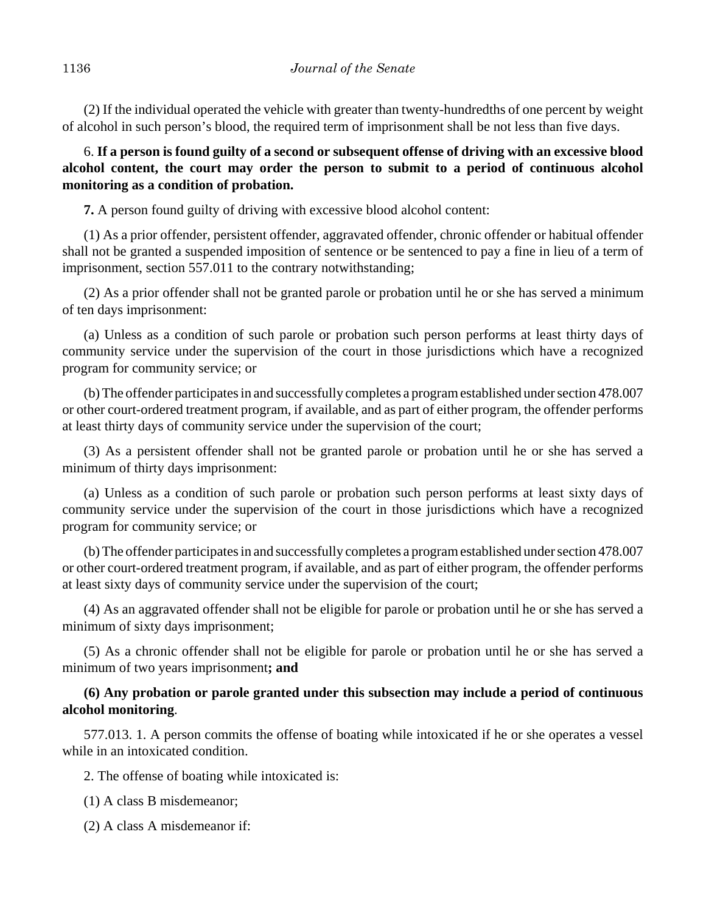(2) If the individual operated the vehicle with greater than twenty-hundredths of one percent by weight of alcohol in such person's blood, the required term of imprisonment shall be not less than five days.

6. **If a person is found guilty of a second or subsequent offense of driving with an excessive blood alcohol content, the court may order the person to submit to a period of continuous alcohol monitoring as a condition of probation.**

**7.** A person found guilty of driving with excessive blood alcohol content:

(1) As a prior offender, persistent offender, aggravated offender, chronic offender or habitual offender shall not be granted a suspended imposition of sentence or be sentenced to pay a fine in lieu of a term of imprisonment, section 557.011 to the contrary notwithstanding;

(2) As a prior offender shall not be granted parole or probation until he or she has served a minimum of ten days imprisonment:

(a) Unless as a condition of such parole or probation such person performs at least thirty days of community service under the supervision of the court in those jurisdictions which have a recognized program for community service; or

(b) The offender participates in and successfully completes a program established under section 478.007 or other court-ordered treatment program, if available, and as part of either program, the offender performs at least thirty days of community service under the supervision of the court;

(3) As a persistent offender shall not be granted parole or probation until he or she has served a minimum of thirty days imprisonment:

(a) Unless as a condition of such parole or probation such person performs at least sixty days of community service under the supervision of the court in those jurisdictions which have a recognized program for community service; or

(b) The offender participates in and successfully completes a program established under section 478.007 or other court-ordered treatment program, if available, and as part of either program, the offender performs at least sixty days of community service under the supervision of the court;

(4) As an aggravated offender shall not be eligible for parole or probation until he or she has served a minimum of sixty days imprisonment;

(5) As a chronic offender shall not be eligible for parole or probation until he or she has served a minimum of two years imprisonment**; and**

# **(6) Any probation or parole granted under this subsection may include a period of continuous alcohol monitoring**.

577.013. 1. A person commits the offense of boating while intoxicated if he or she operates a vessel while in an intoxicated condition.

2. The offense of boating while intoxicated is:

(1) A class B misdemeanor;

(2) A class A misdemeanor if: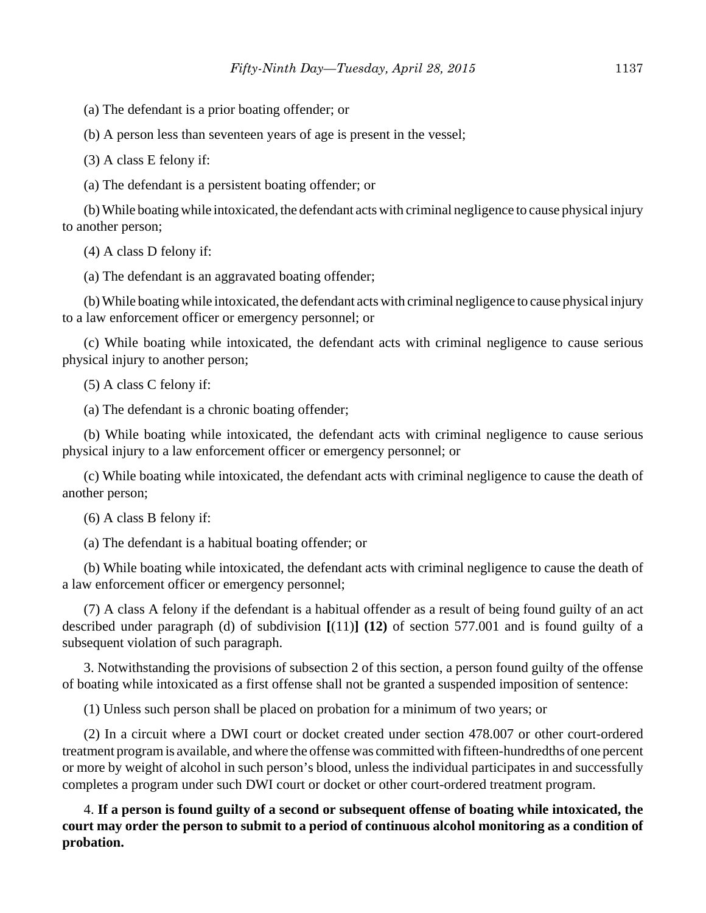(a) The defendant is a prior boating offender; or

(b) A person less than seventeen years of age is present in the vessel;

(3) A class E felony if:

(a) The defendant is a persistent boating offender; or

(b) While boating while intoxicated, the defendant acts with criminal negligence to cause physical injury to another person;

(4) A class D felony if:

(a) The defendant is an aggravated boating offender;

(b) While boating while intoxicated, the defendant acts with criminal negligence to cause physical injury to a law enforcement officer or emergency personnel; or

(c) While boating while intoxicated, the defendant acts with criminal negligence to cause serious physical injury to another person;

(5) A class C felony if:

(a) The defendant is a chronic boating offender;

(b) While boating while intoxicated, the defendant acts with criminal negligence to cause serious physical injury to a law enforcement officer or emergency personnel; or

(c) While boating while intoxicated, the defendant acts with criminal negligence to cause the death of another person;

(6) A class B felony if:

(a) The defendant is a habitual boating offender; or

(b) While boating while intoxicated, the defendant acts with criminal negligence to cause the death of a law enforcement officer or emergency personnel;

(7) A class A felony if the defendant is a habitual offender as a result of being found guilty of an act described under paragraph (d) of subdivision **[**(11)**] (12)** of section 577.001 and is found guilty of a subsequent violation of such paragraph.

3. Notwithstanding the provisions of subsection 2 of this section, a person found guilty of the offense of boating while intoxicated as a first offense shall not be granted a suspended imposition of sentence:

(1) Unless such person shall be placed on probation for a minimum of two years; or

(2) In a circuit where a DWI court or docket created under section 478.007 or other court-ordered treatment program is available, and where the offense was committed with fifteen-hundredths of one percent or more by weight of alcohol in such person's blood, unless the individual participates in and successfully completes a program under such DWI court or docket or other court-ordered treatment program.

4. **If a person is found guilty of a second or subsequent offense of boating while intoxicated, the court may order the person to submit to a period of continuous alcohol monitoring as a condition of probation.**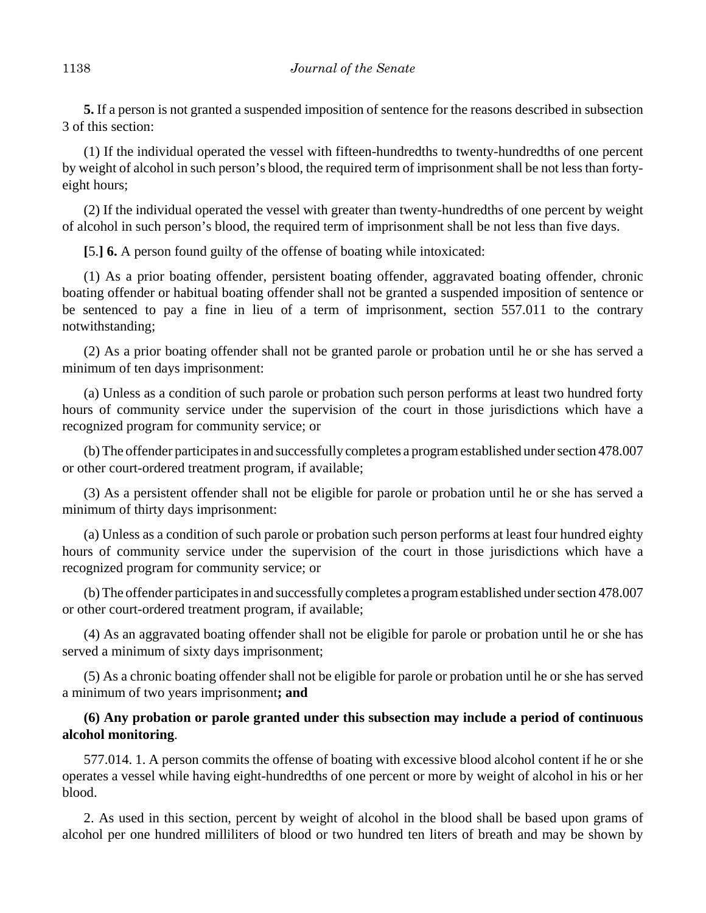**5.** If a person is not granted a suspended imposition of sentence for the reasons described in subsection 3 of this section:

(1) If the individual operated the vessel with fifteen-hundredths to twenty-hundredths of one percent by weight of alcohol in such person's blood, the required term of imprisonment shall be not less than fortyeight hours;

(2) If the individual operated the vessel with greater than twenty-hundredths of one percent by weight of alcohol in such person's blood, the required term of imprisonment shall be not less than five days.

**[**5.**] 6.** A person found guilty of the offense of boating while intoxicated:

(1) As a prior boating offender, persistent boating offender, aggravated boating offender, chronic boating offender or habitual boating offender shall not be granted a suspended imposition of sentence or be sentenced to pay a fine in lieu of a term of imprisonment, section 557.011 to the contrary notwithstanding;

(2) As a prior boating offender shall not be granted parole or probation until he or she has served a minimum of ten days imprisonment:

(a) Unless as a condition of such parole or probation such person performs at least two hundred forty hours of community service under the supervision of the court in those jurisdictions which have a recognized program for community service; or

(b) The offender participates in and successfully completes a program established under section 478.007 or other court-ordered treatment program, if available;

(3) As a persistent offender shall not be eligible for parole or probation until he or she has served a minimum of thirty days imprisonment:

(a) Unless as a condition of such parole or probation such person performs at least four hundred eighty hours of community service under the supervision of the court in those jurisdictions which have a recognized program for community service; or

(b) The offender participates in and successfully completes a program established under section 478.007 or other court-ordered treatment program, if available;

(4) As an aggravated boating offender shall not be eligible for parole or probation until he or she has served a minimum of sixty days imprisonment;

(5) As a chronic boating offender shall not be eligible for parole or probation until he or she has served a minimum of two years imprisonment**; and**

# **(6) Any probation or parole granted under this subsection may include a period of continuous alcohol monitoring**.

577.014. 1. A person commits the offense of boating with excessive blood alcohol content if he or she operates a vessel while having eight-hundredths of one percent or more by weight of alcohol in his or her blood.

2. As used in this section, percent by weight of alcohol in the blood shall be based upon grams of alcohol per one hundred milliliters of blood or two hundred ten liters of breath and may be shown by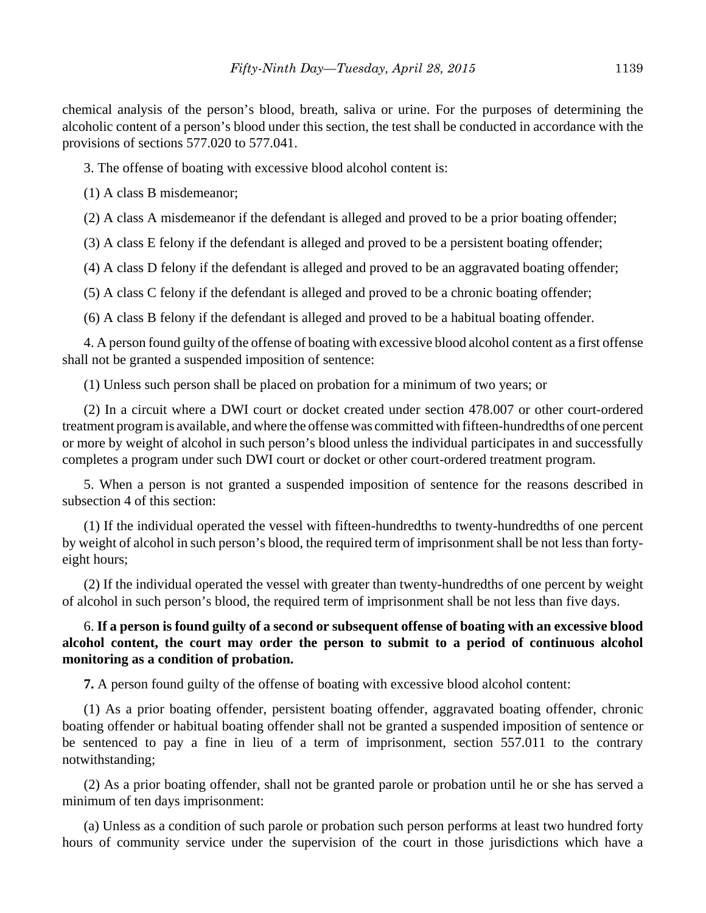chemical analysis of the person's blood, breath, saliva or urine. For the purposes of determining the alcoholic content of a person's blood under this section, the test shall be conducted in accordance with the provisions of sections 577.020 to 577.041.

3. The offense of boating with excessive blood alcohol content is:

(1) A class B misdemeanor;

(2) A class A misdemeanor if the defendant is alleged and proved to be a prior boating offender;

(3) A class E felony if the defendant is alleged and proved to be a persistent boating offender;

(4) A class D felony if the defendant is alleged and proved to be an aggravated boating offender;

(5) A class C felony if the defendant is alleged and proved to be a chronic boating offender;

(6) A class B felony if the defendant is alleged and proved to be a habitual boating offender.

4. A person found guilty of the offense of boating with excessive blood alcohol content as a first offense shall not be granted a suspended imposition of sentence:

(1) Unless such person shall be placed on probation for a minimum of two years; or

(2) In a circuit where a DWI court or docket created under section 478.007 or other court-ordered treatment program is available, and where the offense was committed with fifteen-hundredths of one percent or more by weight of alcohol in such person's blood unless the individual participates in and successfully completes a program under such DWI court or docket or other court-ordered treatment program.

5. When a person is not granted a suspended imposition of sentence for the reasons described in subsection 4 of this section:

(1) If the individual operated the vessel with fifteen-hundredths to twenty-hundredths of one percent by weight of alcohol in such person's blood, the required term of imprisonment shall be not less than fortyeight hours;

(2) If the individual operated the vessel with greater than twenty-hundredths of one percent by weight of alcohol in such person's blood, the required term of imprisonment shall be not less than five days.

# 6. **If a person is found guilty of a second or subsequent offense of boating with an excessive blood alcohol content, the court may order the person to submit to a period of continuous alcohol monitoring as a condition of probation.**

**7.** A person found guilty of the offense of boating with excessive blood alcohol content:

(1) As a prior boating offender, persistent boating offender, aggravated boating offender, chronic boating offender or habitual boating offender shall not be granted a suspended imposition of sentence or be sentenced to pay a fine in lieu of a term of imprisonment, section 557.011 to the contrary notwithstanding;

(2) As a prior boating offender, shall not be granted parole or probation until he or she has served a minimum of ten days imprisonment:

(a) Unless as a condition of such parole or probation such person performs at least two hundred forty hours of community service under the supervision of the court in those jurisdictions which have a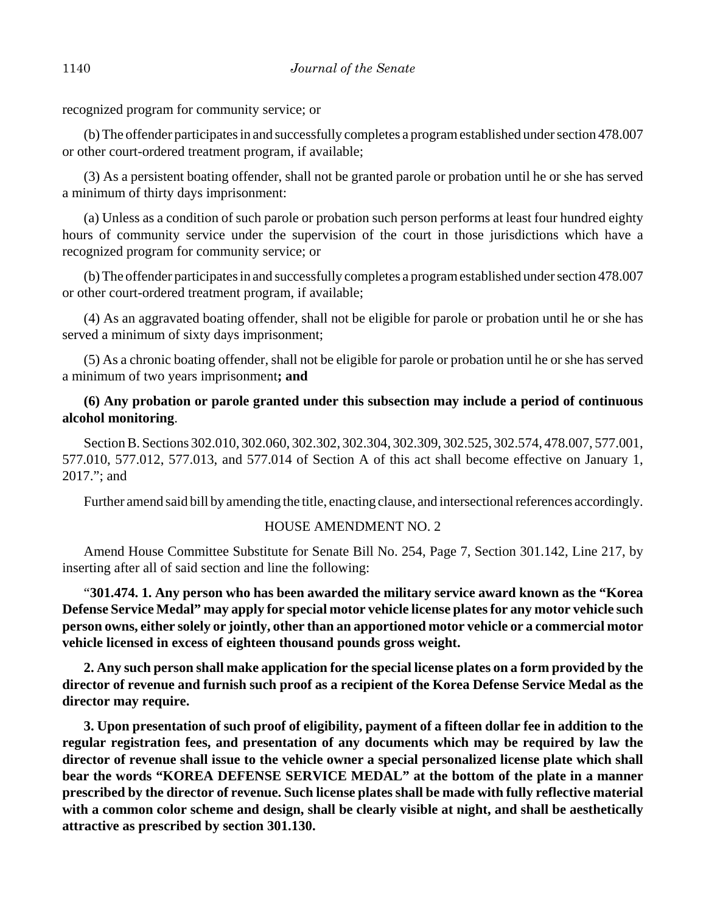recognized program for community service; or

(b) The offender participates in and successfully completes a program established under section 478.007 or other court-ordered treatment program, if available;

(3) As a persistent boating offender, shall not be granted parole or probation until he or she has served a minimum of thirty days imprisonment:

(a) Unless as a condition of such parole or probation such person performs at least four hundred eighty hours of community service under the supervision of the court in those jurisdictions which have a recognized program for community service; or

(b) The offender participates in and successfully completes a program established under section 478.007 or other court-ordered treatment program, if available;

(4) As an aggravated boating offender, shall not be eligible for parole or probation until he or she has served a minimum of sixty days imprisonment;

(5) As a chronic boating offender, shall not be eligible for parole or probation until he or she has served a minimum of two years imprisonment**; and**

# **(6) Any probation or parole granted under this subsection may include a period of continuous alcohol monitoring**.

Section B. Sections 302.010, 302.060, 302.302, 302.304, 302.309, 302.525, 302.574, 478.007, 577.001, 577.010, 577.012, 577.013, and 577.014 of Section A of this act shall become effective on January 1, 2017."; and

Further amend said bill by amending the title, enacting clause, and intersectional references accordingly.

## HOUSE AMENDMENT NO. 2

Amend House Committee Substitute for Senate Bill No. 254, Page 7, Section 301.142, Line 217, by inserting after all of said section and line the following:

"**301.474. 1. Any person who has been awarded the military service award known as the "Korea Defense Service Medal" may apply for special motor vehicle license plates for any motor vehicle such person owns, either solely or jointly, other than an apportioned motor vehicle or a commercial motor vehicle licensed in excess of eighteen thousand pounds gross weight.**

**2. Any such person shall make application for the special license plates on a form provided by the director of revenue and furnish such proof as a recipient of the Korea Defense Service Medal as the director may require.**

**3. Upon presentation of such proof of eligibility, payment of a fifteen dollar fee in addition to the regular registration fees, and presentation of any documents which may be required by law the director of revenue shall issue to the vehicle owner a special personalized license plate which shall bear the words "KOREA DEFENSE SERVICE MEDAL" at the bottom of the plate in a manner prescribed by the director of revenue. Such license plates shall be made with fully reflective material with a common color scheme and design, shall be clearly visible at night, and shall be aesthetically attractive as prescribed by section 301.130.**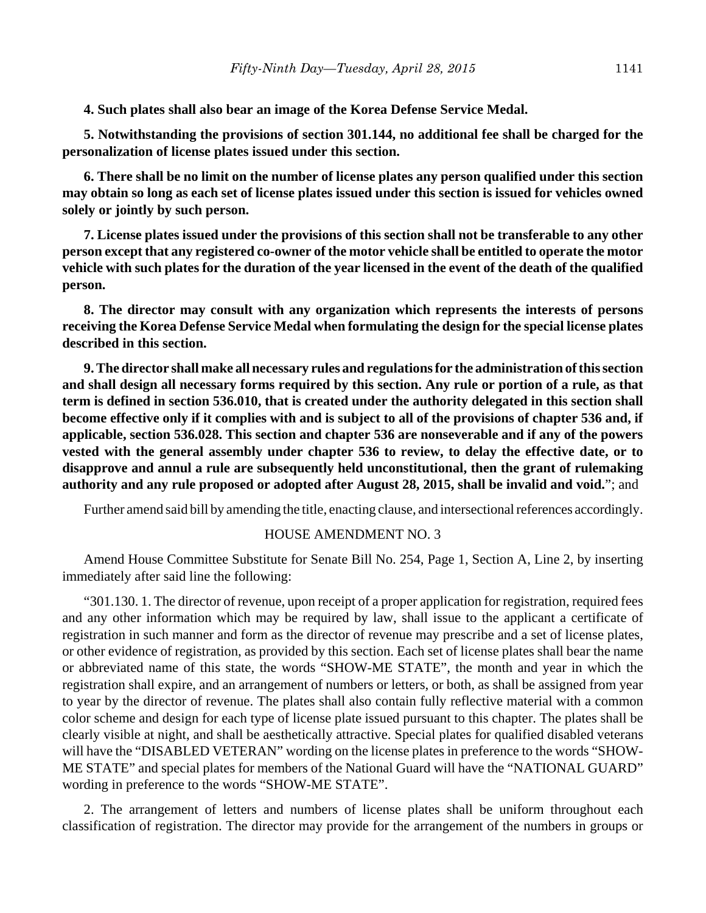**4. Such plates shall also bear an image of the Korea Defense Service Medal.**

**5. Notwithstanding the provisions of section 301.144, no additional fee shall be charged for the personalization of license plates issued under this section.**

**6. There shall be no limit on the number of license plates any person qualified under this section may obtain so long as each set of license plates issued under this section is issued for vehicles owned solely or jointly by such person.**

**7. License plates issued under the provisions of this section shall not be transferable to any other person except that any registered co-owner of the motor vehicle shall be entitled to operate the motor vehicle with such plates for the duration of the year licensed in the event of the death of the qualified person.**

**8. The director may consult with any organization which represents the interests of persons receiving the Korea Defense Service Medal when formulating the design for the special license plates described in this section.**

**9. The director shall make all necessary rules and regulations for the administration of this section and shall design all necessary forms required by this section. Any rule or portion of a rule, as that term is defined in section 536.010, that is created under the authority delegated in this section shall become effective only if it complies with and is subject to all of the provisions of chapter 536 and, if applicable, section 536.028. This section and chapter 536 are nonseverable and if any of the powers vested with the general assembly under chapter 536 to review, to delay the effective date, or to disapprove and annul a rule are subsequently held unconstitutional, then the grant of rulemaking authority and any rule proposed or adopted after August 28, 2015, shall be invalid and void.**"; and

Further amend said bill by amending the title, enacting clause, and intersectional references accordingly.

#### HOUSE AMENDMENT NO. 3

Amend House Committee Substitute for Senate Bill No. 254, Page 1, Section A, Line 2, by inserting immediately after said line the following:

"301.130. 1. The director of revenue, upon receipt of a proper application for registration, required fees and any other information which may be required by law, shall issue to the applicant a certificate of registration in such manner and form as the director of revenue may prescribe and a set of license plates, or other evidence of registration, as provided by this section. Each set of license plates shall bear the name or abbreviated name of this state, the words "SHOW-ME STATE", the month and year in which the registration shall expire, and an arrangement of numbers or letters, or both, as shall be assigned from year to year by the director of revenue. The plates shall also contain fully reflective material with a common color scheme and design for each type of license plate issued pursuant to this chapter. The plates shall be clearly visible at night, and shall be aesthetically attractive. Special plates for qualified disabled veterans will have the "DISABLED VETERAN" wording on the license plates in preference to the words "SHOW-ME STATE" and special plates for members of the National Guard will have the "NATIONAL GUARD" wording in preference to the words "SHOW-ME STATE".

2. The arrangement of letters and numbers of license plates shall be uniform throughout each classification of registration. The director may provide for the arrangement of the numbers in groups or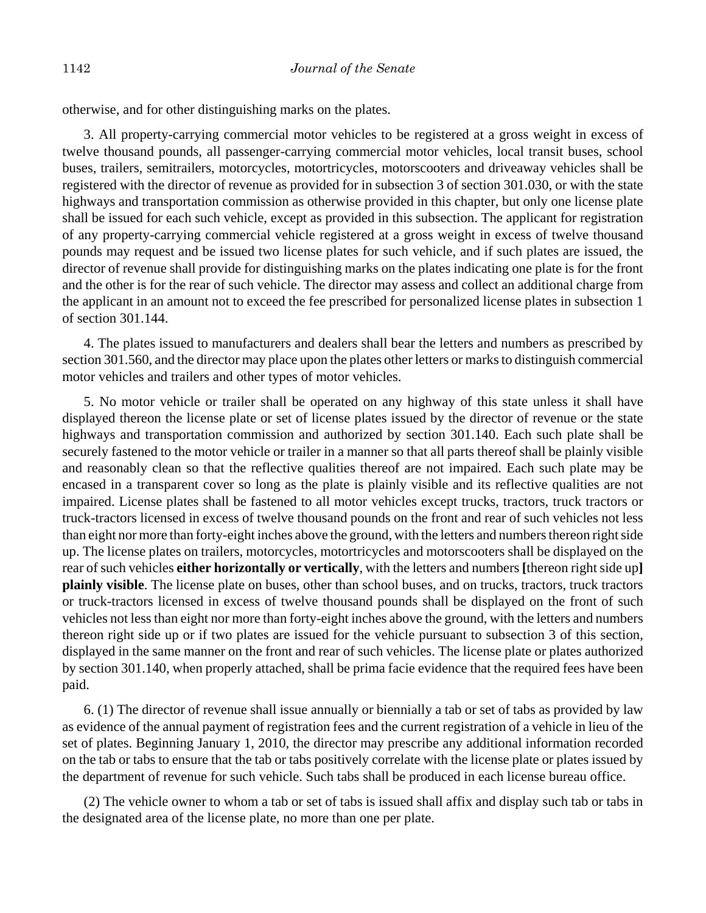otherwise, and for other distinguishing marks on the plates.

3. All property-carrying commercial motor vehicles to be registered at a gross weight in excess of twelve thousand pounds, all passenger-carrying commercial motor vehicles, local transit buses, school buses, trailers, semitrailers, motorcycles, motortricycles, motorscooters and driveaway vehicles shall be registered with the director of revenue as provided for in subsection 3 of section 301.030, or with the state highways and transportation commission as otherwise provided in this chapter, but only one license plate shall be issued for each such vehicle, except as provided in this subsection. The applicant for registration of any property-carrying commercial vehicle registered at a gross weight in excess of twelve thousand pounds may request and be issued two license plates for such vehicle, and if such plates are issued, the director of revenue shall provide for distinguishing marks on the plates indicating one plate is for the front and the other is for the rear of such vehicle. The director may assess and collect an additional charge from the applicant in an amount not to exceed the fee prescribed for personalized license plates in subsection 1 of section 301.144.

4. The plates issued to manufacturers and dealers shall bear the letters and numbers as prescribed by section 301.560, and the director may place upon the plates other letters or marks to distinguish commercial motor vehicles and trailers and other types of motor vehicles.

5. No motor vehicle or trailer shall be operated on any highway of this state unless it shall have displayed thereon the license plate or set of license plates issued by the director of revenue or the state highways and transportation commission and authorized by section 301.140. Each such plate shall be securely fastened to the motor vehicle or trailer in a manner so that all parts thereof shall be plainly visible and reasonably clean so that the reflective qualities thereof are not impaired. Each such plate may be encased in a transparent cover so long as the plate is plainly visible and its reflective qualities are not impaired. License plates shall be fastened to all motor vehicles except trucks, tractors, truck tractors or truck-tractors licensed in excess of twelve thousand pounds on the front and rear of such vehicles not less than eight nor more than forty-eight inches above the ground, with the letters and numbers thereon right side up. The license plates on trailers, motorcycles, motortricycles and motorscooters shall be displayed on the rear of such vehicles **either horizontally or vertically**, with the letters and numbers **[**thereon right side up**] plainly visible**. The license plate on buses, other than school buses, and on trucks, tractors, truck tractors or truck-tractors licensed in excess of twelve thousand pounds shall be displayed on the front of such vehicles not less than eight nor more than forty-eight inches above the ground, with the letters and numbers thereon right side up or if two plates are issued for the vehicle pursuant to subsection 3 of this section, displayed in the same manner on the front and rear of such vehicles. The license plate or plates authorized by section 301.140, when properly attached, shall be prima facie evidence that the required fees have been paid.

6. (1) The director of revenue shall issue annually or biennially a tab or set of tabs as provided by law as evidence of the annual payment of registration fees and the current registration of a vehicle in lieu of the set of plates. Beginning January 1, 2010, the director may prescribe any additional information recorded on the tab or tabs to ensure that the tab or tabs positively correlate with the license plate or plates issued by the department of revenue for such vehicle. Such tabs shall be produced in each license bureau office.

(2) The vehicle owner to whom a tab or set of tabs is issued shall affix and display such tab or tabs in the designated area of the license plate, no more than one per plate.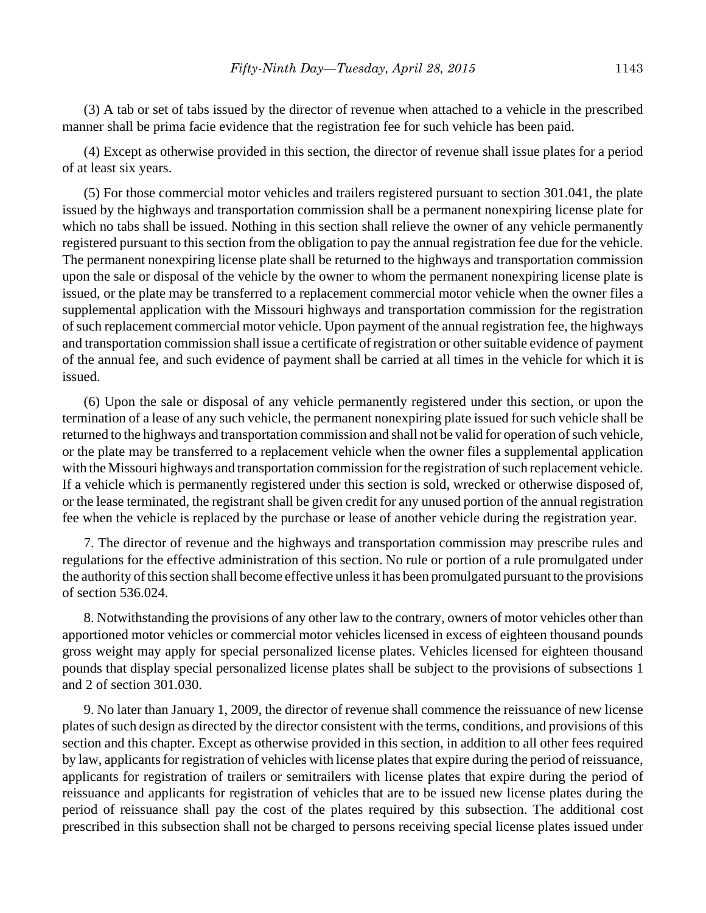(3) A tab or set of tabs issued by the director of revenue when attached to a vehicle in the prescribed manner shall be prima facie evidence that the registration fee for such vehicle has been paid.

(4) Except as otherwise provided in this section, the director of revenue shall issue plates for a period of at least six years.

(5) For those commercial motor vehicles and trailers registered pursuant to section 301.041, the plate issued by the highways and transportation commission shall be a permanent nonexpiring license plate for which no tabs shall be issued. Nothing in this section shall relieve the owner of any vehicle permanently registered pursuant to this section from the obligation to pay the annual registration fee due for the vehicle. The permanent nonexpiring license plate shall be returned to the highways and transportation commission upon the sale or disposal of the vehicle by the owner to whom the permanent nonexpiring license plate is issued, or the plate may be transferred to a replacement commercial motor vehicle when the owner files a supplemental application with the Missouri highways and transportation commission for the registration of such replacement commercial motor vehicle. Upon payment of the annual registration fee, the highways and transportation commission shall issue a certificate of registration or other suitable evidence of payment of the annual fee, and such evidence of payment shall be carried at all times in the vehicle for which it is issued.

(6) Upon the sale or disposal of any vehicle permanently registered under this section, or upon the termination of a lease of any such vehicle, the permanent nonexpiring plate issued for such vehicle shall be returned to the highways and transportation commission and shall not be valid for operation of such vehicle, or the plate may be transferred to a replacement vehicle when the owner files a supplemental application with the Missouri highways and transportation commission for the registration of such replacement vehicle. If a vehicle which is permanently registered under this section is sold, wrecked or otherwise disposed of, or the lease terminated, the registrant shall be given credit for any unused portion of the annual registration fee when the vehicle is replaced by the purchase or lease of another vehicle during the registration year.

7. The director of revenue and the highways and transportation commission may prescribe rules and regulations for the effective administration of this section. No rule or portion of a rule promulgated under the authority of this section shall become effective unless it has been promulgated pursuant to the provisions of section 536.024.

8. Notwithstanding the provisions of any other law to the contrary, owners of motor vehicles other than apportioned motor vehicles or commercial motor vehicles licensed in excess of eighteen thousand pounds gross weight may apply for special personalized license plates. Vehicles licensed for eighteen thousand pounds that display special personalized license plates shall be subject to the provisions of subsections 1 and 2 of section 301.030.

9. No later than January 1, 2009, the director of revenue shall commence the reissuance of new license plates of such design as directed by the director consistent with the terms, conditions, and provisions of this section and this chapter. Except as otherwise provided in this section, in addition to all other fees required by law, applicants for registration of vehicles with license plates that expire during the period of reissuance, applicants for registration of trailers or semitrailers with license plates that expire during the period of reissuance and applicants for registration of vehicles that are to be issued new license plates during the period of reissuance shall pay the cost of the plates required by this subsection. The additional cost prescribed in this subsection shall not be charged to persons receiving special license plates issued under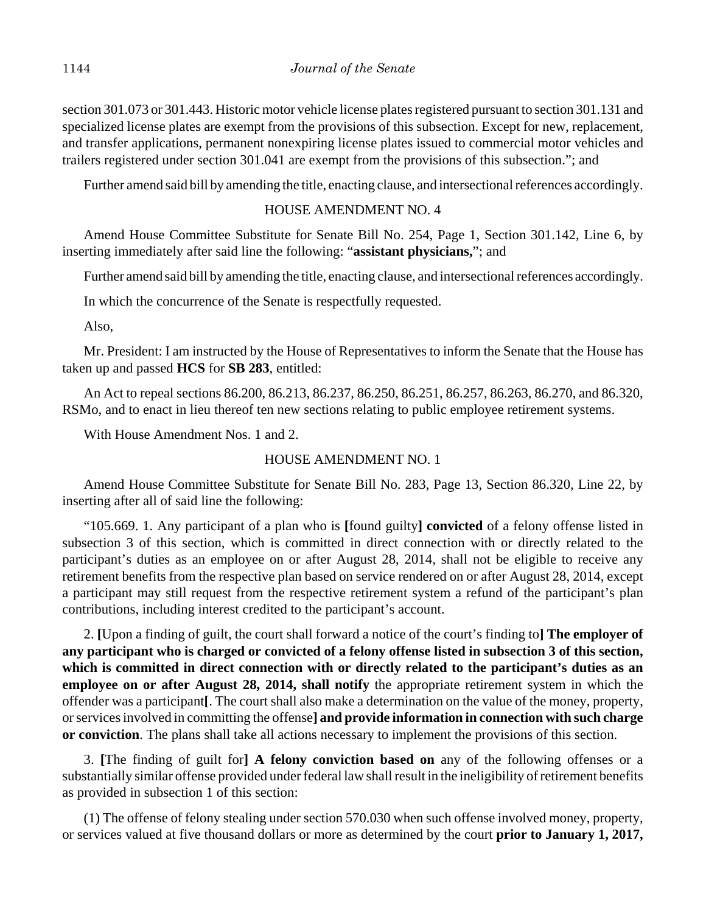section 301.073 or 301.443. Historic motor vehicle license plates registered pursuant to section 301.131 and specialized license plates are exempt from the provisions of this subsection. Except for new, replacement, and transfer applications, permanent nonexpiring license plates issued to commercial motor vehicles and trailers registered under section 301.041 are exempt from the provisions of this subsection."; and

Further amend said bill by amending the title, enacting clause, and intersectional references accordingly.

# HOUSE AMENDMENT NO. 4

Amend House Committee Substitute for Senate Bill No. 254, Page 1, Section 301.142, Line 6, by inserting immediately after said line the following: "**assistant physicians,**"; and

Further amend said bill by amending the title, enacting clause, and intersectional references accordingly.

In which the concurrence of the Senate is respectfully requested.

Also,

Mr. President: I am instructed by the House of Representatives to inform the Senate that the House has taken up and passed **HCS** for **SB 283**, entitled:

An Act to repeal sections 86.200, 86.213, 86.237, 86.250, 86.251, 86.257, 86.263, 86.270, and 86.320, RSMo, and to enact in lieu thereof ten new sections relating to public employee retirement systems.

With House Amendment Nos. 1 and 2.

# HOUSE AMENDMENT NO. 1

Amend House Committee Substitute for Senate Bill No. 283, Page 13, Section 86.320, Line 22, by inserting after all of said line the following:

"105.669. 1. Any participant of a plan who is **[**found guilty**] convicted** of a felony offense listed in subsection 3 of this section, which is committed in direct connection with or directly related to the participant's duties as an employee on or after August 28, 2014, shall not be eligible to receive any retirement benefits from the respective plan based on service rendered on or after August 28, 2014, except a participant may still request from the respective retirement system a refund of the participant's plan contributions, including interest credited to the participant's account.

2. **[**Upon a finding of guilt, the court shall forward a notice of the court's finding to**] The employer of any participant who is charged or convicted of a felony offense listed in subsection 3 of this section, which is committed in direct connection with or directly related to the participant's duties as an employee on or after August 28, 2014, shall notify** the appropriate retirement system in which the offender was a participant**[**. The court shall also make a determination on the value of the money, property, or services involved in committing the offense**] and provide information in connection with such charge or conviction**. The plans shall take all actions necessary to implement the provisions of this section.

3. **[**The finding of guilt for**] A felony conviction based on** any of the following offenses or a substantially similar offense provided under federal law shall result in the ineligibility of retirement benefits as provided in subsection 1 of this section:

(1) The offense of felony stealing under section 570.030 when such offense involved money, property, or services valued at five thousand dollars or more as determined by the court **prior to January 1, 2017,**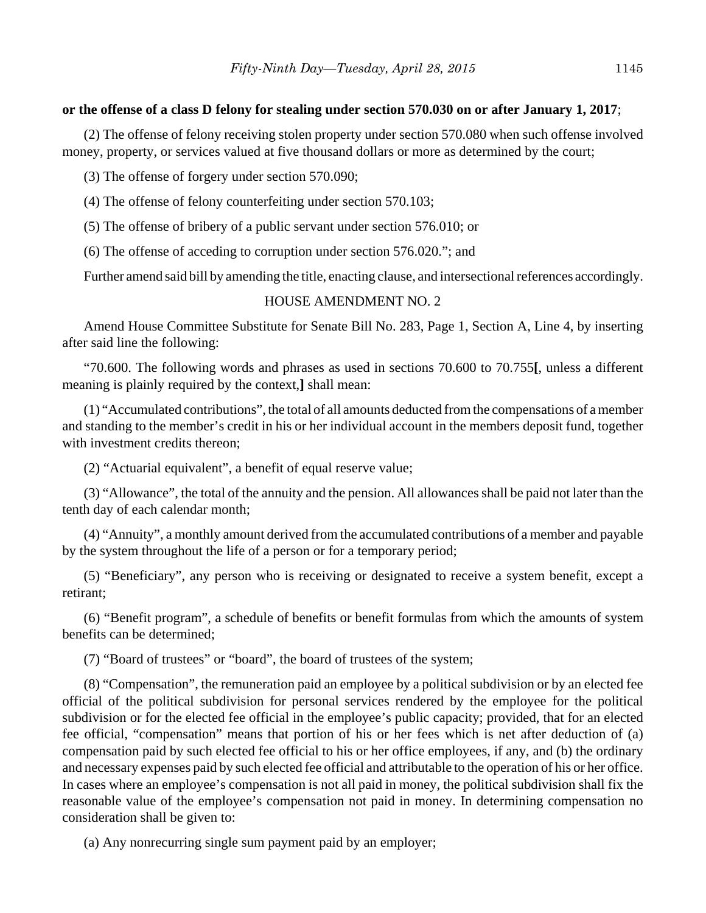## **or the offense of a class D felony for stealing under section 570.030 on or after January 1, 2017**;

(2) The offense of felony receiving stolen property under section 570.080 when such offense involved money, property, or services valued at five thousand dollars or more as determined by the court;

(3) The offense of forgery under section 570.090;

(4) The offense of felony counterfeiting under section 570.103;

(5) The offense of bribery of a public servant under section 576.010; or

(6) The offense of acceding to corruption under section 576.020."; and

Further amend said bill by amending the title, enacting clause, and intersectional references accordingly.

#### HOUSE AMENDMENT NO. 2

Amend House Committee Substitute for Senate Bill No. 283, Page 1, Section A, Line 4, by inserting after said line the following:

"70.600. The following words and phrases as used in sections 70.600 to 70.755**[**, unless a different meaning is plainly required by the context,**]** shall mean:

(1) "Accumulated contributions", the total of all amounts deducted from the compensations of a member and standing to the member's credit in his or her individual account in the members deposit fund, together with investment credits thereon;

(2) "Actuarial equivalent", a benefit of equal reserve value;

(3) "Allowance", the total of the annuity and the pension. All allowances shall be paid not later than the tenth day of each calendar month;

(4) "Annuity", a monthly amount derived from the accumulated contributions of a member and payable by the system throughout the life of a person or for a temporary period;

(5) "Beneficiary", any person who is receiving or designated to receive a system benefit, except a retirant;

(6) "Benefit program", a schedule of benefits or benefit formulas from which the amounts of system benefits can be determined;

(7) "Board of trustees" or "board", the board of trustees of the system;

(8) "Compensation", the remuneration paid an employee by a political subdivision or by an elected fee official of the political subdivision for personal services rendered by the employee for the political subdivision or for the elected fee official in the employee's public capacity; provided, that for an elected fee official, "compensation" means that portion of his or her fees which is net after deduction of (a) compensation paid by such elected fee official to his or her office employees, if any, and (b) the ordinary and necessary expenses paid by such elected fee official and attributable to the operation of his or her office. In cases where an employee's compensation is not all paid in money, the political subdivision shall fix the reasonable value of the employee's compensation not paid in money. In determining compensation no consideration shall be given to:

(a) Any nonrecurring single sum payment paid by an employer;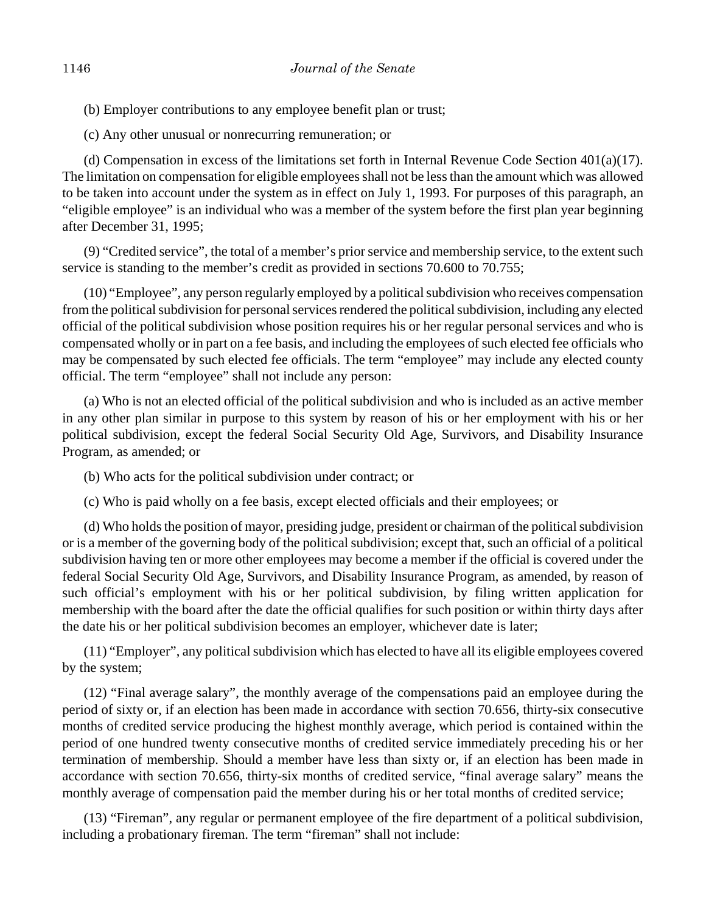(b) Employer contributions to any employee benefit plan or trust;

(c) Any other unusual or nonrecurring remuneration; or

(d) Compensation in excess of the limitations set forth in Internal Revenue Code Section  $401(a)(17)$ . The limitation on compensation for eligible employees shall not be less than the amount which was allowed to be taken into account under the system as in effect on July 1, 1993. For purposes of this paragraph, an "eligible employee" is an individual who was a member of the system before the first plan year beginning after December 31, 1995;

(9) "Credited service", the total of a member's prior service and membership service, to the extent such service is standing to the member's credit as provided in sections 70.600 to 70.755;

(10) "Employee", any person regularly employed by a political subdivision who receives compensation from the political subdivision for personal services rendered the political subdivision, including any elected official of the political subdivision whose position requires his or her regular personal services and who is compensated wholly or in part on a fee basis, and including the employees of such elected fee officials who may be compensated by such elected fee officials. The term "employee" may include any elected county official. The term "employee" shall not include any person:

(a) Who is not an elected official of the political subdivision and who is included as an active member in any other plan similar in purpose to this system by reason of his or her employment with his or her political subdivision, except the federal Social Security Old Age, Survivors, and Disability Insurance Program, as amended; or

(b) Who acts for the political subdivision under contract; or

(c) Who is paid wholly on a fee basis, except elected officials and their employees; or

(d) Who holds the position of mayor, presiding judge, president or chairman of the political subdivision or is a member of the governing body of the political subdivision; except that, such an official of a political subdivision having ten or more other employees may become a member if the official is covered under the federal Social Security Old Age, Survivors, and Disability Insurance Program, as amended, by reason of such official's employment with his or her political subdivision, by filing written application for membership with the board after the date the official qualifies for such position or within thirty days after the date his or her political subdivision becomes an employer, whichever date is later;

(11) "Employer", any political subdivision which has elected to have all its eligible employees covered by the system;

(12) "Final average salary", the monthly average of the compensations paid an employee during the period of sixty or, if an election has been made in accordance with section 70.656, thirty-six consecutive months of credited service producing the highest monthly average, which period is contained within the period of one hundred twenty consecutive months of credited service immediately preceding his or her termination of membership. Should a member have less than sixty or, if an election has been made in accordance with section 70.656, thirty-six months of credited service, "final average salary" means the monthly average of compensation paid the member during his or her total months of credited service;

(13) "Fireman", any regular or permanent employee of the fire department of a political subdivision, including a probationary fireman. The term "fireman" shall not include: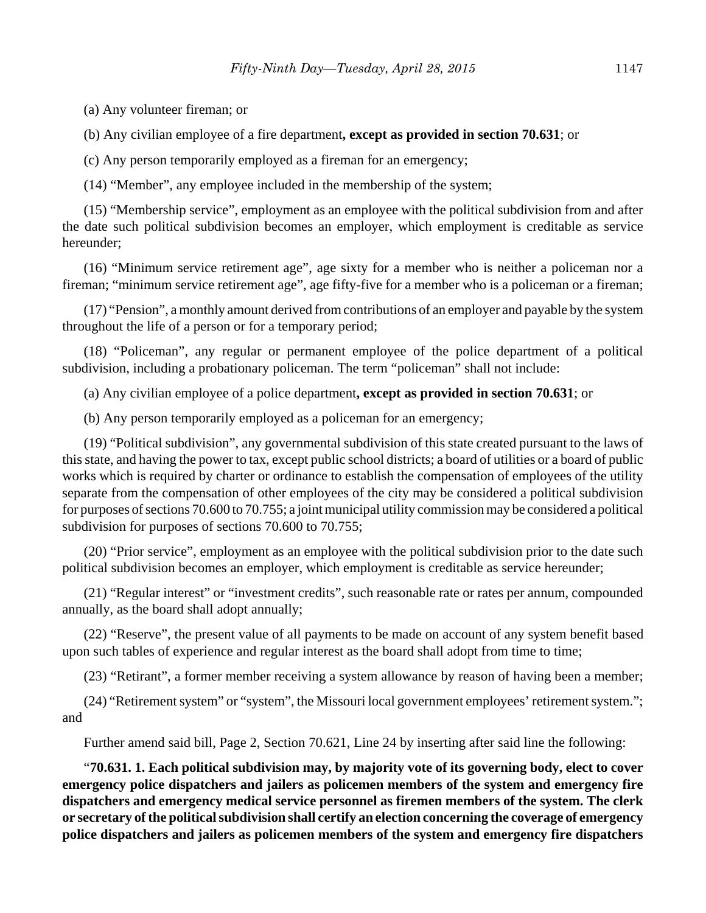(a) Any volunteer fireman; or

(b) Any civilian employee of a fire department**, except as provided in section 70.631**; or

(c) Any person temporarily employed as a fireman for an emergency;

(14) "Member", any employee included in the membership of the system;

(15) "Membership service", employment as an employee with the political subdivision from and after the date such political subdivision becomes an employer, which employment is creditable as service hereunder;

(16) "Minimum service retirement age", age sixty for a member who is neither a policeman nor a fireman; "minimum service retirement age", age fifty-five for a member who is a policeman or a fireman;

(17) "Pension", a monthly amount derived from contributions of an employer and payable by the system throughout the life of a person or for a temporary period;

(18) "Policeman", any regular or permanent employee of the police department of a political subdivision, including a probationary policeman. The term "policeman" shall not include:

(a) Any civilian employee of a police department**, except as provided in section 70.631**; or

(b) Any person temporarily employed as a policeman for an emergency;

(19) "Political subdivision", any governmental subdivision of this state created pursuant to the laws of this state, and having the power to tax, except public school districts; a board of utilities or a board of public works which is required by charter or ordinance to establish the compensation of employees of the utility separate from the compensation of other employees of the city may be considered a political subdivision for purposes of sections 70.600 to 70.755; a joint municipal utility commission may be considered a political subdivision for purposes of sections 70.600 to 70.755;

(20) "Prior service", employment as an employee with the political subdivision prior to the date such political subdivision becomes an employer, which employment is creditable as service hereunder;

(21) "Regular interest" or "investment credits", such reasonable rate or rates per annum, compounded annually, as the board shall adopt annually;

(22) "Reserve", the present value of all payments to be made on account of any system benefit based upon such tables of experience and regular interest as the board shall adopt from time to time;

(23) "Retirant", a former member receiving a system allowance by reason of having been a member;

(24) "Retirement system" or "system", the Missouri local government employees' retirement system."; and

Further amend said bill, Page 2, Section 70.621, Line 24 by inserting after said line the following:

"**70.631. 1. Each political subdivision may, by majority vote of its governing body, elect to cover emergency police dispatchers and jailers as policemen members of the system and emergency fire dispatchers and emergency medical service personnel as firemen members of the system. The clerk or secretary of the political subdivision shall certify an election concerning the coverage of emergency police dispatchers and jailers as policemen members of the system and emergency fire dispatchers**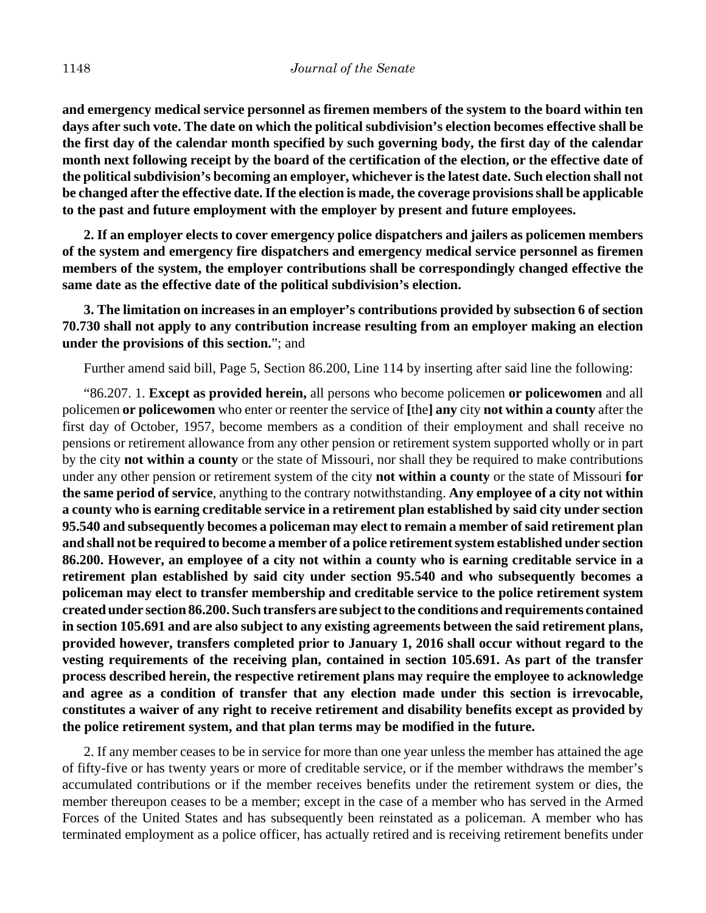**and emergency medical service personnel as firemen members of the system to the board within ten days after such vote. The date on which the political subdivision's election becomes effective shall be the first day of the calendar month specified by such governing body, the first day of the calendar month next following receipt by the board of the certification of the election, or the effective date of the political subdivision's becoming an employer, whichever is the latest date. Such election shall not be changed after the effective date. If the election is made, the coverage provisions shall be applicable to the past and future employment with the employer by present and future employees.**

**2. If an employer elects to cover emergency police dispatchers and jailers as policemen members of the system and emergency fire dispatchers and emergency medical service personnel as firemen members of the system, the employer contributions shall be correspondingly changed effective the same date as the effective date of the political subdivision's election.**

**3. The limitation on increases in an employer's contributions provided by subsection 6 of section 70.730 shall not apply to any contribution increase resulting from an employer making an election under the provisions of this section.**"; and

Further amend said bill, Page 5, Section 86.200, Line 114 by inserting after said line the following:

"86.207. 1. **Except as provided herein,** all persons who become policemen **or policewomen** and all policemen **or policewomen** who enter or reenter the service of **[**the**] any** city **not within a county** after the first day of October, 1957, become members as a condition of their employment and shall receive no pensions or retirement allowance from any other pension or retirement system supported wholly or in part by the city **not within a county** or the state of Missouri, nor shall they be required to make contributions under any other pension or retirement system of the city **not within a county** or the state of Missouri **for the same period of service**, anything to the contrary notwithstanding. **Any employee of a city not within a county who is earning creditable service in a retirement plan established by said city under section 95.540 and subsequently becomes a policeman may elect to remain a member of said retirement plan and shall not be required to become a member of a police retirement system established under section 86.200. However, an employee of a city not within a county who is earning creditable service in a retirement plan established by said city under section 95.540 and who subsequently becomes a policeman may elect to transfer membership and creditable service to the police retirement system created under section 86.200. Such transfers are subject to the conditions and requirements contained in section 105.691 and are also subject to any existing agreements between the said retirement plans, provided however, transfers completed prior to January 1, 2016 shall occur without regard to the vesting requirements of the receiving plan, contained in section 105.691. As part of the transfer process described herein, the respective retirement plans may require the employee to acknowledge and agree as a condition of transfer that any election made under this section is irrevocable, constitutes a waiver of any right to receive retirement and disability benefits except as provided by the police retirement system, and that plan terms may be modified in the future.**

2. If any member ceases to be in service for more than one year unless the member has attained the age of fifty-five or has twenty years or more of creditable service, or if the member withdraws the member's accumulated contributions or if the member receives benefits under the retirement system or dies, the member thereupon ceases to be a member; except in the case of a member who has served in the Armed Forces of the United States and has subsequently been reinstated as a policeman. A member who has terminated employment as a police officer, has actually retired and is receiving retirement benefits under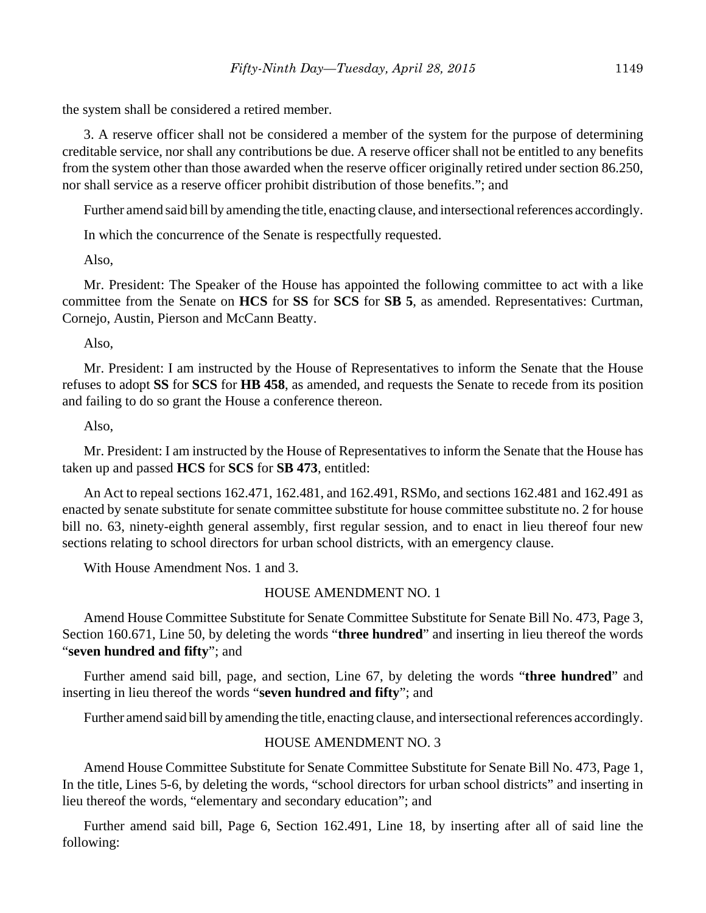the system shall be considered a retired member.

3. A reserve officer shall not be considered a member of the system for the purpose of determining creditable service, nor shall any contributions be due. A reserve officer shall not be entitled to any benefits from the system other than those awarded when the reserve officer originally retired under section 86.250, nor shall service as a reserve officer prohibit distribution of those benefits."; and

Further amend said bill by amending the title, enacting clause, and intersectional references accordingly.

In which the concurrence of the Senate is respectfully requested.

Also,

Mr. President: The Speaker of the House has appointed the following committee to act with a like committee from the Senate on **HCS** for **SS** for **SCS** for **SB 5**, as amended. Representatives: Curtman, Cornejo, Austin, Pierson and McCann Beatty.

Also,

Mr. President: I am instructed by the House of Representatives to inform the Senate that the House refuses to adopt **SS** for **SCS** for **HB 458**, as amended, and requests the Senate to recede from its position and failing to do so grant the House a conference thereon.

#### Also,

Mr. President: I am instructed by the House of Representatives to inform the Senate that the House has taken up and passed **HCS** for **SCS** for **SB 473**, entitled:

An Act to repeal sections 162.471, 162.481, and 162.491, RSMo, and sections 162.481 and 162.491 as enacted by senate substitute for senate committee substitute for house committee substitute no. 2 for house bill no. 63, ninety-eighth general assembly, first regular session, and to enact in lieu thereof four new sections relating to school directors for urban school districts, with an emergency clause.

With House Amendment Nos. 1 and 3.

#### HOUSE AMENDMENT NO. 1

Amend House Committee Substitute for Senate Committee Substitute for Senate Bill No. 473, Page 3, Section 160.671, Line 50, by deleting the words "**three hundred**" and inserting in lieu thereof the words "**seven hundred and fifty**"; and

Further amend said bill, page, and section, Line 67, by deleting the words "**three hundred**" and inserting in lieu thereof the words "**seven hundred and fifty**"; and

Further amend said bill by amending the title, enacting clause, and intersectional references accordingly.

## HOUSE AMENDMENT NO. 3

Amend House Committee Substitute for Senate Committee Substitute for Senate Bill No. 473, Page 1, In the title, Lines 5-6, by deleting the words, "school directors for urban school districts" and inserting in lieu thereof the words, "elementary and secondary education"; and

Further amend said bill, Page 6, Section 162.491, Line 18, by inserting after all of said line the following: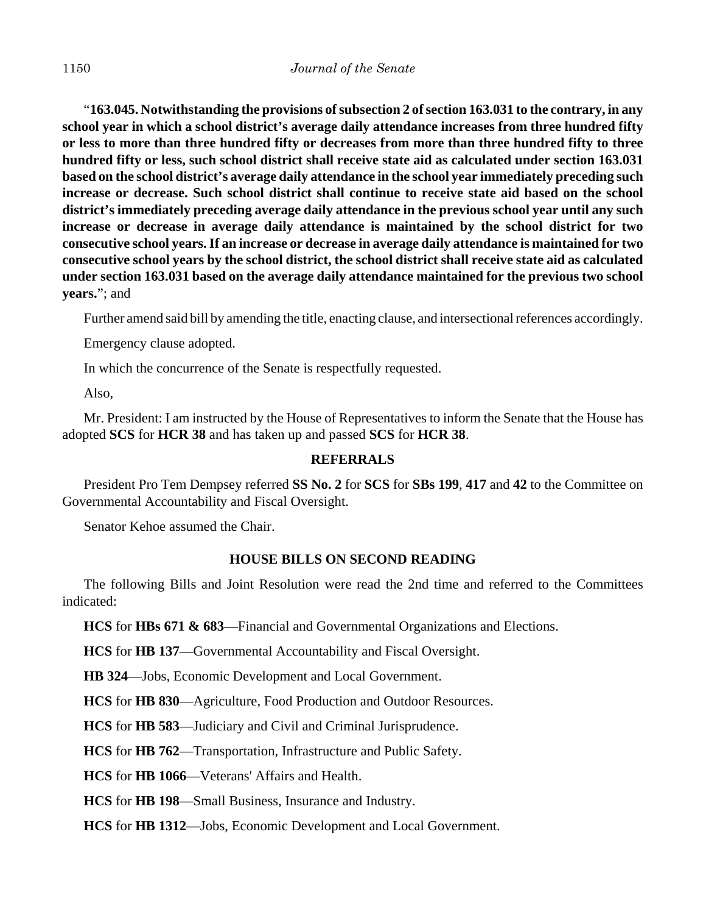"**163.045. Notwithstanding the provisions of subsection 2 of section 163.031 to the contrary, in any school year in which a school district's average daily attendance increases from three hundred fifty or less to more than three hundred fifty or decreases from more than three hundred fifty to three hundred fifty or less, such school district shall receive state aid as calculated under section 163.031 based on the school district's average daily attendance in the school year immediately preceding such increase or decrease. Such school district shall continue to receive state aid based on the school district's immediately preceding average daily attendance in the previous school year until any such increase or decrease in average daily attendance is maintained by the school district for two consecutive school years. If an increase or decrease in average daily attendance is maintained for two consecutive school years by the school district, the school district shall receive state aid as calculated under section 163.031 based on the average daily attendance maintained for the previous two school years.**"; and

Further amend said bill by amending the title, enacting clause, and intersectional references accordingly.

Emergency clause adopted.

In which the concurrence of the Senate is respectfully requested.

Also,

Mr. President: I am instructed by the House of Representatives to inform the Senate that the House has adopted **SCS** for **HCR 38** and has taken up and passed **SCS** for **HCR 38**.

## **REFERRALS**

President Pro Tem Dempsey referred **SS No. 2** for **SCS** for **SBs 199**, **417** and **42** to the Committee on Governmental Accountability and Fiscal Oversight.

Senator Kehoe assumed the Chair.

## **HOUSE BILLS ON SECOND READING**

The following Bills and Joint Resolution were read the 2nd time and referred to the Committees indicated:

**HCS** for **HBs 671 & 683**––Financial and Governmental Organizations and Elections.

**HCS** for **HB 137**––Governmental Accountability and Fiscal Oversight.

**HB 324**––Jobs, Economic Development and Local Government.

**HCS** for **HB 830**––Agriculture, Food Production and Outdoor Resources.

**HCS** for **HB 583**––Judiciary and Civil and Criminal Jurisprudence.

**HCS** for **HB 762**––Transportation, Infrastructure and Public Safety.

**HCS** for **HB 1066**––Veterans' Affairs and Health.

**HCS** for **HB 198**––Small Business, Insurance and Industry.

**HCS** for **HB 1312**––Jobs, Economic Development and Local Government.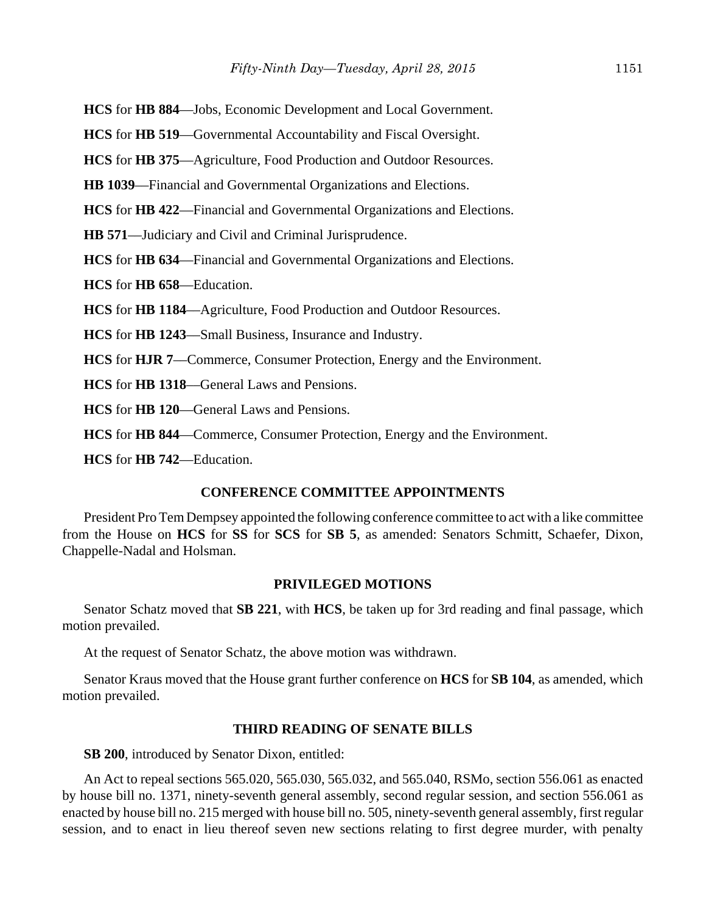**HCS** for **HB 884**––Jobs, Economic Development and Local Government.

**HCS** for **HB 519**––Governmental Accountability and Fiscal Oversight.

**HCS** for **HB 375**––Agriculture, Food Production and Outdoor Resources.

**HB 1039**––Financial and Governmental Organizations and Elections.

**HCS** for **HB 422**––Financial and Governmental Organizations and Elections.

**HB 571**––Judiciary and Civil and Criminal Jurisprudence.

**HCS** for **HB 634**––Financial and Governmental Organizations and Elections.

**HCS** for **HB 658**––Education.

**HCS** for **HB 1184**––Agriculture, Food Production and Outdoor Resources.

**HCS** for **HB 1243**––Small Business, Insurance and Industry.

**HCS** for **HJR 7**––Commerce, Consumer Protection, Energy and the Environment.

**HCS** for **HB 1318**––General Laws and Pensions.

**HCS** for **HB 120**––General Laws and Pensions.

**HCS** for **HB 844**––Commerce, Consumer Protection, Energy and the Environment.

**HCS** for **HB 742**––Education.

#### **CONFERENCE COMMITTEE APPOINTMENTS**

President Pro Tem Dempsey appointed the following conference committee to act with a like committee from the House on **HCS** for **SS** for **SCS** for **SB 5**, as amended: Senators Schmitt, Schaefer, Dixon, Chappelle-Nadal and Holsman.

## **PRIVILEGED MOTIONS**

Senator Schatz moved that **SB 221**, with **HCS**, be taken up for 3rd reading and final passage, which motion prevailed.

At the request of Senator Schatz, the above motion was withdrawn.

Senator Kraus moved that the House grant further conference on **HCS** for **SB 104**, as amended, which motion prevailed.

## **THIRD READING OF SENATE BILLS**

**SB 200**, introduced by Senator Dixon, entitled:

An Act to repeal sections 565.020, 565.030, 565.032, and 565.040, RSMo, section 556.061 as enacted by house bill no. 1371, ninety-seventh general assembly, second regular session, and section 556.061 as enacted by house bill no. 215 merged with house bill no. 505, ninety-seventh general assembly, first regular session, and to enact in lieu thereof seven new sections relating to first degree murder, with penalty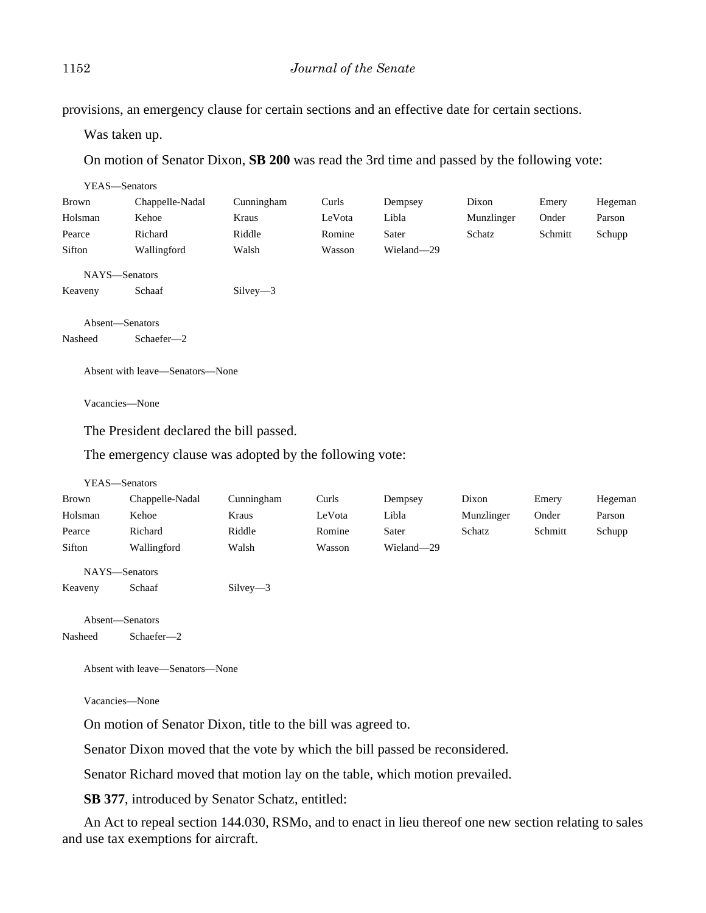provisions, an emergency clause for certain sections and an effective date for certain sections.

Was taken up.

On motion of Senator Dixon, **SB 200** was read the 3rd time and passed by the following vote:

| YEAS-Senators   |                 |            |        |            |            |         |         |
|-----------------|-----------------|------------|--------|------------|------------|---------|---------|
| Brown           | Chappelle-Nadal | Cunningham | Curls  | Dempsey    | Dixon      | Emery   | Hegeman |
| Holsman         | Kehoe           | Kraus      | LeVota | Libla      | Munzlinger | Onder   | Parson  |
| Pearce          | Richard         | Riddle     | Romine | Sater      | Schatz     | Schmitt | Schupp  |
| Sifton          | Wallingford     | Walsh      | Wasson | Wieland-29 |            |         |         |
| NAYS-Senators   |                 |            |        |            |            |         |         |
| Keaveny         | Schaaf          | $Silvev-3$ |        |            |            |         |         |
|                 |                 |            |        |            |            |         |         |
| Absent-Senators |                 |            |        |            |            |         |         |
| Nasheed         | Schaefer-2      |            |        |            |            |         |         |
|                 |                 |            |        |            |            |         |         |

Absent with leave—Senators—None

Vacancies—None

The President declared the bill passed.

The emergency clause was adopted by the following vote:

| YEAS—Senators              |                 |            |        |            |            |         |         |
|----------------------------|-----------------|------------|--------|------------|------------|---------|---------|
| Brown                      | Chappelle-Nadal | Cunningham | Curls  | Dempsey    | Dixon      | Emery   | Hegeman |
| Holsman                    | Kehoe           | Kraus      | LeVota | Libla      | Munzlinger | Onder   | Parson  |
| Pearce                     | Richard         | Riddle     | Romine | Sater      | Schatz     | Schmitt | Schupp  |
| Sifton                     | Wallingford     | Walsh      | Wasson | Wieland-29 |            |         |         |
| NAYS-Senators<br>Keaveny   | Schaaf          | $Silvey-3$ |        |            |            |         |         |
| Absent-Senators<br>Nasheed | Schaefer-2      |            |        |            |            |         |         |
|                            |                 |            |        |            |            |         |         |

Absent with leave—Senators—None

Vacancies—None

On motion of Senator Dixon, title to the bill was agreed to.

Senator Dixon moved that the vote by which the bill passed be reconsidered.

Senator Richard moved that motion lay on the table, which motion prevailed.

**SB 377**, introduced by Senator Schatz, entitled:

An Act to repeal section 144.030, RSMo, and to enact in lieu thereof one new section relating to sales and use tax exemptions for aircraft.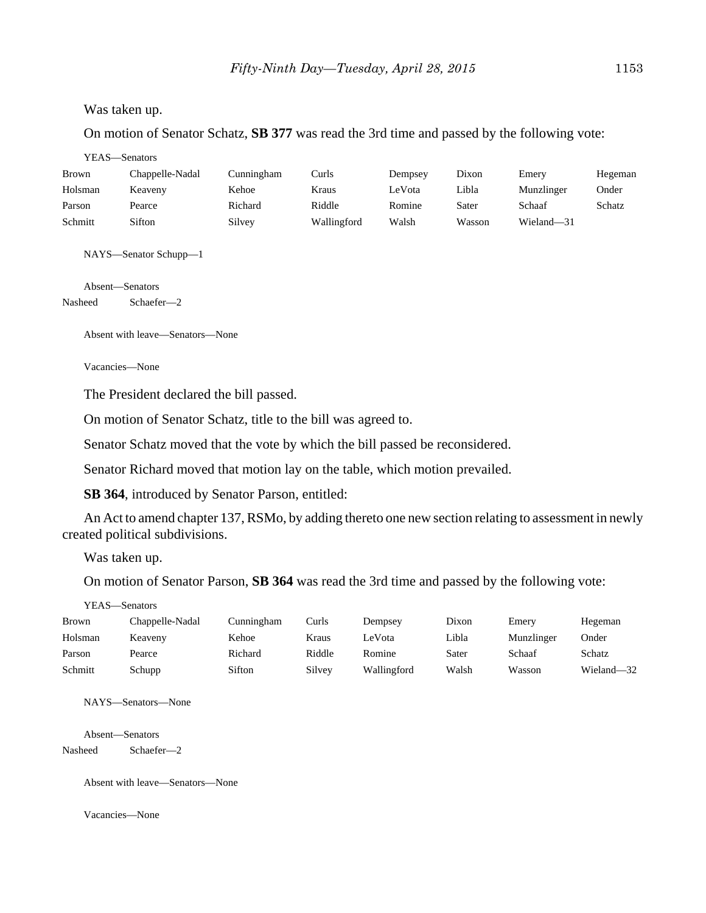#### Was taken up.

On motion of Senator Schatz, **SB 377** was read the 3rd time and passed by the following vote:

YEAS—Senators

| Brown   | Chappelle-Nadal | Cunningham | Curls       | Dempsey | Dixon  | Emery      | Hegeman |
|---------|-----------------|------------|-------------|---------|--------|------------|---------|
| Holsman | Keaveny         | Kehoe      | Kraus       | LeVota  | Libla  | Munzlinger | Onder   |
| Parson  | Pearce          | Richard    | Riddle      | Romine  | Sater  | Schaaf     | Schatz  |
| Schmitt | Sifton          | Silvey     | Wallingford | Walsh   | Wasson | Wieland-31 |         |

NAYS—Senator Schupp—1

Absent—Senators Nasheed Schaefer—2

Absent with leave—Senators—None

Vacancies—None

The President declared the bill passed.

On motion of Senator Schatz, title to the bill was agreed to.

Senator Schatz moved that the vote by which the bill passed be reconsidered.

Senator Richard moved that motion lay on the table, which motion prevailed.

**SB 364**, introduced by Senator Parson, entitled:

An Act to amend chapter 137, RSMo, by adding thereto one new section relating to assessment in newly created political subdivisions.

Was taken up.

On motion of Senator Parson, **SB 364** was read the 3rd time and passed by the following vote:

| <b>Brown</b> | Chappelle-Nadal | Cunningham | Curls  | Dempsey     | Dixon | Emery      | Hegeman    |
|--------------|-----------------|------------|--------|-------------|-------|------------|------------|
| Holsman      | Keaveny         | Kehoe      | Kraus  | LeVota      | Libla | Munzlinger | Onder      |
| Parson       | Pearce          | Richard    | Riddle | Romine      | Sater | Schaaf     | Schatz     |
| Schmitt      | Schupp          | Sifton     | Silvey | Wallingford | Walsh | Wasson     | Wieland-32 |

NAYS—Senators—None

Absent—Senators

Nasheed Schaefer—2

Absent with leave—Senators—None

Vacancies—None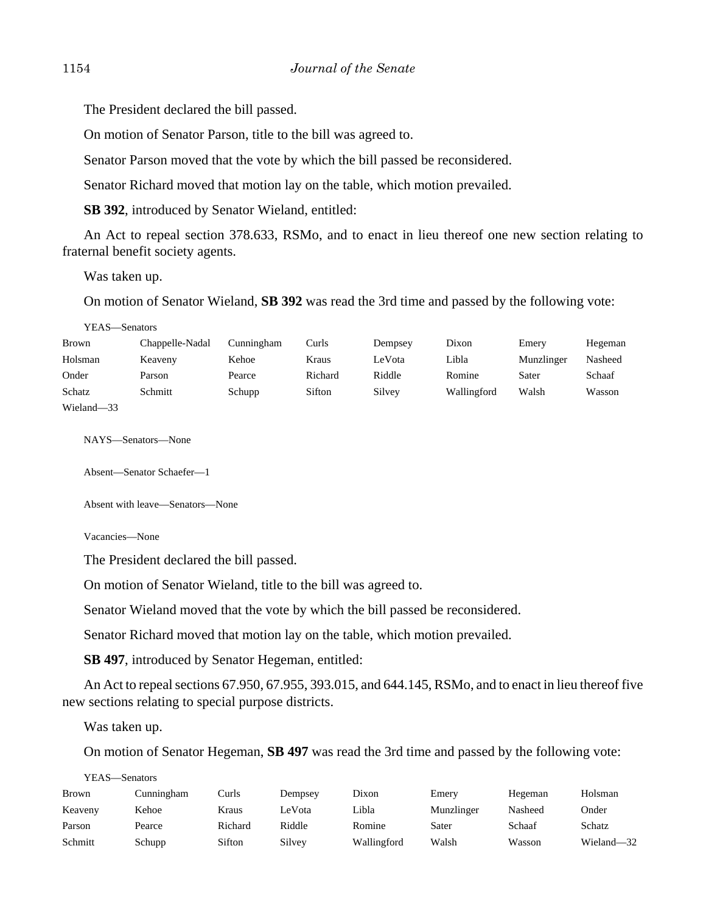The President declared the bill passed.

On motion of Senator Parson, title to the bill was agreed to.

Senator Parson moved that the vote by which the bill passed be reconsidered.

Senator Richard moved that motion lay on the table, which motion prevailed.

**SB 392**, introduced by Senator Wieland, entitled:

An Act to repeal section 378.633, RSMo, and to enact in lieu thereof one new section relating to fraternal benefit society agents.

Was taken up.

On motion of Senator Wieland, **SB 392** was read the 3rd time and passed by the following vote:

YEAS—Senators

| Brown      | Chappelle-Nadal | Cunningham | Curls   | Dempsey | Dixon       | Emery      | Hegeman |
|------------|-----------------|------------|---------|---------|-------------|------------|---------|
| Holsman    | Keaveny         | Kehoe      | Kraus   | LeVota  | Libla       | Munzlinger | Nasheed |
| Onder      | Parson          | Pearce     | Richard | Riddle  | Romine      | Sater      | Schaaf  |
| Schatz     | Schmitt         | Schupp     | Sifton  | Silvey  | Wallingford | Walsh      | Wasson  |
| Wieland-33 |                 |            |         |         |             |            |         |

NAYS—Senators—None

Absent—Senator Schaefer—1

Absent with leave—Senators—None

Vacancies—None

The President declared the bill passed.

On motion of Senator Wieland, title to the bill was agreed to.

Senator Wieland moved that the vote by which the bill passed be reconsidered.

Senator Richard moved that motion lay on the table, which motion prevailed.

**SB 497**, introduced by Senator Hegeman, entitled:

An Act to repeal sections 67.950, 67.955, 393.015, and 644.145, RSMo, and to enact in lieu thereof five new sections relating to special purpose districts.

Was taken up.

On motion of Senator Hegeman, **SB 497** was read the 3rd time and passed by the following vote:

|              | YEAS—Senators |         |         |             |            |         |            |  |  |  |
|--------------|---------------|---------|---------|-------------|------------|---------|------------|--|--|--|
| <b>Brown</b> | Cunningham    | Curls   | Dempsev | Dixon       | Emery      | Hegeman | Holsman    |  |  |  |
| Keaveny      | Kehoe         | Kraus   | LeVota  | Libla       | Munzlinger | Nasheed | Onder      |  |  |  |
| Parson       | Pearce        | Richard | Riddle  | Romine      | Sater      | Schaaf  | Schatz     |  |  |  |
| Schmitt      | Schupp        | Sifton  | Silvey  | Wallingford | Walsh      | Wasson  | Wieland-32 |  |  |  |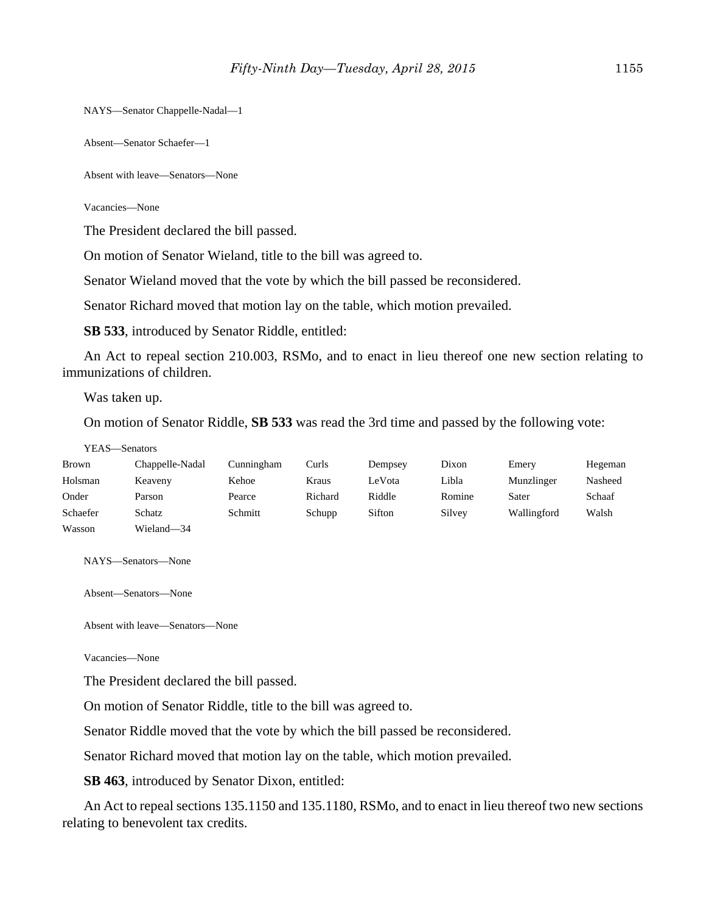NAYS—Senator Chappelle-Nadal—1

Absent—Senator Schaefer—1

Absent with leave—Senators—None

Vacancies—None

The President declared the bill passed.

On motion of Senator Wieland, title to the bill was agreed to.

Senator Wieland moved that the vote by which the bill passed be reconsidered.

Senator Richard moved that motion lay on the table, which motion prevailed.

**SB 533**, introduced by Senator Riddle, entitled:

An Act to repeal section 210.003, RSMo, and to enact in lieu thereof one new section relating to immunizations of children.

Was taken up.

On motion of Senator Riddle, **SB 533** was read the 3rd time and passed by the following vote:

#### YEAS—Senators

| <b>Brown</b> | Chappelle-Nadal | Cunningham | Curls   | Dempsey | Dixon  | Emery       | Hegeman |
|--------------|-----------------|------------|---------|---------|--------|-------------|---------|
| Holsman      | Keaveny         | Kehoe      | Kraus   | LeVota  | Libla  | Munzlinger  | Nasheed |
| Onder        | Parson          | Pearce     | Richard | Riddle  | Romine | Sater       | Schaaf  |
| Schaefer     | Schatz          | Schmitt    | Schupp  | Sifton  | Silvey | Wallingford | Walsh   |
| Wasson       | Wieland-34      |            |         |         |        |             |         |

NAYS—Senators—None

Absent—Senators—None

Absent with leave—Senators—None

Vacancies—None

The President declared the bill passed.

On motion of Senator Riddle, title to the bill was agreed to.

Senator Riddle moved that the vote by which the bill passed be reconsidered.

Senator Richard moved that motion lay on the table, which motion prevailed.

**SB 463**, introduced by Senator Dixon, entitled:

An Act to repeal sections 135.1150 and 135.1180, RSMo, and to enact in lieu thereof two new sections relating to benevolent tax credits.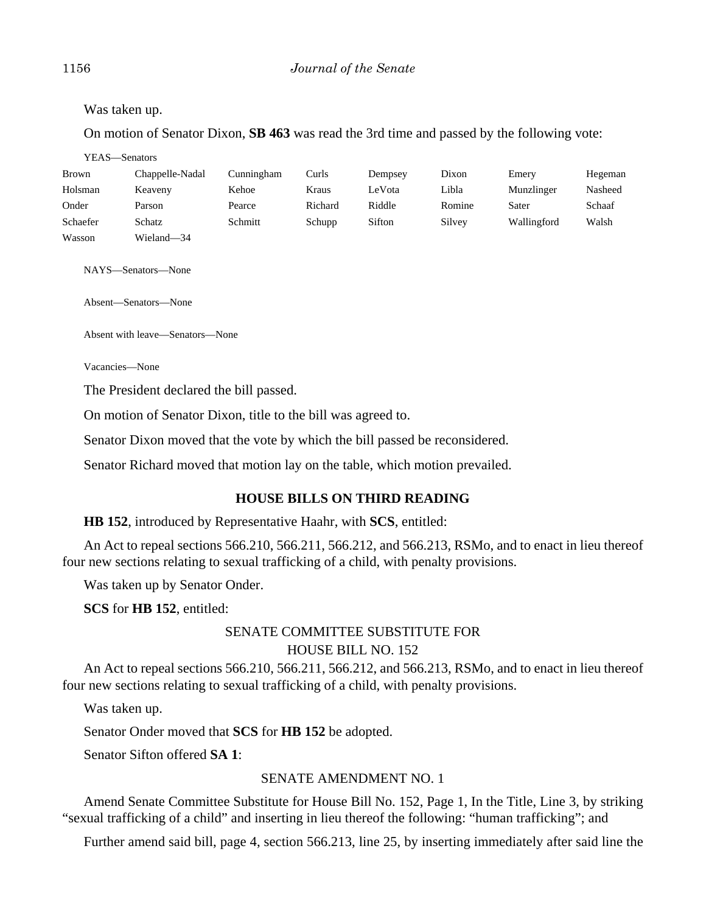Was taken up.

On motion of Senator Dixon, **SB 463** was read the 3rd time and passed by the following vote:

YEAS—Senators

| <b>Brown</b> | Chappelle-Nadal | Cunningham | Curls   | Dempsey | Dixon  | Emery       | Hegeman |
|--------------|-----------------|------------|---------|---------|--------|-------------|---------|
| Holsman      | Keaveny         | Kehoe      | Kraus   | LeVota  | Libla  | Munzlinger  | Nasheed |
| Onder        | Parson          | Pearce     | Richard | Riddle  | Romine | Sater       | Schaaf  |
| Schaefer     | Schatz          | Schmitt    | Schupp  | Sifton  | Silvey | Wallingford | Walsh   |
| Wasson       | Wieland-34      |            |         |         |        |             |         |

NAYS—Senators—None

Absent—Senators—None

Absent with leave—Senators—None

Vacancies—None

The President declared the bill passed.

On motion of Senator Dixon, title to the bill was agreed to.

Senator Dixon moved that the vote by which the bill passed be reconsidered.

Senator Richard moved that motion lay on the table, which motion prevailed.

## **HOUSE BILLS ON THIRD READING**

**HB 152**, introduced by Representative Haahr, with **SCS**, entitled:

An Act to repeal sections 566.210, 566.211, 566.212, and 566.213, RSMo, and to enact in lieu thereof four new sections relating to sexual trafficking of a child, with penalty provisions.

Was taken up by Senator Onder.

**SCS** for **HB 152**, entitled:

# SENATE COMMITTEE SUBSTITUTE FOR HOUSE BILL NO. 152

An Act to repeal sections 566.210, 566.211, 566.212, and 566.213, RSMo, and to enact in lieu thereof four new sections relating to sexual trafficking of a child, with penalty provisions.

Was taken up.

Senator Onder moved that **SCS** for **HB 152** be adopted.

Senator Sifton offered **SA 1**:

## SENATE AMENDMENT NO. 1

Amend Senate Committee Substitute for House Bill No. 152, Page 1, In the Title, Line 3, by striking "sexual trafficking of a child" and inserting in lieu thereof the following: "human trafficking"; and

Further amend said bill, page 4, section 566.213, line 25, by inserting immediately after said line the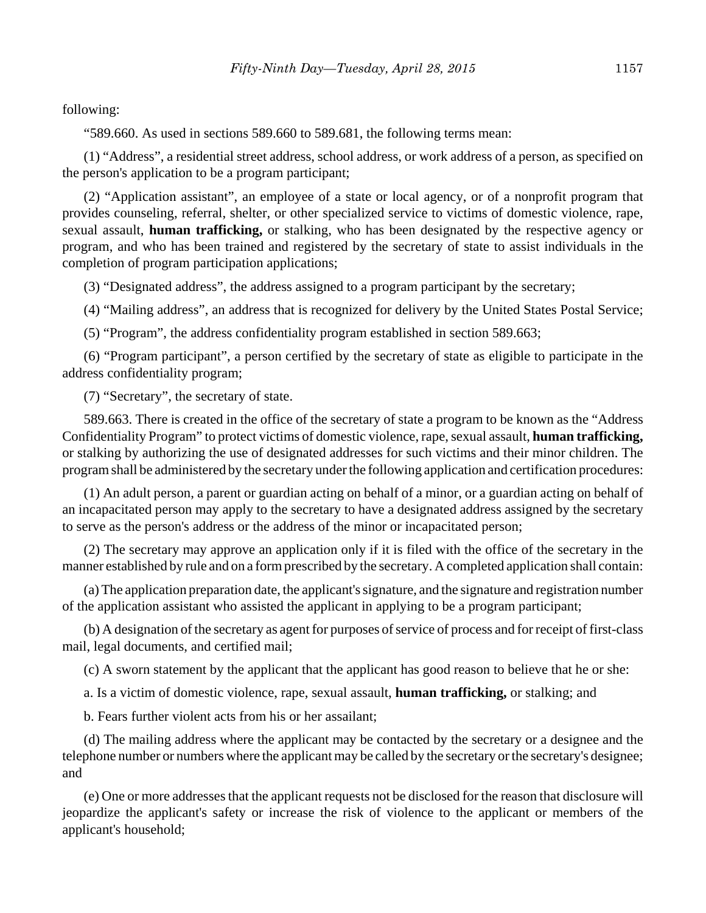following:

"589.660. As used in sections 589.660 to 589.681, the following terms mean:

(1) "Address", a residential street address, school address, or work address of a person, as specified on the person's application to be a program participant;

(2) "Application assistant", an employee of a state or local agency, or of a nonprofit program that provides counseling, referral, shelter, or other specialized service to victims of domestic violence, rape, sexual assault, **human trafficking,** or stalking, who has been designated by the respective agency or program, and who has been trained and registered by the secretary of state to assist individuals in the completion of program participation applications;

(3) "Designated address", the address assigned to a program participant by the secretary;

(4) "Mailing address", an address that is recognized for delivery by the United States Postal Service;

(5) "Program", the address confidentiality program established in section 589.663;

(6) "Program participant", a person certified by the secretary of state as eligible to participate in the address confidentiality program;

(7) "Secretary", the secretary of state.

589.663. There is created in the office of the secretary of state a program to be known as the "Address Confidentiality Program" to protect victims of domestic violence, rape, sexual assault, **human trafficking,** or stalking by authorizing the use of designated addresses for such victims and their minor children. The program shall be administered by the secretary under the following application and certification procedures:

(1) An adult person, a parent or guardian acting on behalf of a minor, or a guardian acting on behalf of an incapacitated person may apply to the secretary to have a designated address assigned by the secretary to serve as the person's address or the address of the minor or incapacitated person;

(2) The secretary may approve an application only if it is filed with the office of the secretary in the manner established by rule and on a form prescribed by the secretary. A completed application shall contain:

(a) The application preparation date, the applicant's signature, and the signature and registration number of the application assistant who assisted the applicant in applying to be a program participant;

(b) A designation of the secretary as agent for purposes of service of process and for receipt of first-class mail, legal documents, and certified mail;

(c) A sworn statement by the applicant that the applicant has good reason to believe that he or she:

a. Is a victim of domestic violence, rape, sexual assault, **human trafficking,** or stalking; and

b. Fears further violent acts from his or her assailant;

(d) The mailing address where the applicant may be contacted by the secretary or a designee and the telephone number or numbers where the applicant may be called by the secretary or the secretary's designee; and

(e) One or more addresses that the applicant requests not be disclosed for the reason that disclosure will jeopardize the applicant's safety or increase the risk of violence to the applicant or members of the applicant's household;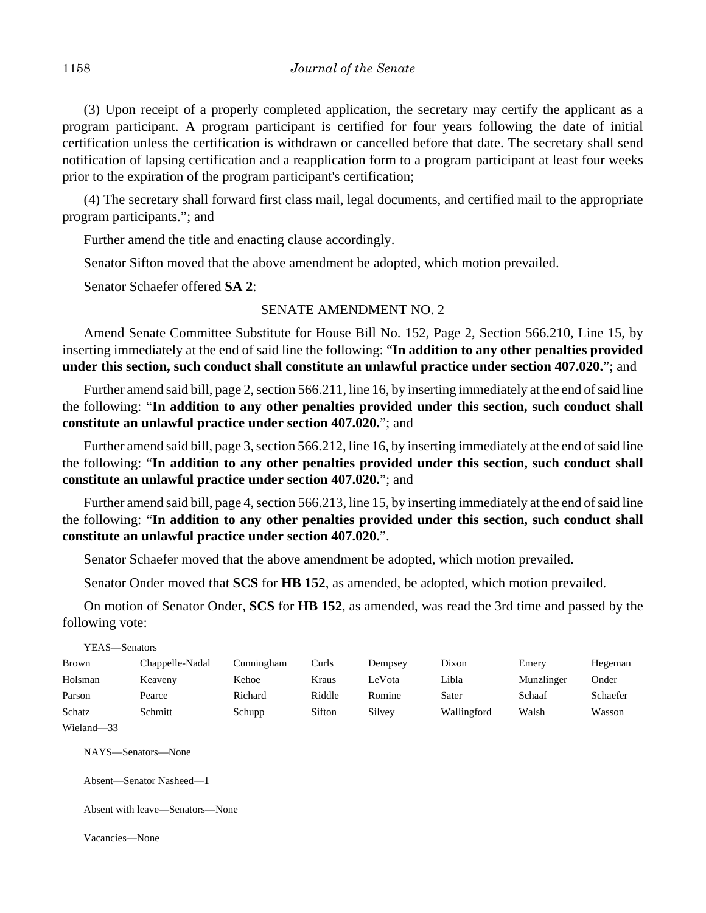(3) Upon receipt of a properly completed application, the secretary may certify the applicant as a program participant. A program participant is certified for four years following the date of initial certification unless the certification is withdrawn or cancelled before that date. The secretary shall send notification of lapsing certification and a reapplication form to a program participant at least four weeks prior to the expiration of the program participant's certification;

(4) The secretary shall forward first class mail, legal documents, and certified mail to the appropriate program participants."; and

Further amend the title and enacting clause accordingly.

Senator Sifton moved that the above amendment be adopted, which motion prevailed.

Senator Schaefer offered **SA 2**:

## SENATE AMENDMENT NO. 2

Amend Senate Committee Substitute for House Bill No. 152, Page 2, Section 566.210, Line 15, by inserting immediately at the end of said line the following: "**In addition to any other penalties provided under this section, such conduct shall constitute an unlawful practice under section 407.020.**"; and

Further amend said bill, page 2, section 566.211, line 16, by inserting immediately at the end of said line the following: "**In addition to any other penalties provided under this section, such conduct shall constitute an unlawful practice under section 407.020.**"; and

Further amend said bill, page 3, section 566.212, line 16, by inserting immediately at the end of said line the following: "**In addition to any other penalties provided under this section, such conduct shall constitute an unlawful practice under section 407.020.**"; and

Further amend said bill, page 4, section 566.213, line 15, by inserting immediately at the end of said line the following: "**In addition to any other penalties provided under this section, such conduct shall constitute an unlawful practice under section 407.020.**".

Senator Schaefer moved that the above amendment be adopted, which motion prevailed.

Senator Onder moved that **SCS** for **HB 152**, as amended, be adopted, which motion prevailed.

On motion of Senator Onder, **SCS** for **HB 152**, as amended, was read the 3rd time and passed by the following vote:

| YEAS—Senators |                 |            |        |         |             |            |          |
|---------------|-----------------|------------|--------|---------|-------------|------------|----------|
| <b>Brown</b>  | Chappelle-Nadal | Cunningham | Curls  | Dempsey | Dixon       | Emery      | Hegeman  |
| Holsman       | Keaveny         | Kehoe      | Kraus  | LeVota  | Libla       | Munzlinger | Onder    |
| Parson        | Pearce          | Richard    | Riddle | Romine  | Sater       | Schaaf     | Schaefer |
| Schatz        | Schmitt         | Schupp     | Sifton | Silvey  | Wallingford | Walsh      | Wasson   |
| Wieland-33    |                 |            |        |         |             |            |          |

NAYS—Senators—None

Absent—Senator Nasheed—1

Absent with leave—Senators—None

Vacancies—None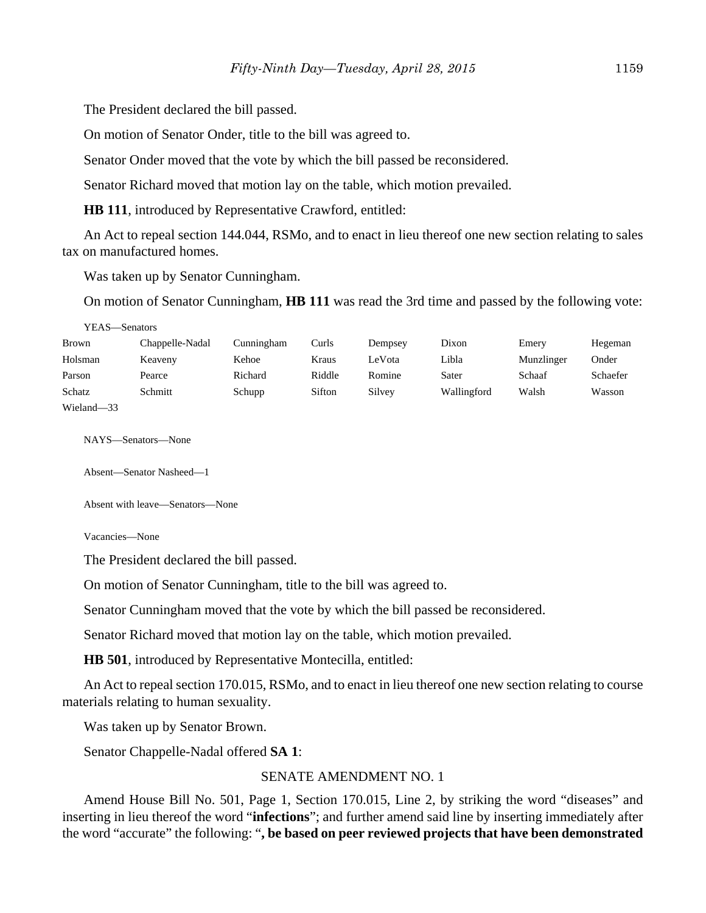The President declared the bill passed.

On motion of Senator Onder, title to the bill was agreed to.

Senator Onder moved that the vote by which the bill passed be reconsidered.

Senator Richard moved that motion lay on the table, which motion prevailed.

**HB 111**, introduced by Representative Crawford, entitled:

An Act to repeal section 144.044, RSMo, and to enact in lieu thereof one new section relating to sales tax on manufactured homes.

Was taken up by Senator Cunningham.

On motion of Senator Cunningham, **HB 111** was read the 3rd time and passed by the following vote:

YEAS—Senators

| Brown      | Chappelle-Nadal | Cunningham | Curls  | Dempsey | Dixon       | Emery      | Hegeman  |
|------------|-----------------|------------|--------|---------|-------------|------------|----------|
| Holsman    | Keaveny         | Kehoe      | Kraus  | LeVota  | Libla       | Munzlinger | Onder    |
| Parson     | Pearce          | Richard    | Riddle | Romine  | Sater       | Schaaf     | Schaefer |
| Schatz     | Schmitt         | Schupp     | Sifton | Silvey  | Wallingford | Walsh      | Wasson   |
| Wieland-33 |                 |            |        |         |             |            |          |

NAYS—Senators—None

Absent—Senator Nasheed—1

Absent with leave—Senators—None

Vacancies—None

The President declared the bill passed.

On motion of Senator Cunningham, title to the bill was agreed to.

Senator Cunningham moved that the vote by which the bill passed be reconsidered.

Senator Richard moved that motion lay on the table, which motion prevailed.

**HB 501**, introduced by Representative Montecilla, entitled:

An Act to repeal section 170.015, RSMo, and to enact in lieu thereof one new section relating to course materials relating to human sexuality.

Was taken up by Senator Brown.

Senator Chappelle-Nadal offered **SA 1**:

#### SENATE AMENDMENT NO. 1

Amend House Bill No. 501, Page 1, Section 170.015, Line 2, by striking the word "diseases" and inserting in lieu thereof the word "**infections**"; and further amend said line by inserting immediately after the word "accurate" the following: "**, be based on peer reviewed projects that have been demonstrated**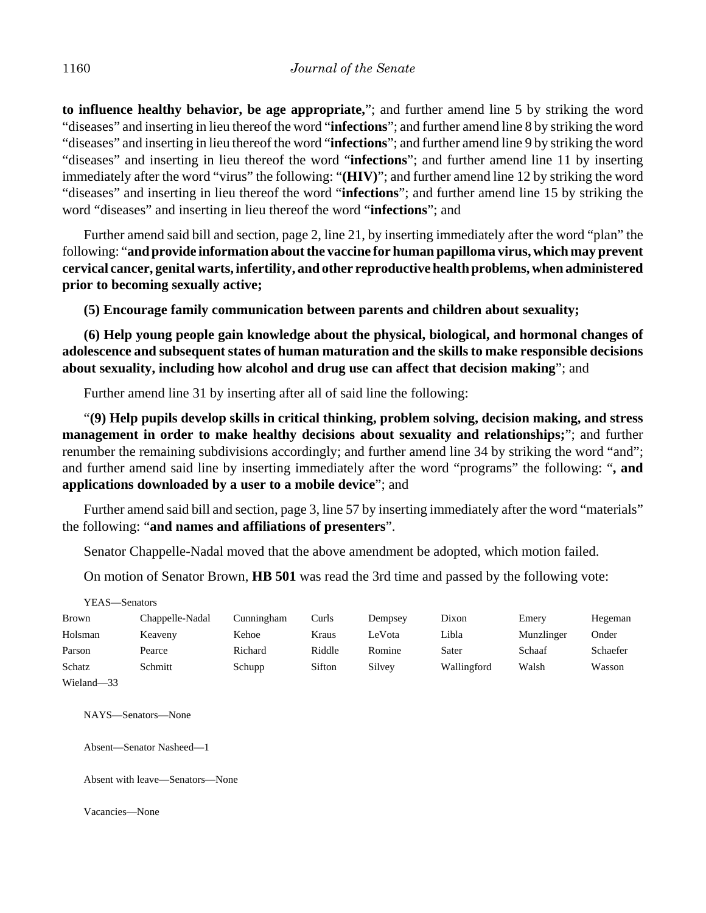**to influence healthy behavior, be age appropriate,**"; and further amend line 5 by striking the word "diseases" and inserting in lieu thereof the word "**infections**"; and further amend line 8 by striking the word "diseases" and inserting in lieu thereof the word "**infections**"; and further amend line 9 by striking the word "diseases" and inserting in lieu thereof the word "**infections**"; and further amend line 11 by inserting immediately after the word "virus" the following: "**(HIV)**"; and further amend line 12 by striking the word "diseases" and inserting in lieu thereof the word "**infections**"; and further amend line 15 by striking the word "diseases" and inserting in lieu thereof the word "**infections**"; and

Further amend said bill and section, page 2, line 21, by inserting immediately after the word "plan" the following: "**and provide information about the vaccine for human papilloma virus, which may prevent cervical cancer, genital warts, infertility, and other reproductive health problems, when administered prior to becoming sexually active;**

**(5) Encourage family communication between parents and children about sexuality;**

**(6) Help young people gain knowledge about the physical, biological, and hormonal changes of adolescence and subsequent states of human maturation and the skills to make responsible decisions about sexuality, including how alcohol and drug use can affect that decision making**"; and

Further amend line 31 by inserting after all of said line the following:

"**(9) Help pupils develop skills in critical thinking, problem solving, decision making, and stress management in order to make healthy decisions about sexuality and relationships;**"; and further renumber the remaining subdivisions accordingly; and further amend line 34 by striking the word "and"; and further amend said line by inserting immediately after the word "programs" the following: "**, and applications downloaded by a user to a mobile device**"; and

Further amend said bill and section, page 3, line 57 by inserting immediately after the word "materials" the following: "**and names and affiliations of presenters**".

Senator Chappelle-Nadal moved that the above amendment be adopted, which motion failed.

On motion of Senator Brown, **HB 501** was read the 3rd time and passed by the following vote:

| YEAS—Senators          |                 |            |        |         |             |            |          |
|------------------------|-----------------|------------|--------|---------|-------------|------------|----------|
| <b>Brown</b>           | Chappelle-Nadal | Cunningham | Curls  | Dempsey | Dixon       | Emery      | Hegeman  |
| Holsman                | Keaveny         | Kehoe      | Kraus  | LeVota  | Libla       | Munzlinger | Onder    |
| Parson                 | Pearce          | Richard    | Riddle | Romine  | Sater       | Schaaf     | Schaefer |
| Schatz                 | Schmitt         | Schupp     | Sifton | Silvey  | Wallingford | Walsh      | Wasson   |
| Wieland <sub>-33</sub> |                 |            |        |         |             |            |          |

NAYS—Senators—None

Absent—Senator Nasheed—1

Absent with leave—Senators—None

Vacancies—None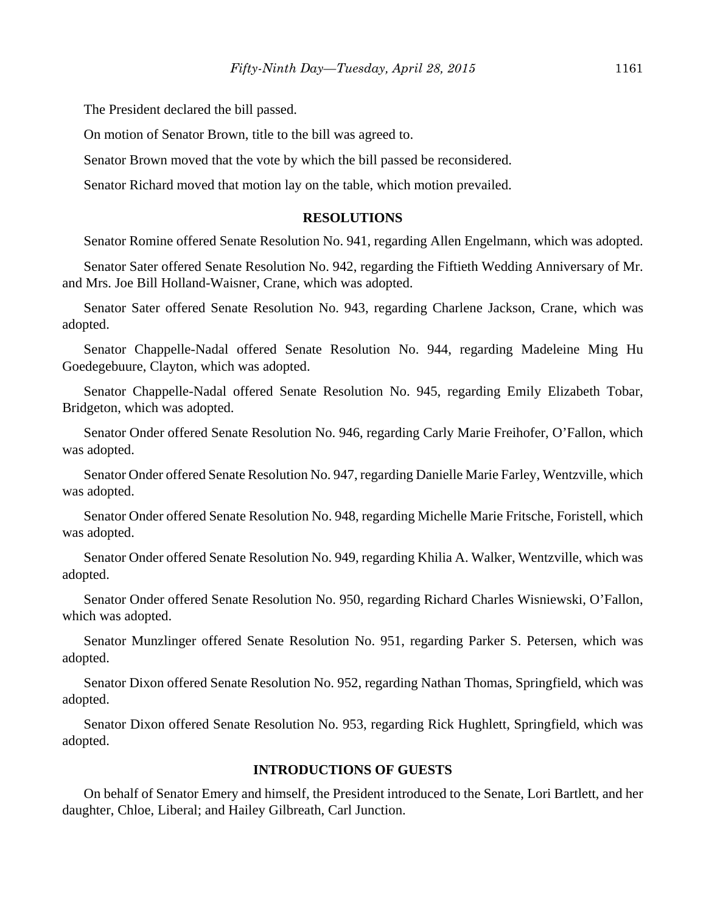The President declared the bill passed.

On motion of Senator Brown, title to the bill was agreed to.

Senator Brown moved that the vote by which the bill passed be reconsidered.

Senator Richard moved that motion lay on the table, which motion prevailed.

## **RESOLUTIONS**

Senator Romine offered Senate Resolution No. 941, regarding Allen Engelmann, which was adopted.

Senator Sater offered Senate Resolution No. 942, regarding the Fiftieth Wedding Anniversary of Mr. and Mrs. Joe Bill Holland-Waisner, Crane, which was adopted.

Senator Sater offered Senate Resolution No. 943, regarding Charlene Jackson, Crane, which was adopted.

Senator Chappelle-Nadal offered Senate Resolution No. 944, regarding Madeleine Ming Hu Goedegebuure, Clayton, which was adopted.

Senator Chappelle-Nadal offered Senate Resolution No. 945, regarding Emily Elizabeth Tobar, Bridgeton, which was adopted.

Senator Onder offered Senate Resolution No. 946, regarding Carly Marie Freihofer, O'Fallon, which was adopted.

Senator Onder offered Senate Resolution No. 947, regarding Danielle Marie Farley, Wentzville, which was adopted.

Senator Onder offered Senate Resolution No. 948, regarding Michelle Marie Fritsche, Foristell, which was adopted.

Senator Onder offered Senate Resolution No. 949, regarding Khilia A. Walker, Wentzville, which was adopted.

Senator Onder offered Senate Resolution No. 950, regarding Richard Charles Wisniewski, O'Fallon, which was adopted.

Senator Munzlinger offered Senate Resolution No. 951, regarding Parker S. Petersen, which was adopted.

Senator Dixon offered Senate Resolution No. 952, regarding Nathan Thomas, Springfield, which was adopted.

Senator Dixon offered Senate Resolution No. 953, regarding Rick Hughlett, Springfield, which was adopted.

#### **INTRODUCTIONS OF GUESTS**

On behalf of Senator Emery and himself, the President introduced to the Senate, Lori Bartlett, and her daughter, Chloe, Liberal; and Hailey Gilbreath, Carl Junction.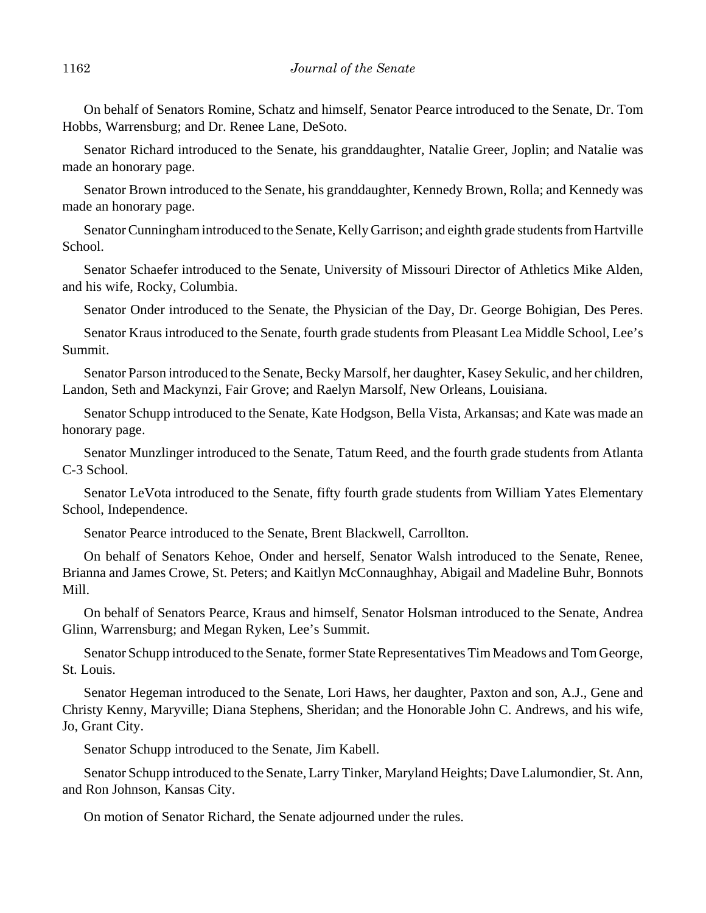On behalf of Senators Romine, Schatz and himself, Senator Pearce introduced to the Senate, Dr. Tom Hobbs, Warrensburg; and Dr. Renee Lane, DeSoto.

Senator Richard introduced to the Senate, his granddaughter, Natalie Greer, Joplin; and Natalie was made an honorary page.

Senator Brown introduced to the Senate, his granddaughter, Kennedy Brown, Rolla; and Kennedy was made an honorary page.

Senator Cunningham introduced to the Senate, Kelly Garrison; and eighth grade students from Hartville School.

Senator Schaefer introduced to the Senate, University of Missouri Director of Athletics Mike Alden, and his wife, Rocky, Columbia.

Senator Onder introduced to the Senate, the Physician of the Day, Dr. George Bohigian, Des Peres.

Senator Kraus introduced to the Senate, fourth grade students from Pleasant Lea Middle School, Lee's Summit.

Senator Parson introduced to the Senate, Becky Marsolf, her daughter, Kasey Sekulic, and her children, Landon, Seth and Mackynzi, Fair Grove; and Raelyn Marsolf, New Orleans, Louisiana.

Senator Schupp introduced to the Senate, Kate Hodgson, Bella Vista, Arkansas; and Kate was made an honorary page.

Senator Munzlinger introduced to the Senate, Tatum Reed, and the fourth grade students from Atlanta C-3 School.

Senator LeVota introduced to the Senate, fifty fourth grade students from William Yates Elementary School, Independence.

Senator Pearce introduced to the Senate, Brent Blackwell, Carrollton.

On behalf of Senators Kehoe, Onder and herself, Senator Walsh introduced to the Senate, Renee, Brianna and James Crowe, St. Peters; and Kaitlyn McConnaughhay, Abigail and Madeline Buhr, Bonnots Mill.

On behalf of Senators Pearce, Kraus and himself, Senator Holsman introduced to the Senate, Andrea Glinn, Warrensburg; and Megan Ryken, Lee's Summit.

Senator Schupp introduced to the Senate, former State Representatives Tim Meadows and Tom George, St. Louis.

Senator Hegeman introduced to the Senate, Lori Haws, her daughter, Paxton and son, A.J., Gene and Christy Kenny, Maryville; Diana Stephens, Sheridan; and the Honorable John C. Andrews, and his wife, Jo, Grant City.

Senator Schupp introduced to the Senate, Jim Kabell.

Senator Schupp introduced to the Senate, Larry Tinker, Maryland Heights; Dave Lalumondier, St. Ann, and Ron Johnson, Kansas City.

On motion of Senator Richard, the Senate adjourned under the rules.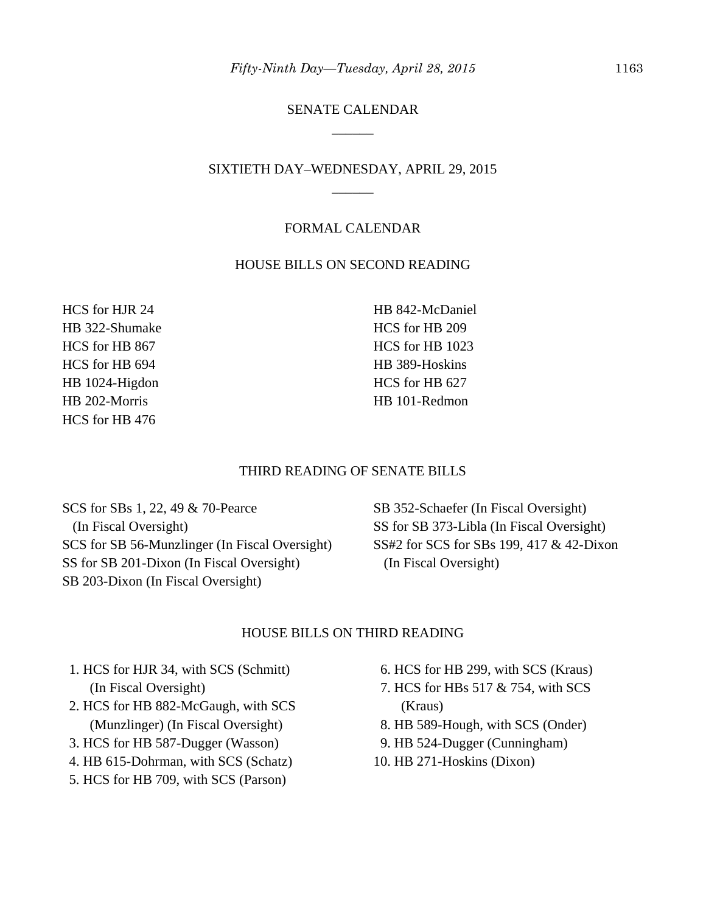# SENATE CALENDAR \_\_\_\_\_\_

# SIXTIETH DAY–WEDNESDAY, APRIL 29, 2015 \_\_\_\_\_\_

## FORMAL CALENDAR

## HOUSE BILLS ON SECOND READING

HCS for HJR 24 HB 322-Shumake HCS for HB 867 HCS for HB 694 HB 1024-Higdon HB 202-Morris HCS for HB 476

HB 842-McDaniel HCS for HB 209 HCS for HB 1023 HB 389-Hoskins HCS for HB 627 HB 101-Redmon

#### THIRD READING OF SENATE BILLS

SCS for SBs 1, 22, 49 & 70-Pearce (In Fiscal Oversight) SCS for SB 56-Munzlinger (In Fiscal Oversight) SS for SB 201-Dixon (In Fiscal Oversight) SB 203-Dixon (In Fiscal Oversight)

SB 352-Schaefer (In Fiscal Oversight) SS for SB 373-Libla (In Fiscal Oversight) SS#2 for SCS for SBs 199, 417 & 42-Dixon (In Fiscal Oversight)

#### HOUSE BILLS ON THIRD READING

- 1. HCS for HJR 34, with SCS (Schmitt) (In Fiscal Oversight)
- 2. HCS for HB 882-McGaugh, with SCS (Munzlinger) (In Fiscal Oversight)
- 3. HCS for HB 587-Dugger (Wasson)
- 4. HB 615-Dohrman, with SCS (Schatz)
- 5. HCS for HB 709, with SCS (Parson)
- 6. HCS for HB 299, with SCS (Kraus)
- 7. HCS for HBs 517 & 754, with SCS (Kraus)
- 8. HB 589-Hough, with SCS (Onder)
- 9. HB 524-Dugger (Cunningham)
- 10. HB 271-Hoskins (Dixon)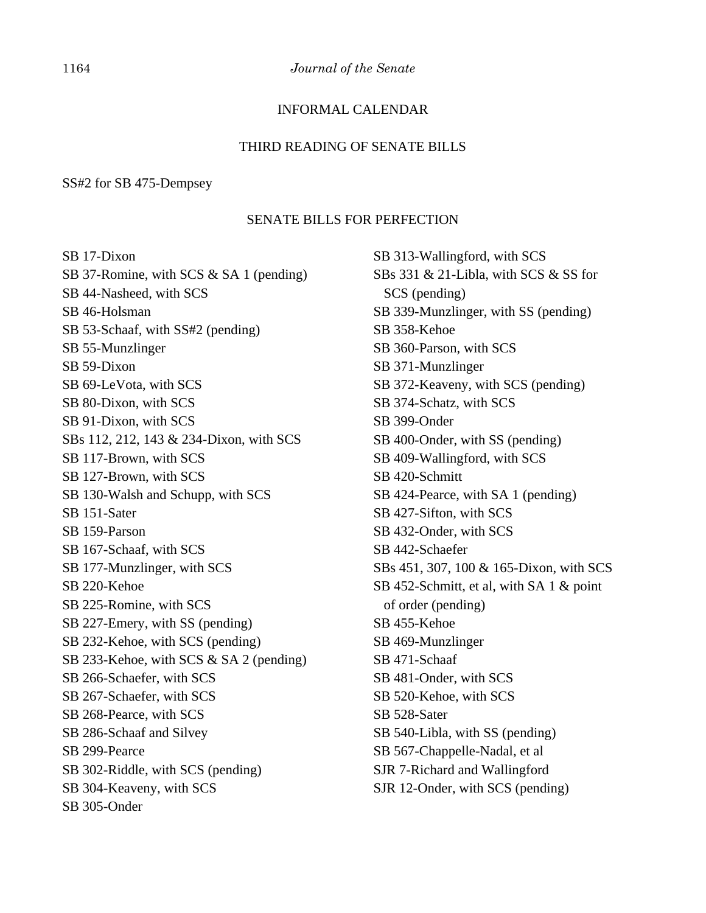# INFORMAL CALENDAR

#### THIRD READING OF SENATE BILLS

## SS#2 for SB 475-Dempsey

## SENATE BILLS FOR PERFECTION

SB 17-Dixon SB 37-Romine, with SCS & SA 1 (pending) SB 44-Nasheed, with SCS SB 46-Holsman SB 53-Schaaf, with SS#2 (pending) SB 55-Munzlinger SB 59-Dixon SB 69-LeVota, with SCS SB 80-Dixon, with SCS SB 91-Dixon, with SCS SBs 112, 212, 143 & 234-Dixon, with SCS SB 117-Brown, with SCS SB 127-Brown, with SCS SB 130-Walsh and Schupp, with SCS SB 151-Sater SB 159-Parson SB 167-Schaaf, with SCS SB 177-Munzlinger, with SCS SB 220-Kehoe SB 225-Romine, with SCS SB 227-Emery, with SS (pending) SB 232-Kehoe, with SCS (pending) SB 233-Kehoe, with SCS & SA 2 (pending) SB 266-Schaefer, with SCS SB 267-Schaefer, with SCS SB 268-Pearce, with SCS SB 286-Schaaf and Silvey SB 299-Pearce SB 302-Riddle, with SCS (pending) SB 304-Keaveny, with SCS SB 305-Onder

SB 313-Wallingford, with SCS SBs 331 & 21-Libla, with SCS & SS for SCS (pending) SB 339-Munzlinger, with SS (pending) SB 358-Kehoe SB 360-Parson, with SCS SB 371-Munzlinger SB 372-Keaveny, with SCS (pending) SB 374-Schatz, with SCS SB 399-Onder SB 400-Onder, with SS (pending) SB 409-Wallingford, with SCS SB 420-Schmitt SB 424-Pearce, with SA 1 (pending) SB 427-Sifton, with SCS SB 432-Onder, with SCS SB 442-Schaefer SBs 451, 307, 100 & 165-Dixon, with SCS SB 452-Schmitt, et al, with SA 1 & point of order (pending) SB 455-Kehoe SB 469-Munzlinger SB 471-Schaaf SB 481-Onder, with SCS SB 520-Kehoe, with SCS SB 528-Sater SB 540-Libla, with SS (pending) SB 567-Chappelle-Nadal, et al SJR 7-Richard and Wallingford SJR 12-Onder, with SCS (pending)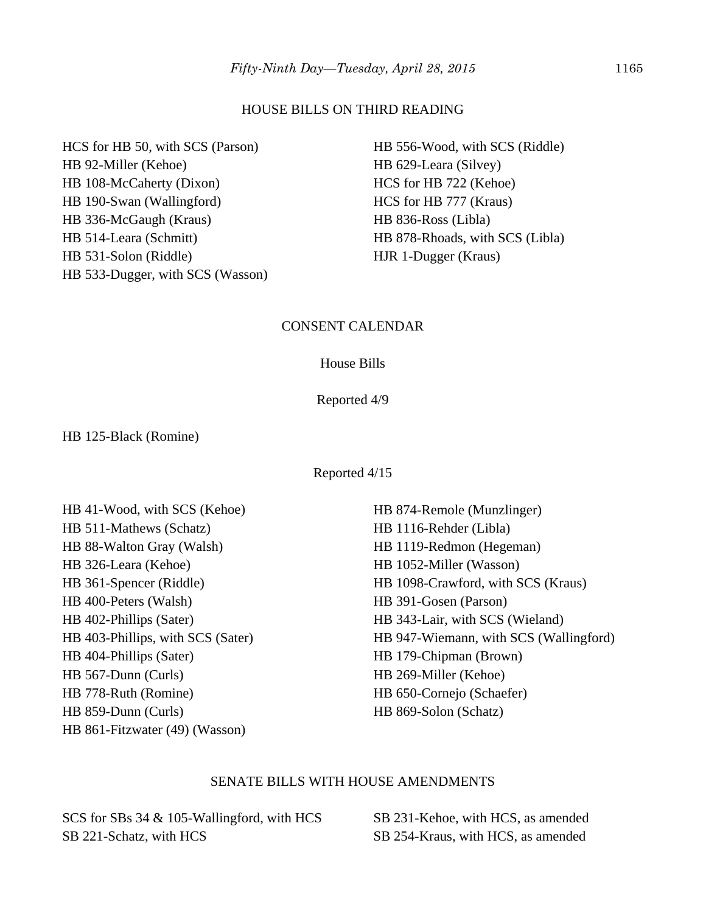#### HOUSE BILLS ON THIRD READING

HCS for HB 50, with SCS (Parson) HB 92-Miller (Kehoe) HB 108-McCaherty (Dixon) HB 190-Swan (Wallingford) HB 336-McGaugh (Kraus) HB 514-Leara (Schmitt) HB 531-Solon (Riddle) HB 533-Dugger, with SCS (Wasson)

HB 556-Wood, with SCS (Riddle) HB 629-Leara (Silvey) HCS for HB 722 (Kehoe) HCS for HB 777 (Kraus) HB 836-Ross (Libla) HB 878-Rhoads, with SCS (Libla) HJR 1-Dugger (Kraus)

## CONSENT CALENDAR

#### House Bills

Reported 4/9

HB 125-Black (Romine)

Reported 4/15

HB 41-Wood, with SCS (Kehoe) HB 511-Mathews (Schatz) HB 88-Walton Gray (Walsh) HB 326-Leara (Kehoe) HB 361-Spencer (Riddle) HB 400-Peters (Walsh) HB 402-Phillips (Sater) HB 403-Phillips, with SCS (Sater) HB 404-Phillips (Sater) HB 567-Dunn (Curls) HB 778-Ruth (Romine) HB 859-Dunn (Curls) HB 861-Fitzwater (49) (Wasson)

HB 874-Remole (Munzlinger) HB 1116-Rehder (Libla) HB 1119-Redmon (Hegeman) HB 1052-Miller (Wasson) HB 1098-Crawford, with SCS (Kraus) HB 391-Gosen (Parson) HB 343-Lair, with SCS (Wieland) HB 947-Wiemann, with SCS (Wallingford) HB 179-Chipman (Brown) HB 269-Miller (Kehoe) HB 650-Cornejo (Schaefer) HB 869-Solon (Schatz)

## SENATE BILLS WITH HOUSE AMENDMENTS

SCS for SBs 34 & 105-Wallingford, with HCS SB 221-Schatz, with HCS

SB 231-Kehoe, with HCS, as amended SB 254-Kraus, with HCS, as amended